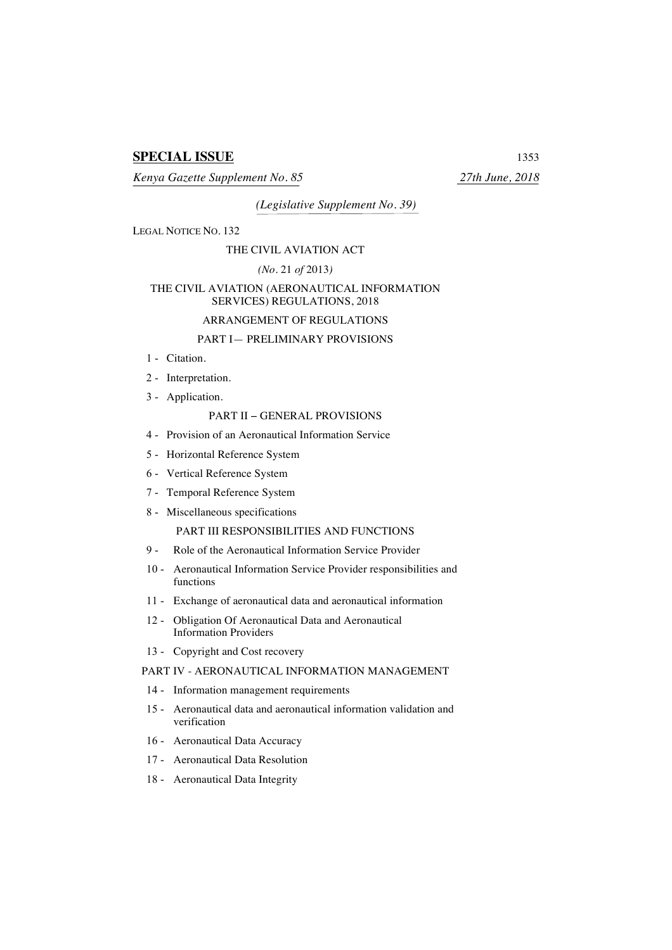# **SPECIAL ISSUE** 1353

*Kenya Gazette Supplement No. 85 27th June, 2018*

*(Legislative Supplement No. 39)*

LEGAL NOTICE NO. 132

#### THE CIVIL AVIATION ACT

## *(No.* 21 *of* 2013*)*

### THE CIVIL AVIATION (AERONAUTICAL INFORMATION SERVICES) REGULATIONS, 2018

## ARRANGEMENT OF REGULATIONS

# PART I— PRELIMINARY PROVISIONS

- 1 Citation.
- 2 Interpretation.
- 3 Application.

## PART II − GENERAL PROVISIONS

- 4 Provision of an Aeronautical Information Service
- 5 Horizontal Reference System
- 6 Vertical Reference System
- 7 Temporal Reference System
- 8 Miscellaneous specifications PART III RESPONSIBILITIES AND FUNCTIONS
- 9 Role of the Aeronautical Information Service Provider
- 10 Aeronautical Information Service Provider responsibilities and functions
- 11 Exchange of aeronautical data and aeronautical information
- 12 Obligation Of Aeronautical Data and Aeronautical Information Providers
- 13 Copyright and Cost recovery

## PART IV - AERONAUTICAL INFORMATION MANAGEMENT

- 14 Information management requirements
- 15 Aeronautical data and aeronautical information validation and verification
- 16 Aeronautical Data Accuracy
- 17 Aeronautical Data Resolution
- 18 Aeronautical Data Integrity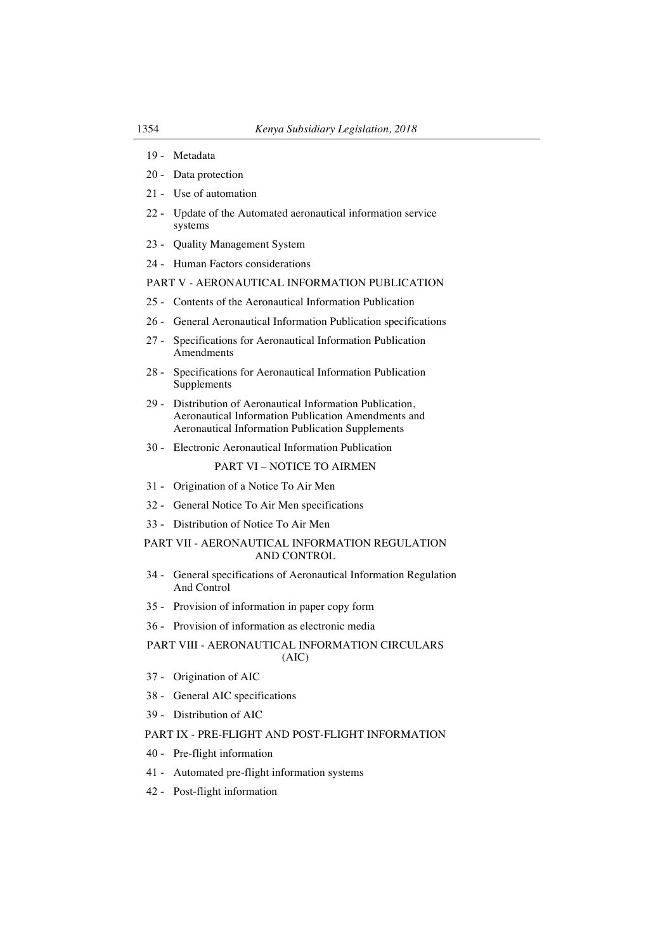- 19 Metadata
- 20 Data protection
- 21 Use of automation
- 22 Update of the Automated aeronautical information service systems
- 23 Quality Management System
- 24 Human Factors considerations

# PART V - AERONAUTICAL INFORMATION PUBLICATION

- 25 Contents of the Aeronautical Information Publication
- 26 General Aeronautical Information Publication specifications
- 27 Specifications for Aeronautical Information Publication Amendments
- 28 Specifications for Aeronautical Information Publication Supplements
- 29 Distribution of Aeronautical Information Publication, Aeronautical Information Publication Amendments and Aeronautical Information Publication Supplements
- 30 Electronic Aeronautical Information Publication

### PART VI – NOTICE TO AIRMEN

- 31 Origination of a Notice To Air Men
- 32 General Notice To Air Men specifications
- 33 Distribution of Notice To Air Men

### PART VII - AERONAUTICAL INFORMATION REGULATION AND CONTROL

- 34 General specifications of Aeronautical Information Regulation And Control
- 35 Provision of information in paper copy form
- 36 Provision of information as electronic media

## PART VIII - AERONAUTICAL INFORMATION CIRCULARS (AIC)

- 37 Origination of AIC
- 38 General AIC specifications
- 39 Distribution of AIC

#### PART IX - PRE-FLIGHT AND POST-FLIGHT INFORMATION

- 40 Pre-flight information
- 41 Automated pre-flight information systems
- 42 Post-flight information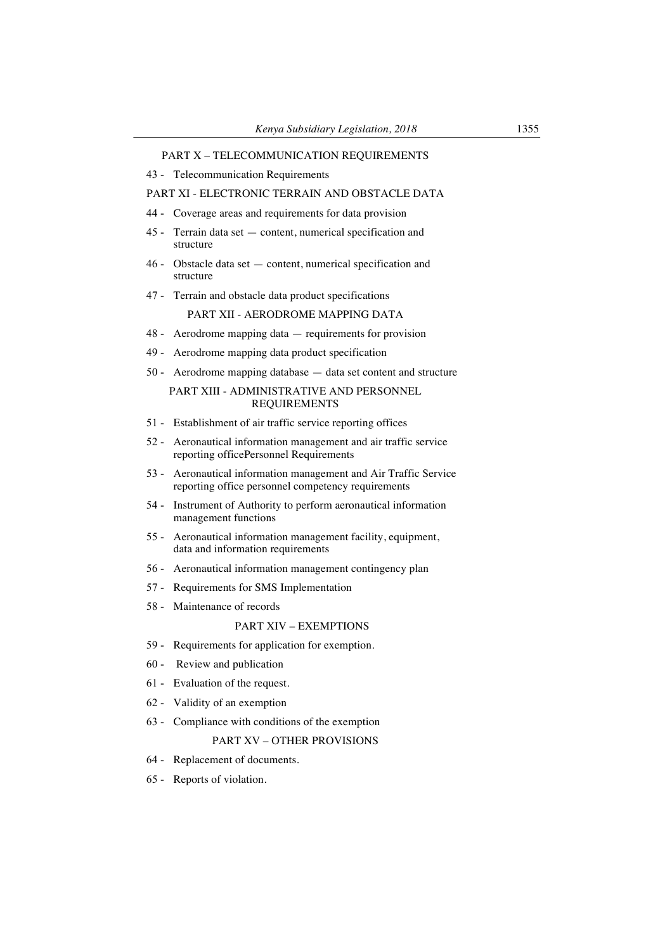### PART X – TELECOMMUNICATION REQUIREMENTS

43 - Telecommunication Requirements

### PART XI - ELECTRONIC TERRAIN AND OBSTACLE DATA

- 44 Coverage areas and requirements for data provision
- 45 Terrain data set content, numerical specification and structure
- 46 Obstacle data set content, numerical specification and structure
- 47 Terrain and obstacle data product specifications

## PART XII - AERODROME MAPPING DATA

- 48 Aerodrome mapping data requirements for provision
- 49 Aerodrome mapping data product specification
- 50 Aerodrome mapping database data set content and structure

## PART XIII - ADMINISTRATIVE AND PERSONNEL REQUIREMENTS

- 51 Establishment of air traffic service reporting offices
- 52 Aeronautical information management and air traffic service reporting officePersonnel Requirements
- 53 Aeronautical information management and Air Traffic Service reporting office personnel competency requirements
- 54 Instrument of Authority to perform aeronautical information management functions
- 55 Aeronautical information management facility, equipment, data and information requirements
- 56 Aeronautical information management contingency plan
- 57 Requirements for SMS Implementation
- 58 Maintenance of records

# PART XIV – EXEMPTIONS

- 59 Requirements for application for exemption.
- 60 Review and publication
- 61 Evaluation of the request.
- 62 Validity of an exemption
- 63 Compliance with conditions of the exemption

## PART XV – OTHER PROVISIONS

- 64 Replacement of documents.
- 65 Reports of violation.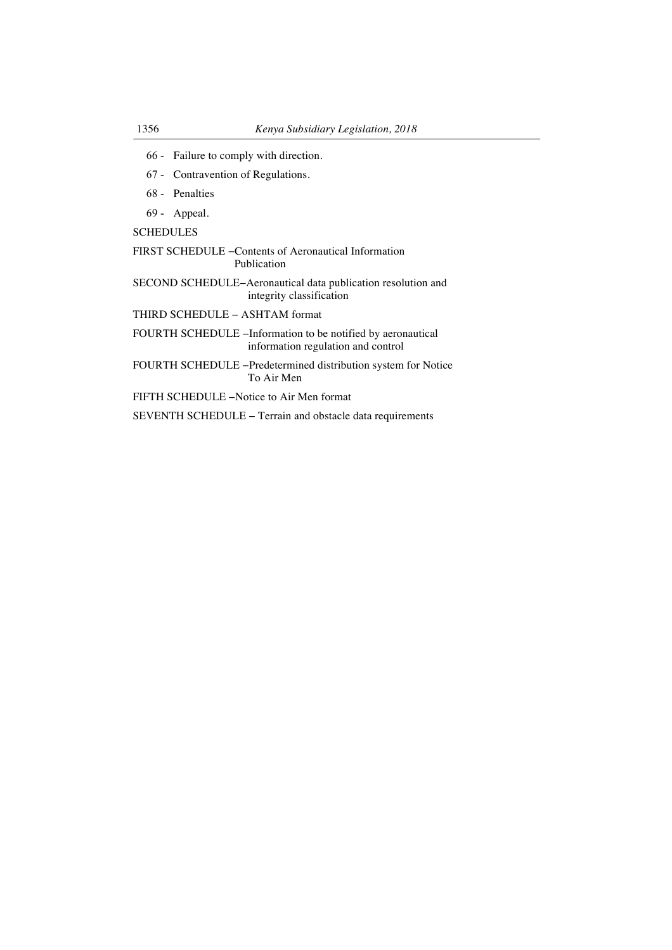- 66 Failure to comply with direction.
- 67 Contravention of Regulations.
- 68 Penalties
- 69 Appeal.

SCHEDULES

- FIRST SCHEDULE −Contents of Aeronautical Information Publication
- SECOND SCHEDULE−Aeronautical data publication resolution and integrity classification

THIRD SCHEDULE − ASHTAM format

FOURTH SCHEDULE −Information to be notified by aeronautical information regulation and control

FOURTH SCHEDULE −Predetermined distribution system for Notice To Air Men

FIFTH SCHEDULE −Notice to Air Men format

SEVENTH SCHEDULE − Terrain and obstacle data requirements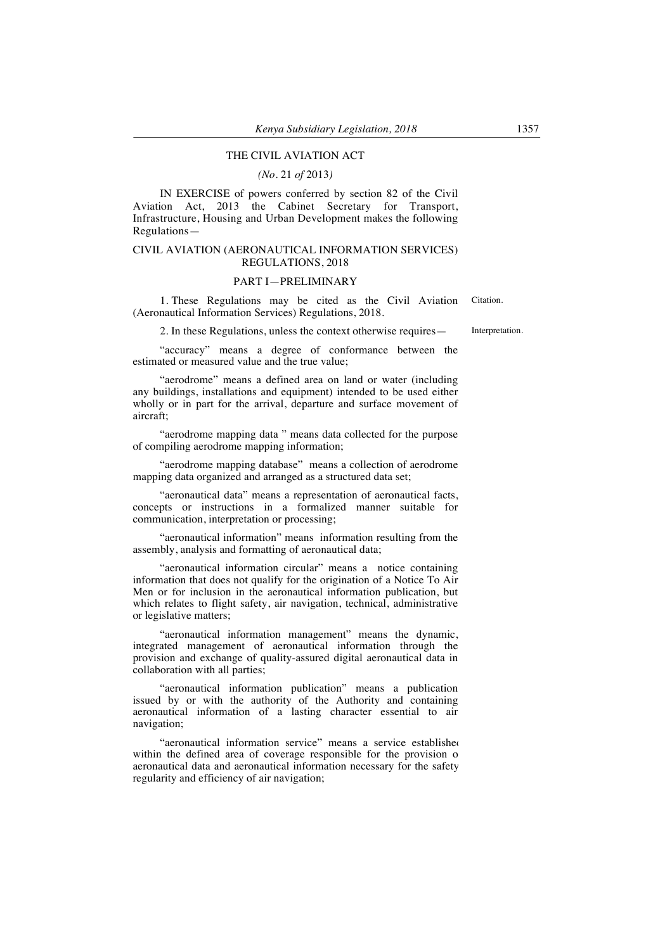### THE CIVIL AVIATION ACT

#### *(No.* 21 *of* 2013*)*

IN EXERCISE of powers conferred by section 82 of the Civil Aviation Act, 2013 the Cabinet Secretary for Transport, Infrastructure, Housing and Urban Development makes the following Regulations—

#### CIVIL AVIATION (AERONAUTICAL INFORMATION SERVICES) REGULATIONS, 2018

#### PART I—PRELIMINARY

1. These Regulations may be cited as the Civil Aviation (Aeronautical Information Services) Regulations, 2018. Citation.

2. In these Regulations, unless the context otherwise requires— Interpretation.

"accuracy" means a degree of conformance between the estimated or measured value and the true value;

"aerodrome" means a defined area on land or water (including any buildings, installations and equipment) intended to be used either wholly or in part for the arrival, departure and surface movement of aircraft;

"aerodrome mapping data " means data collected for the purpose of compiling aerodrome mapping information;

"aerodrome mapping database" means a collection of aerodrome mapping data organized and arranged as a structured data set;

"aeronautical data" means a representation of aeronautical facts, concepts or instructions in a formalized manner suitable for communication, interpretation or processing;

"aeronautical information" means information resulting from the assembly, analysis and formatting of aeronautical data;

"aeronautical information circular" means a notice containing information that does not qualify for the origination of a Notice To Air Men or for inclusion in the aeronautical information publication, but which relates to flight safety, air navigation, technical, administrative or legislative matters;

"aeronautical information management" means the dynamic, integrated management of aeronautical information through the provision and exchange of quality-assured digital aeronautical data in collaboration with all parties;

"aeronautical information publication" means a publication issued by or with the authority of the Authority and containing aeronautical information of a lasting character essential to air navigation;

"aeronautical information service" means a service established within the defined area of coverage responsible for the provision o aeronautical data and aeronautical information necessary for the safety, regularity and efficiency of air navigation;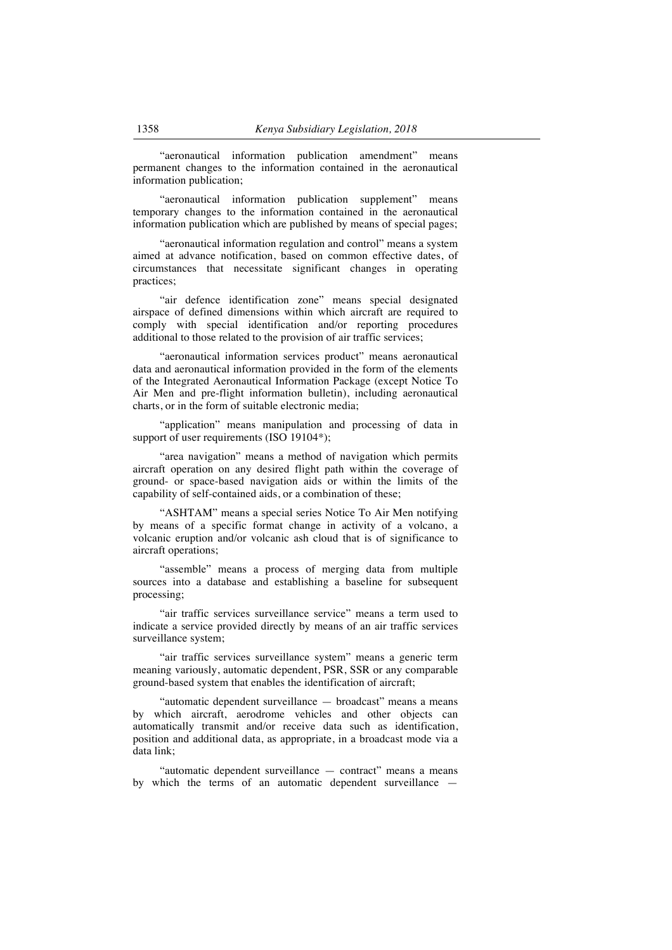"aeronautical information publication amendment" means permanent changes to the information contained in the aeronautical information publication;

"aeronautical information publication supplement" means temporary changes to the information contained in the aeronautical information publication which are published by means of special pages;

"aeronautical information regulation and control" means a system aimed at advance notification, based on common effective dates, of circumstances that necessitate significant changes in operating practices;

"air defence identification zone" means special designated airspace of defined dimensions within which aircraft are required to comply with special identification and/or reporting procedures additional to those related to the provision of air traffic services;

"aeronautical information services product" means aeronautical data and aeronautical information provided in the form of the elements of the Integrated Aeronautical Information Package (except Notice To Air Men and pre-flight information bulletin), including aeronautical charts, or in the form of suitable electronic media;

"application" means manipulation and processing of data in support of user requirements (ISO 19104\*);

"area navigation" means a method of navigation which permits aircraft operation on any desired flight path within the coverage of ground- or space-based navigation aids or within the limits of the capability of self-contained aids, or a combination of these;

"ASHTAM" means a special series Notice To Air Men notifying by means of a specific format change in activity of a volcano, a volcanic eruption and/or volcanic ash cloud that is of significance to aircraft operations;

"assemble" means a process of merging data from multiple sources into a database and establishing a baseline for subsequent processing;

"air traffic services surveillance service" means a term used to indicate a service provided directly by means of an air traffic services surveillance system;

"air traffic services surveillance system" means a generic term meaning variously, automatic dependent, PSR, SSR or any comparable ground-based system that enables the identification of aircraft;

"automatic dependent surveillance — broadcast" means a means by which aircraft, aerodrome vehicles and other objects can automatically transmit and/or receive data such as identification, position and additional data, as appropriate, in a broadcast mode via a data link;

"automatic dependent surveillance — contract" means a means by which the terms of an automatic dependent surveillance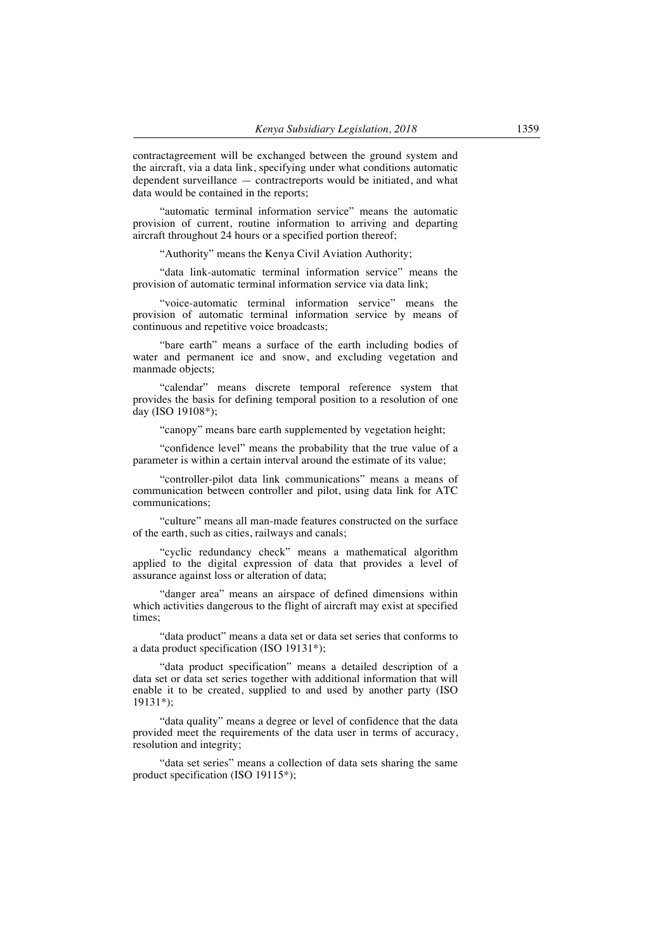contractagreement will be exchanged between the ground system and the aircraft, via a data link, specifying under what conditions automatic dependent surveillance — contractreports would be initiated, and what data would be contained in the reports;

"automatic terminal information service" means the automatic provision of current, routine information to arriving and departing aircraft throughout 24 hours or a specified portion thereof;

"Authority" means the Kenya Civil Aviation Authority;

"data link-automatic terminal information service" means the provision of automatic terminal information service via data link;

"voice-automatic terminal information service" means the provision of automatic terminal information service by means of continuous and repetitive voice broadcasts;

"bare earth" means a surface of the earth including bodies of water and permanent ice and snow, and excluding vegetation and manmade objects;

"calendar" means discrete temporal reference system that provides the basis for defining temporal position to a resolution of one day (ISO 19108\*);

"canopy" means bare earth supplemented by vegetation height;

"confidence level" means the probability that the true value of a parameter is within a certain interval around the estimate of its value;

"controller-pilot data link communications" means a means of communication between controller and pilot, using data link for ATC communications;

"culture" means all man-made features constructed on the surface of the earth, such as cities, railways and canals;

"cyclic redundancy check" means a mathematical algorithm applied to the digital expression of data that provides a level of assurance against loss or alteration of data;

"danger area" means an airspace of defined dimensions within which activities dangerous to the flight of aircraft may exist at specified times;

"data product" means a data set or data set series that conforms to a data product specification (ISO 19131\*);

"data product specification" means a detailed description of a data set or data set series together with additional information that will enable it to be created, supplied to and used by another party (ISO 19131\*);

"data quality" means a degree or level of confidence that the data provided meet the requirements of the data user in terms of accuracy, resolution and integrity;

"data set series" means a collection of data sets sharing the same product specification (ISO 19115\*);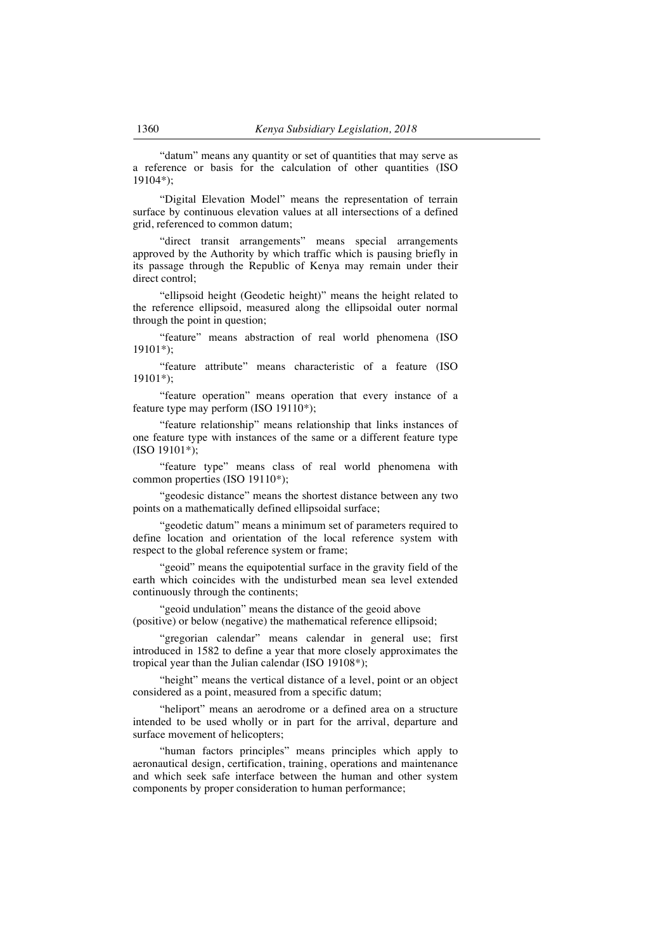"datum" means any quantity or set of quantities that may serve as a reference or basis for the calculation of other quantities (ISO 19104\*);

"Digital Elevation Model" means the representation of terrain surface by continuous elevation values at all intersections of a defined grid, referenced to common datum;

"direct transit arrangements" means special arrangements approved by the Authority by which traffic which is pausing briefly in its passage through the Republic of Kenya may remain under their direct control;

"ellipsoid height (Geodetic height)" means the height related to the reference ellipsoid, measured along the ellipsoidal outer normal through the point in question;

"feature" means abstraction of real world phenomena (ISO 19101\*);

"feature attribute" means characteristic of a feature (ISO 19101\*);

"feature operation" means operation that every instance of a feature type may perform (ISO 19110\*);

"feature relationship" means relationship that links instances of one feature type with instances of the same or a different feature type (ISO 19101\*);

"feature type" means class of real world phenomena with common properties (ISO 19110\*);

"geodesic distance" means the shortest distance between any two points on a mathematically defined ellipsoidal surface;

"geodetic datum" means a minimum set of parameters required to define location and orientation of the local reference system with respect to the global reference system or frame;

"geoid" means the equipotential surface in the gravity field of the earth which coincides with the undisturbed mean sea level extended continuously through the continents;

"geoid undulation" means the distance of the geoid above (positive) or below (negative) the mathematical reference ellipsoid;

"gregorian calendar" means calendar in general use; first introduced in 1582 to define a year that more closely approximates the tropical year than the Julian calendar (ISO 19108\*);

"height" means the vertical distance of a level, point or an object considered as a point, measured from a specific datum;

"heliport" means an aerodrome or a defined area on a structure intended to be used wholly or in part for the arrival, departure and surface movement of helicopters;

"human factors principles" means principles which apply to aeronautical design, certification, training, operations and maintenance and which seek safe interface between the human and other system components by proper consideration to human performance;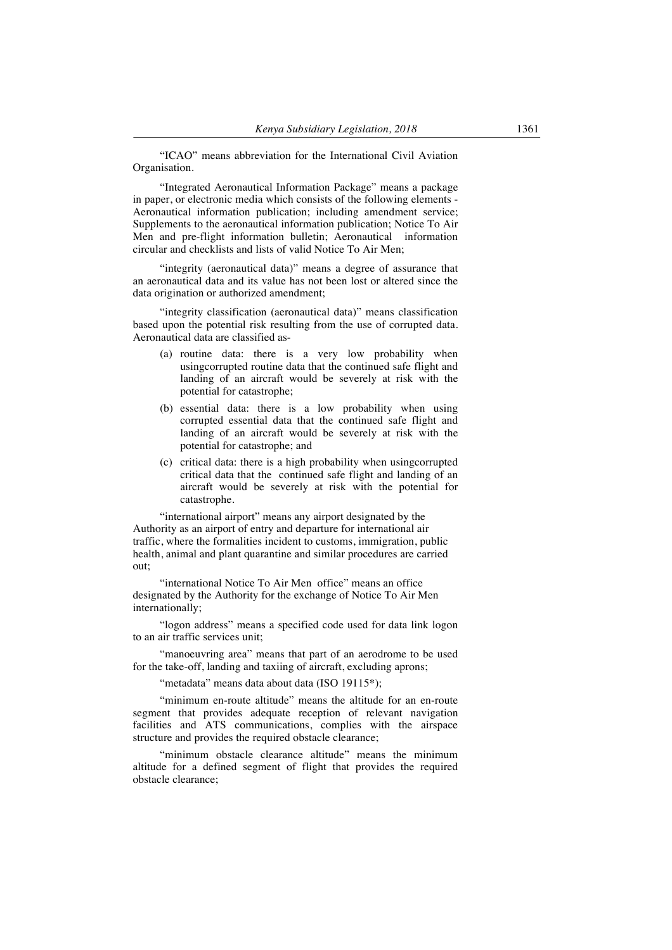"ICAO" means abbreviation for the International Civil Aviation Organisation.

"Integrated Aeronautical Information Package" means a package in paper, or electronic media which consists of the following elements - Aeronautical information publication; including amendment service; Supplements to the aeronautical information publication; Notice To Air Men and pre-flight information bulletin; Aeronautical information circular and checklists and lists of valid Notice To Air Men;

"integrity (aeronautical data)" means a degree of assurance that an aeronautical data and its value has not been lost or altered since the data origination or authorized amendment;

"integrity classification (aeronautical data)" means classification based upon the potential risk resulting from the use of corrupted data. Aeronautical data are classified as-

- (a) routine data: there is a very low probability when usingcorrupted routine data that the continued safe flight and landing of an aircraft would be severely at risk with the potential for catastrophe;
- (b) essential data: there is a low probability when using corrupted essential data that the continued safe flight and landing of an aircraft would be severely at risk with the potential for catastrophe; and
- (c) critical data: there is a high probability when usingcorrupted critical data that the continued safe flight and landing of an aircraft would be severely at risk with the potential for catastrophe.

"international airport" means any airport designated by the Authority as an airport of entry and departure for international air traffic, where the formalities incident to customs, immigration, public health, animal and plant quarantine and similar procedures are carried out;

"international Notice To Air Men office" means an office designated by the Authority for the exchange of Notice To Air Men internationally;

"logon address" means a specified code used for data link logon to an air traffic services unit;

"manoeuvring area" means that part of an aerodrome to be used for the take-off, landing and taxiing of aircraft, excluding aprons;

"metadata" means data about data (ISO 19115\*);

"minimum en-route altitude" means the altitude for an en-route segment that provides adequate reception of relevant navigation facilities and ATS communications, complies with the airspace structure and provides the required obstacle clearance;

"minimum obstacle clearance altitude" means the minimum altitude for a defined segment of flight that provides the required obstacle clearance;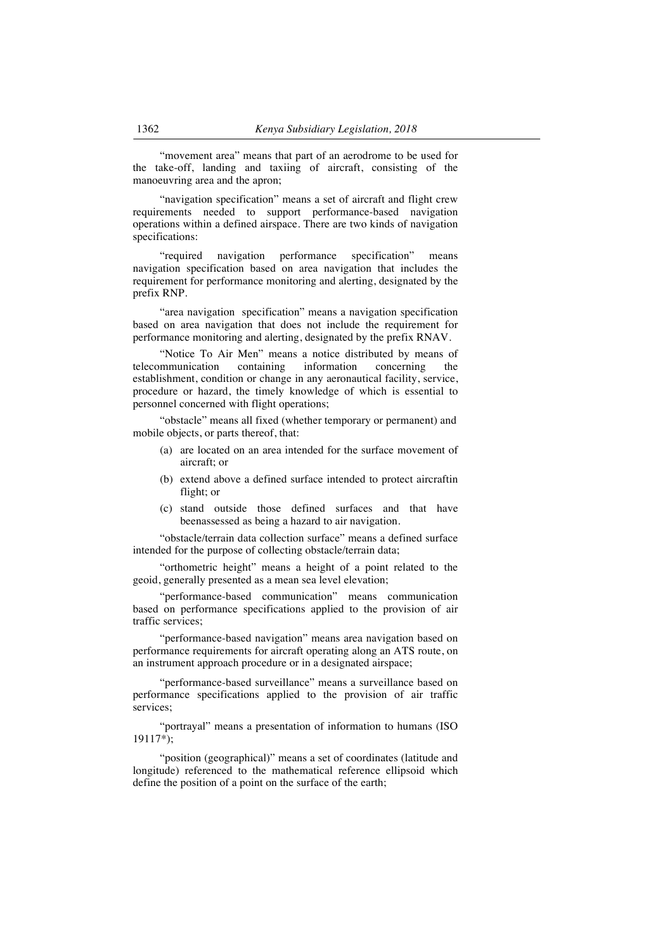"movement area" means that part of an aerodrome to be used for the take-off, landing and taxiing of aircraft, consisting of the manoeuvring area and the apron;

"navigation specification" means a set of aircraft and flight crew requirements needed to support performance-based navigation operations within a defined airspace. There are two kinds of navigation specifications:

"required navigation performance specification" means navigation specification based on area navigation that includes the requirement for performance monitoring and alerting, designated by the prefix RNP.

"area navigation specification" means a navigation specification based on area navigation that does not include the requirement for performance monitoring and alerting, designated by the prefix RNAV.

"Notice To Air Men" means a notice distributed by means of telecommunication containing information concerning the establishment, condition or change in any aeronautical facility, service, procedure or hazard, the timely knowledge of which is essential to personnel concerned with flight operations;

"obstacle" means all fixed (whether temporary or permanent) and mobile objects, or parts thereof, that:

- (a) are located on an area intended for the surface movement of aircraft; or
- (b) extend above a defined surface intended to protect aircraftin flight; or
- (c) stand outside those defined surfaces and that have beenassessed as being a hazard to air navigation.

"obstacle/terrain data collection surface" means a defined surface intended for the purpose of collecting obstacle/terrain data;

"orthometric height" means a height of a point related to the geoid, generally presented as a mean sea level elevation;

"performance-based communication" means communication based on performance specifications applied to the provision of air traffic services;

"performance-based navigation" means area navigation based on performance requirements for aircraft operating along an ATS route, on an instrument approach procedure or in a designated airspace;

"performance-based surveillance" means a surveillance based on performance specifications applied to the provision of air traffic services;

"portrayal" means a presentation of information to humans (ISO  $19117^*$ :

"position (geographical)" means a set of coordinates (latitude and longitude) referenced to the mathematical reference ellipsoid which define the position of a point on the surface of the earth;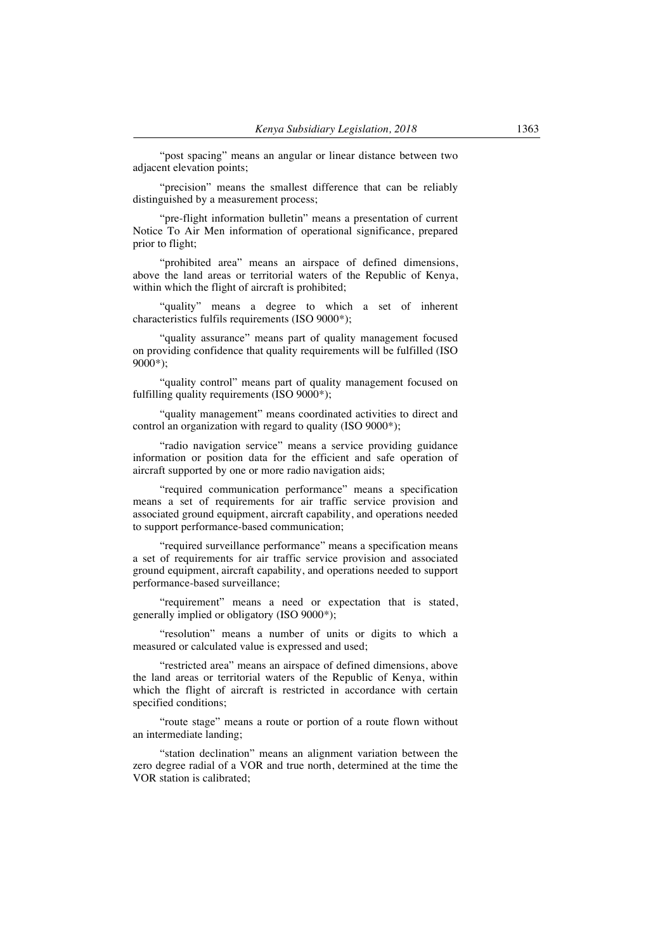"post spacing" means an angular or linear distance between two adjacent elevation points;

"precision" means the smallest difference that can be reliably distinguished by a measurement process;

"pre-flight information bulletin" means a presentation of current Notice To Air Men information of operational significance, prepared prior to flight;

"prohibited area" means an airspace of defined dimensions, above the land areas or territorial waters of the Republic of Kenya, within which the flight of aircraft is prohibited;

"quality" means a degree to which a set of inherent characteristics fulfils requirements (ISO 9000\*);

"quality assurance" means part of quality management focused on providing confidence that quality requirements will be fulfilled (ISO 9000\*);

"quality control" means part of quality management focused on fulfilling quality requirements (ISO 9000\*);

"quality management" means coordinated activities to direct and control an organization with regard to quality (ISO 9000\*);

"radio navigation service" means a service providing guidance information or position data for the efficient and safe operation of aircraft supported by one or more radio navigation aids;

"required communication performance" means a specification means a set of requirements for air traffic service provision and associated ground equipment, aircraft capability, and operations needed to support performance-based communication;

"required surveillance performance" means a specification means a set of requirements for air traffic service provision and associated ground equipment, aircraft capability, and operations needed to support performance-based surveillance;

"requirement" means a need or expectation that is stated, generally implied or obligatory (ISO 9000\*);

"resolution" means a number of units or digits to which a measured or calculated value is expressed and used;

"restricted area" means an airspace of defined dimensions, above the land areas or territorial waters of the Republic of Kenya, within which the flight of aircraft is restricted in accordance with certain specified conditions;

"route stage" means a route or portion of a route flown without an intermediate landing;

"station declination" means an alignment variation between the zero degree radial of a VOR and true north, determined at the time the VOR station is calibrated;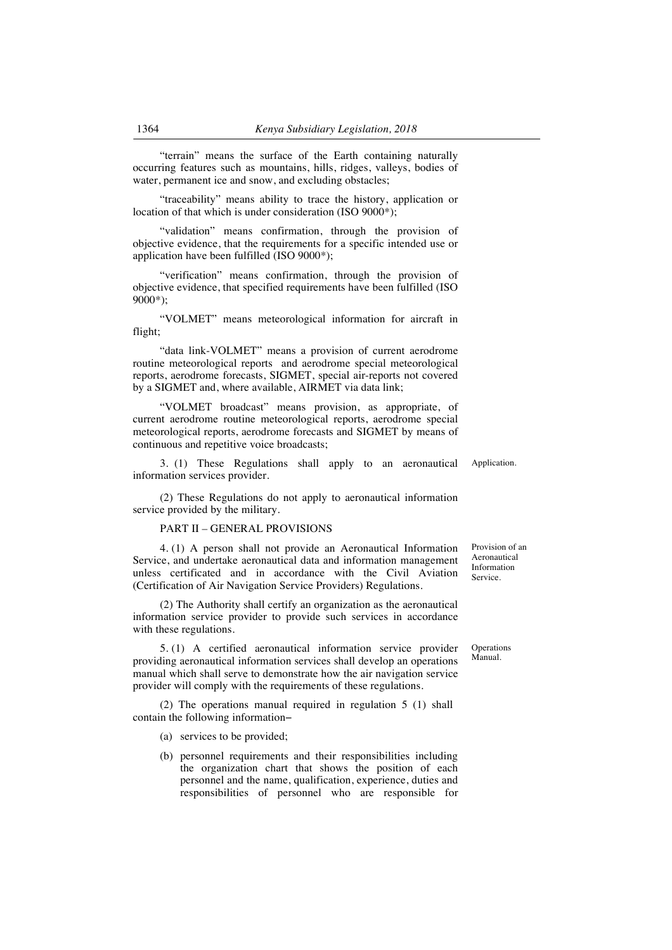"terrain" means the surface of the Earth containing naturally occurring features such as mountains, hills, ridges, valleys, bodies of water, permanent ice and snow, and excluding obstacles;

"traceability" means ability to trace the history, application or location of that which is under consideration (ISO 9000\*);

"validation" means confirmation, through the provision of objective evidence, that the requirements for a specific intended use or application have been fulfilled (ISO 9000\*);

"verification" means confirmation, through the provision of objective evidence, that specified requirements have been fulfilled (ISO 9000\*);

"VOLMET" means meteorological information for aircraft in flight;

"data link-VOLMET" means a provision of current aerodrome routine meteorological reports and aerodrome special meteorological reports, aerodrome forecasts, SIGMET, special air-reports not covered by a SIGMET and, where available, AIRMET via data link;

"VOLMET broadcast" means provision, as appropriate, of current aerodrome routine meteorological reports, aerodrome special meteorological reports, aerodrome forecasts and SIGMET by means of continuous and repetitive voice broadcasts;

3. (1) These Regulations shall apply to an aeronautical information services provider.

(2) These Regulations do not apply to aeronautical information service provided by the military.

### PART II – GENERAL PROVISIONS

4. (1) A person shall not provide an Aeronautical Information Service, and undertake aeronautical data and information management unless certificated and in accordance with the Civil Aviation (Certification of Air Navigation Service Providers) Regulations.

(2) The Authority shall certify an organization as the aeronautical information service provider to provide such services in accordance with these regulations.

5. (1) A certified aeronautical information service provider providing aeronautical information services shall develop an operations manual which shall serve to demonstrate how the air navigation service provider will comply with the requirements of these regulations.

(2) The operations manual required in regulation 5 (1) shall contain the following information−

- (a) services to be provided;
- (b) personnel requirements and their responsibilities including the organization chart that shows the position of each personnel and the name, qualification, experience, duties and responsibilities of personnel who are responsible for

Provision of an Aeronautical Information Service.

**Operations** Manual.

Application.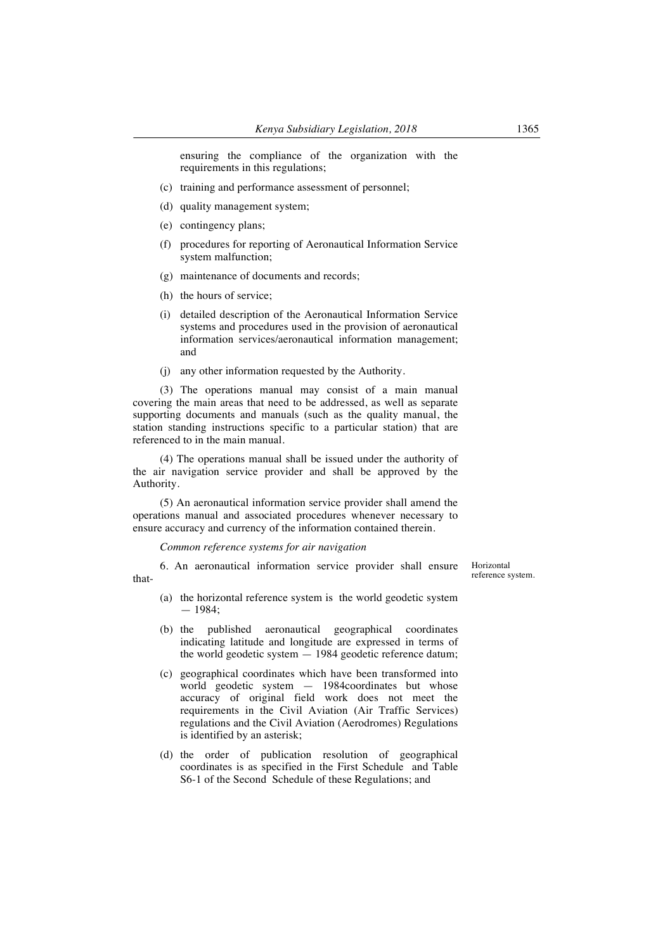ensuring the compliance of the organization with the requirements in this regulations;

- (c) training and performance assessment of personnel;
- (d) quality management system;
- (e) contingency plans;
- (f) procedures for reporting of Aeronautical Information Service system malfunction;
- (g) maintenance of documents and records;
- (h) the hours of service;
- (i) detailed description of the Aeronautical Information Service systems and procedures used in the provision of aeronautical information services/aeronautical information management; and
- (j) any other information requested by the Authority.

(3) The operations manual may consist of a main manual covering the main areas that need to be addressed, as well as separate supporting documents and manuals (such as the quality manual, the station standing instructions specific to a particular station) that are referenced to in the main manual.

(4) The operations manual shall be issued under the authority of the air navigation service provider and shall be approved by the Authority.

(5) An aeronautical information service provider shall amend the operations manual and associated procedures whenever necessary to ensure accuracy and currency of the information contained therein.

*Common reference systems for air navigation*

6. An aeronautical information service provider shall ensure thatHorizontal reference system.

- (a) the horizontal reference system is the world geodetic system — 1984;
- (b) the published aeronautical geographical coordinates indicating latitude and longitude are expressed in terms of the world geodetic system — 1984 geodetic reference datum;
- (c) geographical coordinates which have been transformed into world geodetic system — 1984coordinates but whose accuracy of original field work does not meet the requirements in the Civil Aviation (Air Traffic Services) regulations and the Civil Aviation (Aerodromes) Regulations is identified by an asterisk;
- (d) the order of publication resolution of geographical coordinates is as specified in the First Schedule and Table S6-1 of the Second Schedule of these Regulations; and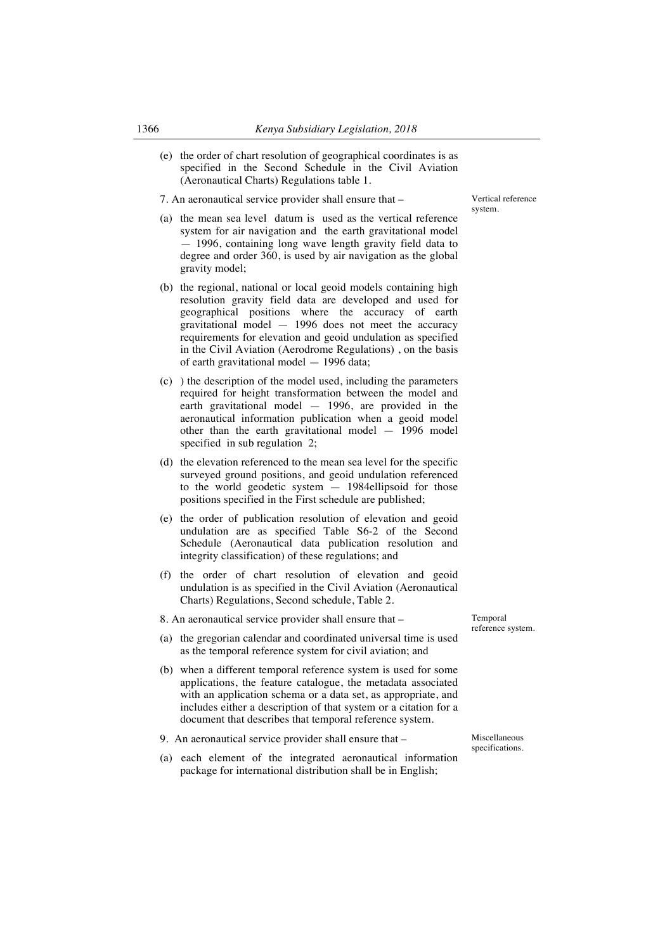(e) the order of chart resolution of geographical coordinates is as specified in the Second Schedule in the Civil Aviation (Aeronautical Charts) Regulations table 1.

7. An aeronautical service provider shall ensure that –

- (a) the mean sea level datum is used as the vertical reference system for air navigation and the earth gravitational model — 1996, containing long wave length gravity field data to degree and order 360, is used by air navigation as the global gravity model;
- (b) the regional, national or local geoid models containing high resolution gravity field data are developed and used for geographical positions where the accuracy of earth gravitational model — 1996 does not meet the accuracy requirements for elevation and geoid undulation as specified in the Civil Aviation (Aerodrome Regulations) , on the basis of earth gravitational model — 1996 data;
- (c) ) the description of the model used, including the parameters required for height transformation between the model and earth gravitational model — 1996, are provided in the aeronautical information publication when a geoid model other than the earth gravitational model — 1996 model specified in sub regulation 2;
- (d) the elevation referenced to the mean sea level for the specific surveyed ground positions, and geoid undulation referenced to the world geodetic system — 1984ellipsoid for those positions specified in the First schedule are published;
- (e) the order of publication resolution of elevation and geoid undulation are as specified Table S6-2 of the Second Schedule (Aeronautical data publication resolution and integrity classification) of these regulations; and
- (f) the order of chart resolution of elevation and geoid undulation is as specified in the Civil Aviation (Aeronautical Charts) Regulations, Second schedule, Table 2.
- 8. An aeronautical service provider shall ensure that –
- (a) the gregorian calendar and coordinated universal time is used as the temporal reference system for civil aviation; and
- (b) when a different temporal reference system is used for some applications, the feature catalogue, the metadata associated with an application schema or a data set, as appropriate, and includes either a description of that system or a citation for a document that describes that temporal reference system.
- 9. An aeronautical service provider shall ensure that –
- (a) each element of the integrated aeronautical information package for international distribution shall be in English;

Temporal reference system.

Miscellaneous specifications.

Vertical reference system.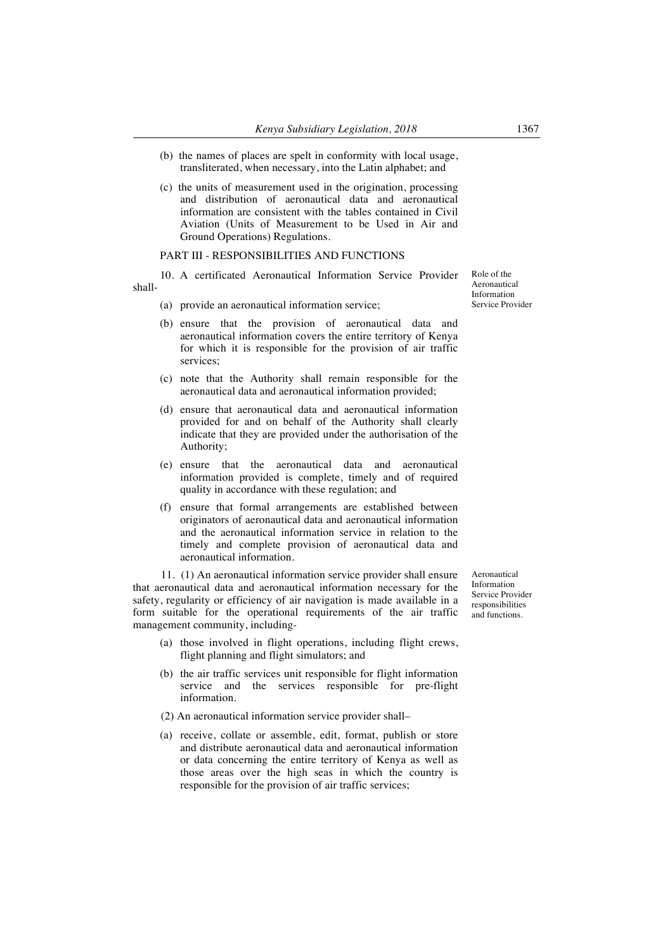- (b) the names of places are spelt in conformity with local usage, transliterated, when necessary, into the Latin alphabet; and
- (c) the units of measurement used in the origination, processing and distribution of aeronautical data and aeronautical information are consistent with the tables contained in Civil Aviation (Units of Measurement to be Used in Air and Ground Operations) Regulations.

#### PART III - RESPONSIBILITIES AND FUNCTIONS

10. A certificated Aeronautical Information Service Provider shall-

- (a) provide an aeronautical information service;
- (b) ensure that the provision of aeronautical data and aeronautical information covers the entire territory of Kenya for which it is responsible for the provision of air traffic services;
- (c) note that the Authority shall remain responsible for the aeronautical data and aeronautical information provided;
- (d) ensure that aeronautical data and aeronautical information provided for and on behalf of the Authority shall clearly indicate that they are provided under the authorisation of the Authority;
- (e) ensure that the aeronautical data and aeronautical information provided is complete, timely and of required quality in accordance with these regulation; and
- (f) ensure that formal arrangements are established between originators of aeronautical data and aeronautical information and the aeronautical information service in relation to the timely and complete provision of aeronautical data and aeronautical information.

11. (1) An aeronautical information service provider shall ensure that aeronautical data and aeronautical information necessary for the safety, regularity or efficiency of air navigation is made available in a form suitable for the operational requirements of the air traffic management community, including-

- (a) those involved in flight operations, including flight crews, flight planning and flight simulators; and
- (b) the air traffic services unit responsible for flight information service and the services responsible for pre-flight information.
- (2) An aeronautical information service provider shall–
- (a) receive, collate or assemble, edit, format, publish or store and distribute aeronautical data and aeronautical information or data concerning the entire territory of Kenya as well as those areas over the high seas in which the country is responsible for the provision of air traffic services;

Aeronautical Information Service Provider responsibilities and functions.

Role of the Aeronautical Information Service Provider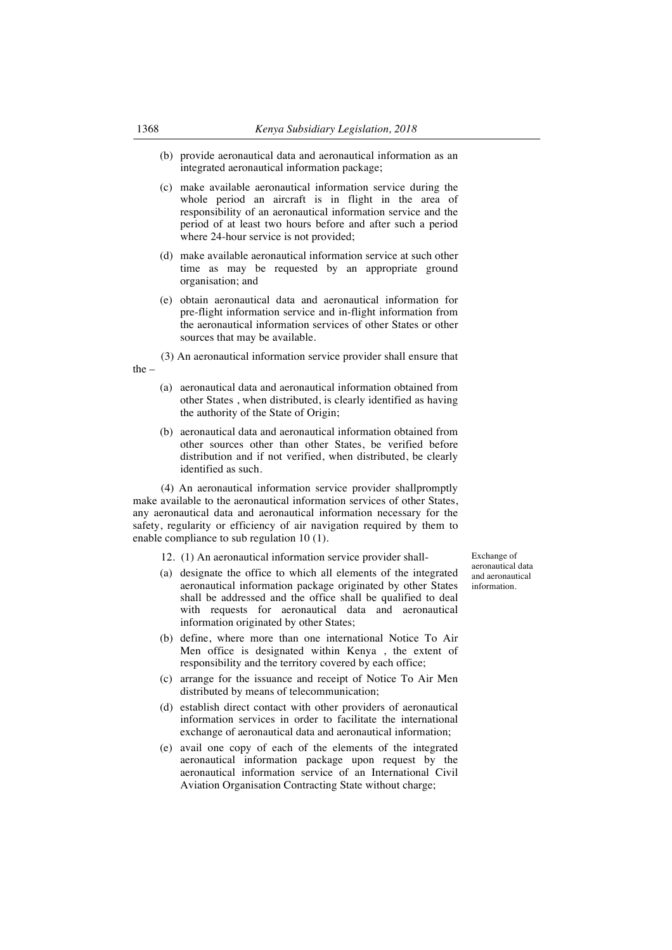- (b) provide aeronautical data and aeronautical information as an integrated aeronautical information package;
- (c) make available aeronautical information service during the whole period an aircraft is in flight in the area of responsibility of an aeronautical information service and the period of at least two hours before and after such a period where 24-hour service is not provided;
- (d) make available aeronautical information service at such other time as may be requested by an appropriate ground organisation; and
- (e) obtain aeronautical data and aeronautical information for pre-flight information service and in-flight information from the aeronautical information services of other States or other sources that may be available.

(3) An aeronautical information service provider shall ensure that the –

- (a) aeronautical data and aeronautical information obtained from other States , when distributed, is clearly identified as having the authority of the State of Origin;
- (b) aeronautical data and aeronautical information obtained from other sources other than other States, be verified before distribution and if not verified, when distributed, be clearly identified as such.

(4) An aeronautical information service provider shallpromptly make available to the aeronautical information services of other States, any aeronautical data and aeronautical information necessary for the safety, regularity or efficiency of air navigation required by them to enable compliance to sub regulation 10 (1).

- 12. (1) An aeronautical information service provider shall-
- (a) designate the office to which all elements of the integrated aeronautical information package originated by other States shall be addressed and the office shall be qualified to deal with requests for aeronautical data and aeronautical information originated by other States;
- (b) define, where more than one international Notice To Air Men office is designated within Kenya , the extent of responsibility and the territory covered by each office;
- (c) arrange for the issuance and receipt of Notice To Air Men distributed by means of telecommunication;
- (d) establish direct contact with other providers of aeronautical information services in order to facilitate the international exchange of aeronautical data and aeronautical information;
- (e) avail one copy of each of the elements of the integrated aeronautical information package upon request by the aeronautical information service of an International Civil Aviation Organisation Contracting State without charge;

Exchange of aeronautical data and aeronautical information.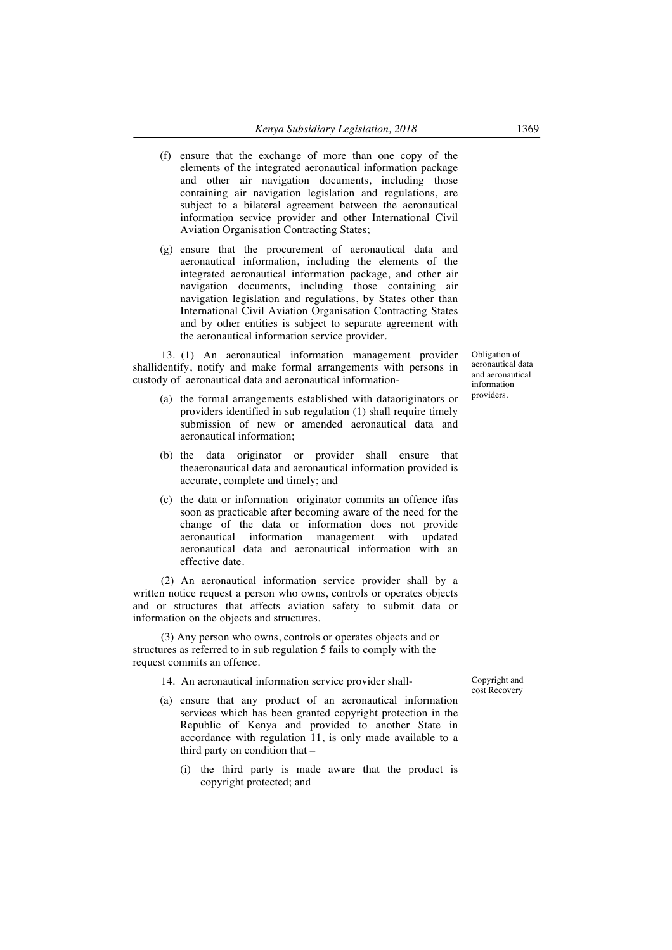- (f) ensure that the exchange of more than one copy of the elements of the integrated aeronautical information package and other air navigation documents, including those containing air navigation legislation and regulations, are subject to a bilateral agreement between the aeronautical information service provider and other International Civil Aviation Organisation Contracting States;
- (g) ensure that the procurement of aeronautical data and aeronautical information, including the elements of the integrated aeronautical information package, and other air navigation documents, including those containing air navigation legislation and regulations, by States other than International Civil Aviation Organisation Contracting States and by other entities is subject to separate agreement with the aeronautical information service provider.

13. (1) An aeronautical information management provider shallidentify, notify and make formal arrangements with persons in custody of aeronautical data and aeronautical information-

- (a) the formal arrangements established with dataoriginators or providers identified in sub regulation (1) shall require timely submission of new or amended aeronautical data and aeronautical information;
- (b) the data originator or provider shall ensure that theaeronautical data and aeronautical information provided is accurate, complete and timely; and
- (c) the data or information originator commits an offence ifas soon as practicable after becoming aware of the need for the change of the data or information does not provide aeronautical information management with updated aeronautical data and aeronautical information with an effective date.

(2) An aeronautical information service provider shall by a written notice request a person who owns, controls or operates objects and or structures that affects aviation safety to submit data or information on the objects and structures.

(3) Any person who owns, controls or operates objects and or structures as referred to in sub regulation 5 fails to comply with the request commits an offence.

14. An aeronautical information service provider shall-

- (a) ensure that any product of an aeronautical information services which has been granted copyright protection in the Republic of Kenya and provided to another State in accordance with regulation 11, is only made available to a third party on condition that –
	- (i) the third party is made aware that the product is copyright protected; and

Obligation of aeronautical data and aeronautical information providers.

Copyright and cost Recovery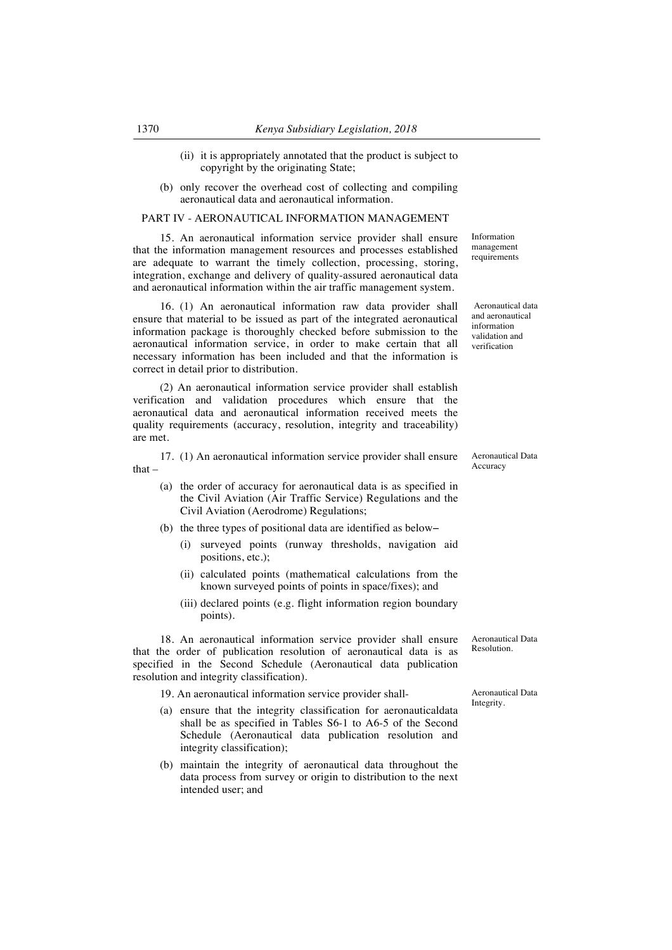- (ii) it is appropriately annotated that the product is subject to copyright by the originating State;
- (b) only recover the overhead cost of collecting and compiling aeronautical data and aeronautical information.

### PART IV - AERONAUTICAL INFORMATION MANAGEMENT

15. An aeronautical information service provider shall ensure that the information management resources and processes established are adequate to warrant the timely collection, processing, storing, integration, exchange and delivery of quality-assured aeronautical data and aeronautical information within the air traffic management system.

16. (1) An aeronautical information raw data provider shall ensure that material to be issued as part of the integrated aeronautical information package is thoroughly checked before submission to the aeronautical information service, in order to make certain that all necessary information has been included and that the information is correct in detail prior to distribution.

(2) An aeronautical information service provider shall establish verification and validation procedures which ensure that the aeronautical data and aeronautical information received meets the quality requirements (accuracy, resolution, integrity and traceability) are met.

17. (1) An aeronautical information service provider shall ensure that –

- (a) the order of accuracy for aeronautical data is as specified in the Civil Aviation (Air Traffic Service) Regulations and the Civil Aviation (Aerodrome) Regulations;
- (b) the three types of positional data are identified as below−
	- (i) surveyed points (runway thresholds, navigation aid positions, etc.);
	- (ii) calculated points (mathematical calculations from the known surveyed points of points in space/fixes); and
	- (iii) declared points (e.g. flight information region boundary points).

18. An aeronautical information service provider shall ensure that the order of publication resolution of aeronautical data is as specified in the Second Schedule (Aeronautical data publication resolution and integrity classification).

19. An aeronautical information service provider shall-

- (a) ensure that the integrity classification for aeronauticaldata shall be as specified in Tables S6-1 to A6-5 of the Second Schedule (Aeronautical data publication resolution and integrity classification);
- (b) maintain the integrity of aeronautical data throughout the data process from survey or origin to distribution to the next intended user; and

Information management requirements

Aeronautical data and aeronautical information validation and verification

Aeronautical Data Accuracy

Aeronautical Data Resolution.

Aeronautical Data Integrity.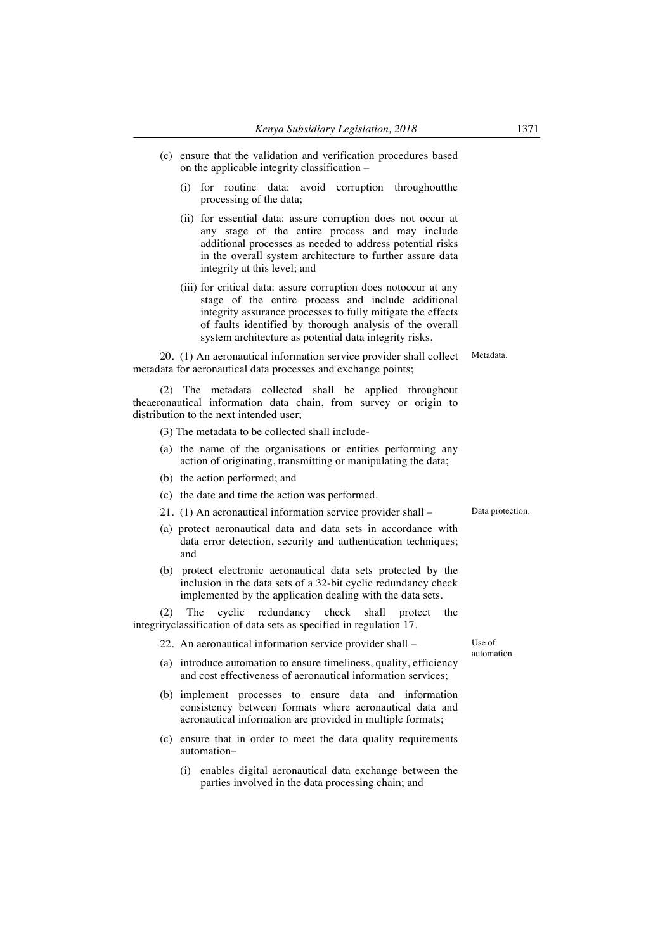- (c) ensure that the validation and verification procedures based on the applicable integrity classification –
	- (i) for routine data: avoid corruption throughoutthe processing of the data;
	- (ii) for essential data: assure corruption does not occur at any stage of the entire process and may include additional processes as needed to address potential risks in the overall system architecture to further assure data integrity at this level; and
	- (iii) for critical data: assure corruption does notoccur at any stage of the entire process and include additional integrity assurance processes to fully mitigate the effects of faults identified by thorough analysis of the overall system architecture as potential data integrity risks.

20. (1) An aeronautical information service provider shall collect metadata for aeronautical data processes and exchange points;

(2) The metadata collected shall be applied throughout theaeronautical information data chain, from survey or origin to distribution to the next intended user;

- (3) The metadata to be collected shall include-
- (a) the name of the organisations or entities performing any action of originating, transmitting or manipulating the data;
- (b) the action performed; and
- (c) the date and time the action was performed.
- 21. (1) An aeronautical information service provider shall –
- (a) protect aeronautical data and data sets in accordance with data error detection, security and authentication techniques; and
- (b) protect electronic aeronautical data sets protected by the inclusion in the data sets of a 32-bit cyclic redundancy check implemented by the application dealing with the data sets.

(2) The cyclic redundancy check shall protect the integrityclassification of data sets as specified in regulation 17.

22. An aeronautical information service provider shall –

- (a) introduce automation to ensure timeliness, quality, efficiency and cost effectiveness of aeronautical information services;
- (b) implement processes to ensure data and information consistency between formats where aeronautical data and aeronautical information are provided in multiple formats;
- (c) ensure that in order to meet the data quality requirements automation–
	- (i) enables digital aeronautical data exchange between the parties involved in the data processing chain; and

Use of automation.

Metadata.

Data protection.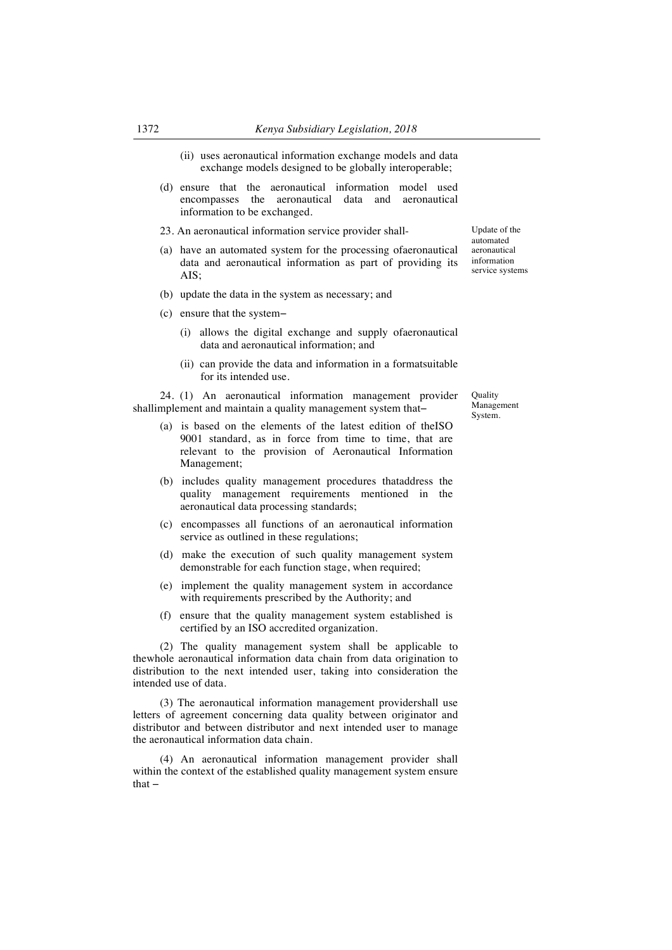- (ii) uses aeronautical information exchange models and data exchange models designed to be globally interoperable;
- (d) ensure that the aeronautical information model used encompasses the aeronautical data and aeronautical information to be exchanged.
- 23. An aeronautical information service provider shall-
- (a) have an automated system for the processing ofaeronautical data and aeronautical information as part of providing its AIS;
- (b) update the data in the system as necessary; and
- (c) ensure that the system−
	- (i) allows the digital exchange and supply ofaeronautical data and aeronautical information; and
	- (ii) can provide the data and information in a formatsuitable for its intended use.

24. (1) An aeronautical information management provider shallimplement and maintain a quality management system that−

- (a) is based on the elements of the latest edition of theISO 9001 standard, as in force from time to time, that are relevant to the provision of Aeronautical Information Management;
- (b) includes quality management procedures thataddress the quality management requirements mentioned in the aeronautical data processing standards;
- (c) encompasses all functions of an aeronautical information service as outlined in these regulations;
- (d) make the execution of such quality management system demonstrable for each function stage, when required;
- (e) implement the quality management system in accordance with requirements prescribed by the Authority; and
- (f) ensure that the quality management system established is certified by an ISO accredited organization.

(2) The quality management system shall be applicable to thewhole aeronautical information data chain from data origination to distribution to the next intended user, taking into consideration the intended use of data.

(3) The aeronautical information management providershall use letters of agreement concerning data quality between originator and distributor and between distributor and next intended user to manage the aeronautical information data chain.

(4) An aeronautical information management provider shall within the context of the established quality management system ensure that −

Update of the automated aeronautical information service systems

Quality Management System.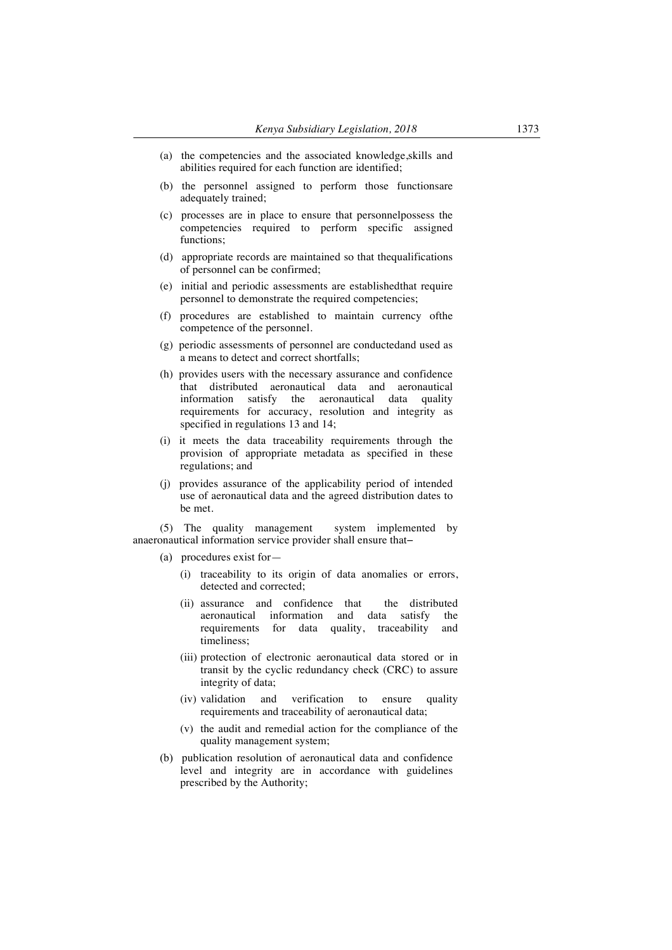- (a) the competencies and the associated knowledge,skills and abilities required for each function are identified;
- (b) the personnel assigned to perform those functionsare adequately trained;
- (c) processes are in place to ensure that personnelpossess the competencies required to perform specific assigned functions;
- (d) appropriate records are maintained so that thequalifications of personnel can be confirmed;
- (e) initial and periodic assessments are establishedthat require personnel to demonstrate the required competencies;
- (f) procedures are established to maintain currency ofthe competence of the personnel.
- (g) periodic assessments of personnel are conductedand used as a means to detect and correct shortfalls;
- (h) provides users with the necessary assurance and confidence that distributed aeronautical data and aeronautical information satisfy the aeronautical data quality requirements for accuracy, resolution and integrity as specified in regulations 13 and 14;
- (i) it meets the data traceability requirements through the provision of appropriate metadata as specified in these regulations; and
- (j) provides assurance of the applicability period of intended use of aeronautical data and the agreed distribution dates to be met.

(5) The quality management system implemented by anaeronautical information service provider shall ensure that−

- (a) procedures exist for—
	- (i) traceability to its origin of data anomalies or errors, detected and corrected;
	- (ii) assurance and confidence that the distributed aeronautical information and data satisfy the requirements for data quality, traceability timeliness;
	- (iii) protection of electronic aeronautical data stored or in transit by the cyclic redundancy check (CRC) to assure integrity of data;
	- (iv) validation and verification to ensure quality requirements and traceability of aeronautical data;
	- (v) the audit and remedial action for the compliance of the quality management system;
- (b) publication resolution of aeronautical data and confidence level and integrity are in accordance with guidelines prescribed by the Authority;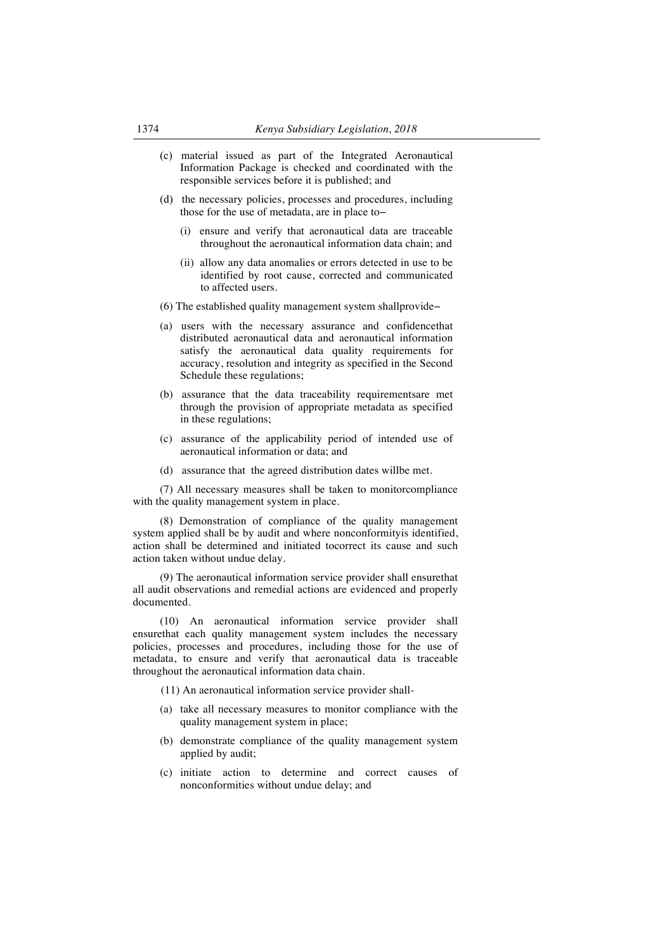- (c) material issued as part of the Integrated Aeronautical Information Package is checked and coordinated with the responsible services before it is published; and
- (d) the necessary policies, processes and procedures, including those for the use of metadata, are in place to−
	- (i) ensure and verify that aeronautical data are traceable throughout the aeronautical information data chain; and
	- (ii) allow any data anomalies or errors detected in use to be identified by root cause, corrected and communicated to affected users.
- (6) The established quality management system shallprovide−
- (a) users with the necessary assurance and confidencethat distributed aeronautical data and aeronautical information satisfy the aeronautical data quality requirements for accuracy, resolution and integrity as specified in the Second Schedule these regulations;
- (b) assurance that the data traceability requirementsare met through the provision of appropriate metadata as specified in these regulations;
- (c) assurance of the applicability period of intended use of aeronautical information or data; and
- (d) assurance that the agreed distribution dates willbe met.

(7) All necessary measures shall be taken to monitorcompliance with the quality management system in place.

(8) Demonstration of compliance of the quality management system applied shall be by audit and where nonconformityis identified, action shall be determined and initiated tocorrect its cause and such action taken without undue delay.

(9) The aeronautical information service provider shall ensurethat all audit observations and remedial actions are evidenced and properly documented.

(10) An aeronautical information service provider shall ensurethat each quality management system includes the necessary policies, processes and procedures, including those for the use of metadata, to ensure and verify that aeronautical data is traceable throughout the aeronautical information data chain.

(11) An aeronautical information service provider shall-

- (a) take all necessary measures to monitor compliance with the quality management system in place;
- (b) demonstrate compliance of the quality management system applied by audit;
- (c) initiate action to determine and correct causes of nonconformities without undue delay; and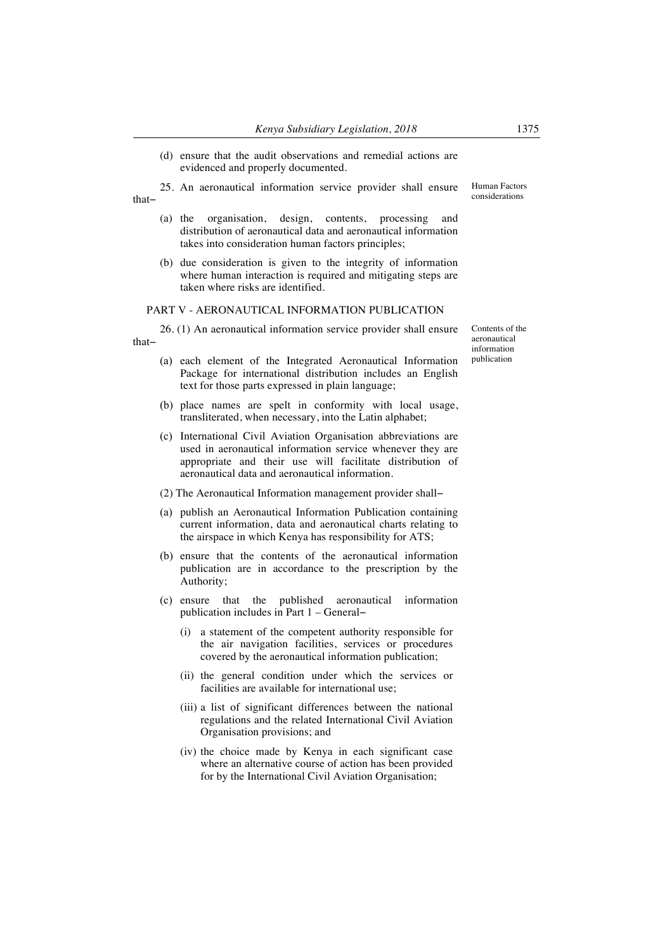(d) ensure that the audit observations and remedial actions are evidenced and properly documented.

25. An aeronautical information service provider shall ensure that− Human Factors considerations

- (a) the organisation, design, contents, processing and distribution of aeronautical data and aeronautical information takes into consideration human factors principles;
- (b) due consideration is given to the integrity of information where human interaction is required and mitigating steps are taken where risks are identified.

#### PART V - AERONAUTICAL INFORMATION PUBLICATION

26. (1) An aeronautical information service provider shall ensure that−

- (a) each element of the Integrated Aeronautical Information Package for international distribution includes an English text for those parts expressed in plain language;
- (b) place names are spelt in conformity with local usage, transliterated, when necessary, into the Latin alphabet;
- (c) International Civil Aviation Organisation abbreviations are used in aeronautical information service whenever they are appropriate and their use will facilitate distribution of aeronautical data and aeronautical information.
- (2) The Aeronautical Information management provider shall−
- (a) publish an Aeronautical Information Publication containing current information, data and aeronautical charts relating to the airspace in which Kenya has responsibility for ATS;
- (b) ensure that the contents of the aeronautical information publication are in accordance to the prescription by the Authority;
- (c) ensure that the published aeronautical information publication includes in Part 1 – General−
	- (i) a statement of the competent authority responsible for the air navigation facilities, services or procedures covered by the aeronautical information publication;
	- (ii) the general condition under which the services or facilities are available for international use;
	- (iii) a list of significant differences between the national regulations and the related International Civil Aviation Organisation provisions; and
	- (iv) the choice made by Kenya in each significant case where an alternative course of action has been provided for by the International Civil Aviation Organisation;

Contents of the aeronautical information publication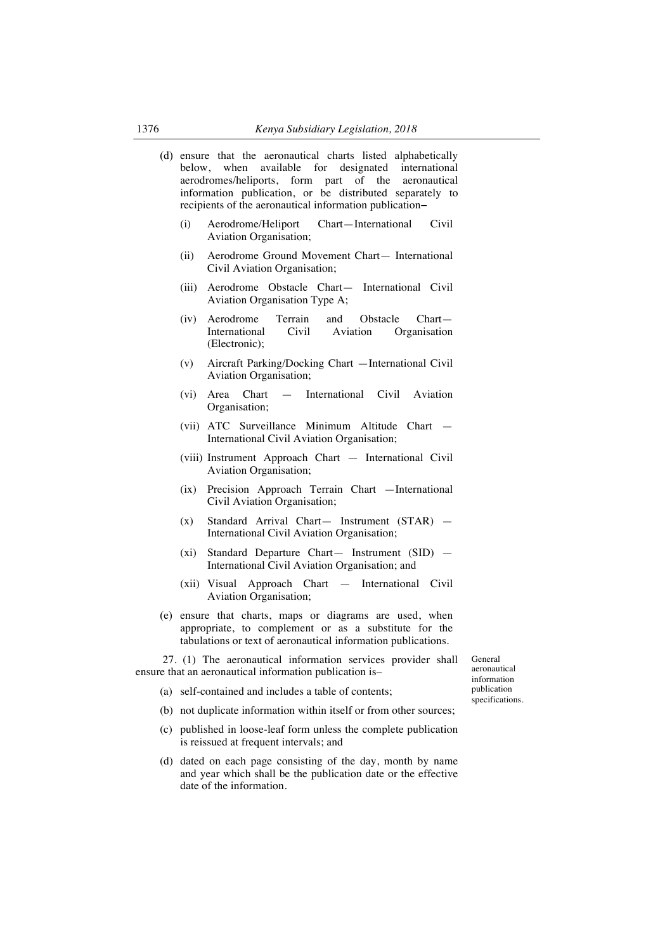|     | (d) ensure that the aeronautical charts listed alphabetically<br>when available for<br>designated international<br>below.<br>aerodromes/heliports, form part of the<br>aeronautical<br>information publication, or be distributed separately to<br>recipients of the aeronautical information publication- |                                                                                                                                                                               |               |
|-----|------------------------------------------------------------------------------------------------------------------------------------------------------------------------------------------------------------------------------------------------------------------------------------------------------------|-------------------------------------------------------------------------------------------------------------------------------------------------------------------------------|---------------|
|     | (i)                                                                                                                                                                                                                                                                                                        | Aerodrome/Heliport<br>Chart-International<br>Civil<br>Aviation Organisation;                                                                                                  |               |
|     | (ii)                                                                                                                                                                                                                                                                                                       | Aerodrome Ground Movement Chart- International<br>Civil Aviation Organisation;                                                                                                |               |
|     | (iii)                                                                                                                                                                                                                                                                                                      | Aerodrome Obstacle Chart- International Civil<br>Aviation Organisation Type A;                                                                                                |               |
|     | (iv)                                                                                                                                                                                                                                                                                                       | Aerodrome<br>Terrain<br>and<br>Obstacle<br>$Chart-$<br>International<br>Civil<br>Aviation<br>Organisation<br>(Electronic);                                                    |               |
|     | (v)                                                                                                                                                                                                                                                                                                        | Aircraft Parking/Docking Chart - International Civil<br>Aviation Organisation;                                                                                                |               |
|     | (vi)                                                                                                                                                                                                                                                                                                       | Chart<br>International Civil<br>Aviation<br>Area<br>$\overline{\phantom{0}}$<br>Organisation;                                                                                 |               |
|     |                                                                                                                                                                                                                                                                                                            | (vii) ATC Surveillance Minimum Altitude Chart -<br>International Civil Aviation Organisation;                                                                                 |               |
|     |                                                                                                                                                                                                                                                                                                            | (viii) Instrument Approach Chart - International Civil<br>Aviation Organisation;                                                                                              |               |
|     | (ix)                                                                                                                                                                                                                                                                                                       | Precision Approach Terrain Chart - International<br>Civil Aviation Organisation;                                                                                              |               |
|     | (x)                                                                                                                                                                                                                                                                                                        | Standard Arrival Chart- Instrument (STAR) -<br>International Civil Aviation Organisation;                                                                                     |               |
|     | (xi)                                                                                                                                                                                                                                                                                                       | Standard Departure Chart- Instrument (SID) -<br>International Civil Aviation Organisation; and                                                                                |               |
|     |                                                                                                                                                                                                                                                                                                            | (xii) Visual Approach Chart — International Civil<br>Aviation Organisation;                                                                                                   |               |
| (e) |                                                                                                                                                                                                                                                                                                            | ensure that charts, maps or diagrams are used, when<br>appropriate, to complement or as a substitute for the<br>tabulations or text of aeronautical information publications. |               |
|     |                                                                                                                                                                                                                                                                                                            | 27. (1) The aeronautical information services provider shall<br>ensure that an aeronautical information publication is-                                                       | G<br>ae<br>in |
| (a) |                                                                                                                                                                                                                                                                                                            | self-contained and includes a table of contents;                                                                                                                              | pı            |
|     |                                                                                                                                                                                                                                                                                                            | (b) not duplicate information within itself or from other sources;                                                                                                            | sp            |
|     |                                                                                                                                                                                                                                                                                                            | (c) published in loose-leaf form unless the complete publication<br>is reissued at frequent intervals; and                                                                    |               |
|     |                                                                                                                                                                                                                                                                                                            |                                                                                                                                                                               |               |

(d) dated on each page consisting of the day, month by name and year which shall be the publication date or the effective date of the information.

eneral eronautical information publication specifications.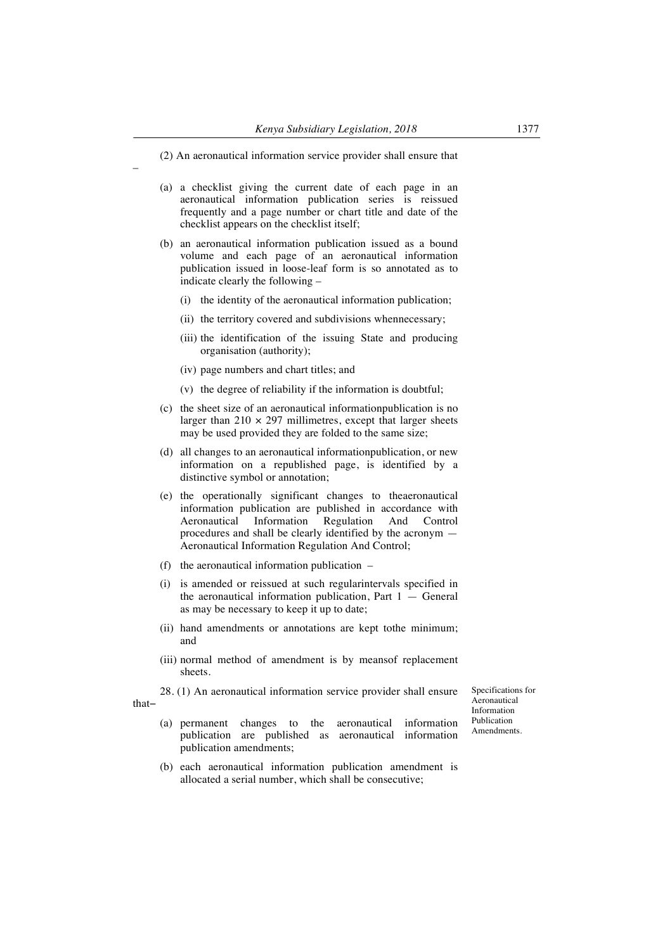- (a) a checklist giving the current date of each page in an aeronautical information publication series is reissued frequently and a page number or chart title and date of the checklist appears on the checklist itself;
- (b) an aeronautical information publication issued as a bound volume and each page of an aeronautical information publication issued in loose-leaf form is so annotated as to indicate clearly the following –
	- (i) the identity of the aeronautical information publication;
	- (ii) the territory covered and subdivisions whennecessary;
	- (iii) the identification of the issuing State and producing organisation (authority);
	- (iv) page numbers and chart titles; and

–

- (v) the degree of reliability if the information is doubtful;
- (c) the sheet size of an aeronautical informationpublication is no larger than  $210 \times 297$  millimetres, except that larger sheets may be used provided they are folded to the same size;
- (d) all changes to an aeronautical informationpublication, or new information on a republished page, is identified by a distinctive symbol or annotation;
- (e) the operationally significant changes to theaeronautical information publication are published in accordance with Aeronautical Information Regulation And Control procedures and shall be clearly identified by the acronym — Aeronautical Information Regulation And Control;
- (f) the aeronautical information publication –
- (i) is amended or reissued at such regularintervals specified in the aeronautical information publication, Part  $1 -$  General as may be necessary to keep it up to date;
- (ii) hand amendments or annotations are kept tothe minimum; and
- (iii) normal method of amendment is by meansof replacement sheets.
- 28. (1) An aeronautical information service provider shall ensure that−

Specifications for Aeronautical Information Publication Amendments.

- (a) permanent changes to the aeronautical information publication are published as aeronautical information publication amendments;
- (b) each aeronautical information publication amendment is allocated a serial number, which shall be consecutive;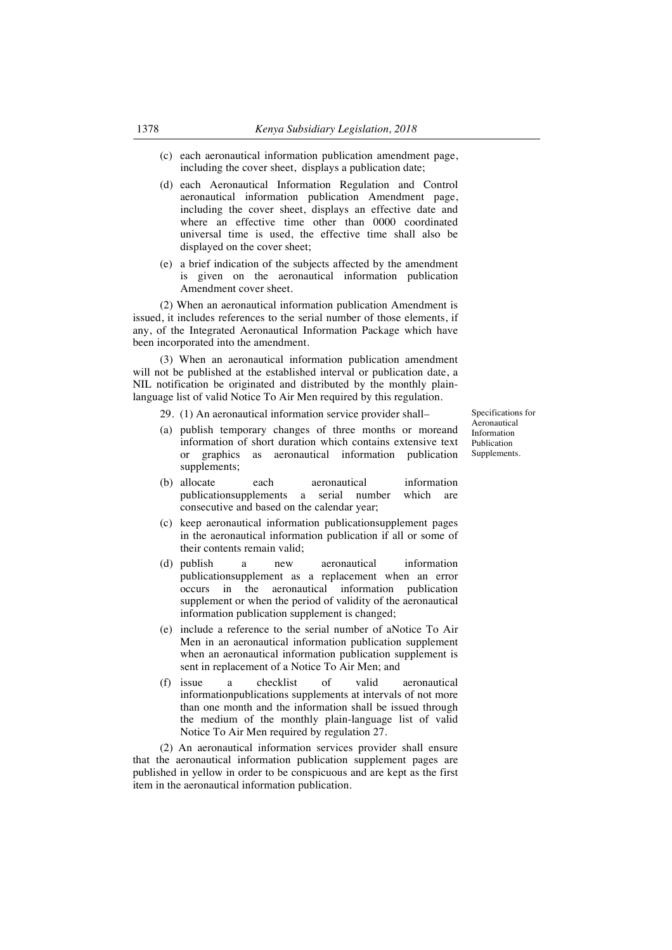- (c) each aeronautical information publication amendment page, including the cover sheet, displays a publication date;
- (d) each Aeronautical Information Regulation and Control aeronautical information publication Amendment page, including the cover sheet, displays an effective date and where an effective time other than 0000 coordinated universal time is used, the effective time shall also be displayed on the cover sheet;
- (e) a brief indication of the subjects affected by the amendment is given on the aeronautical information publication Amendment cover sheet.

(2) When an aeronautical information publication Amendment is issued, it includes references to the serial number of those elements, if any, of the Integrated Aeronautical Information Package which have been incorporated into the amendment.

(3) When an aeronautical information publication amendment will not be published at the established interval or publication date, a NIL notification be originated and distributed by the monthly plainlanguage list of valid Notice To Air Men required by this regulation.

- 29. (1) An aeronautical information service provider shall–
- (a) publish temporary changes of three months or moreand information of short duration which contains extensive text or graphics as aeronautical information publication supplements;
- (b) allocate each aeronautical information publicationsupplements a serial number which are consecutive and based on the calendar year;
- (c) keep aeronautical information publicationsupplement pages in the aeronautical information publication if all or some of their contents remain valid;
- (d) publish a new aeronautical information publicationsupplement as a replacement when an error occurs in the aeronautical information publication supplement or when the period of validity of the aeronautical information publication supplement is changed;
- (e) include a reference to the serial number of aNotice To Air Men in an aeronautical information publication supplement when an aeronautical information publication supplement is sent in replacement of a Notice To Air Men; and
- (f) issue a checklist of valid aeronautical informationpublications supplements at intervals of not more than one month and the information shall be issued through the medium of the monthly plain-language list of valid Notice To Air Men required by regulation 27.

(2) An aeronautical information services provider shall ensure that the aeronautical information publication supplement pages are published in yellow in order to be conspicuous and are kept as the first item in the aeronautical information publication.

Specifications for Aeronautical Information Publication Supplements.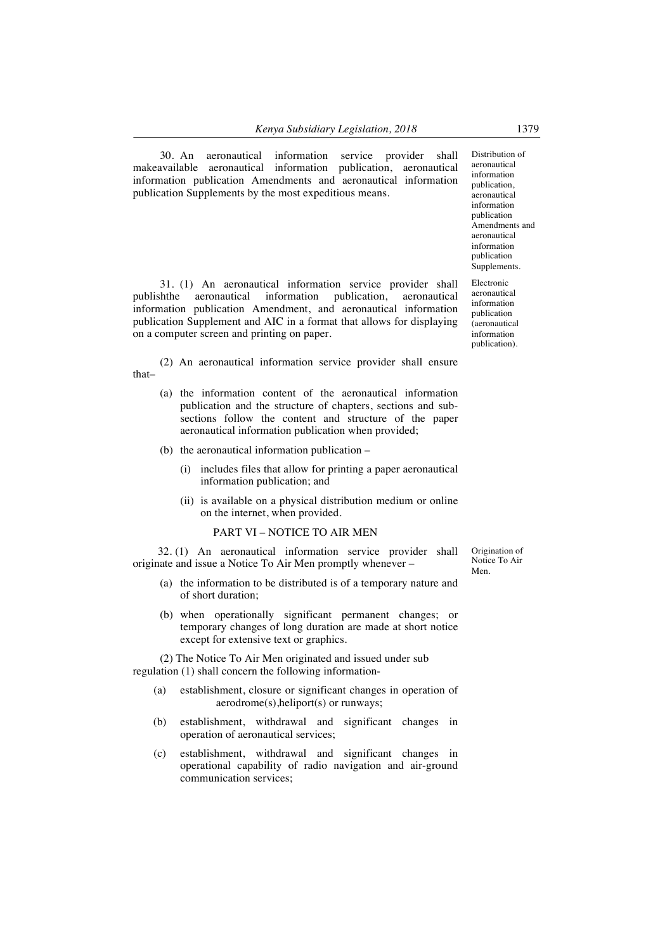30. An aeronautical information service provider shall makeavailable aeronautical information publication, aeronautical information publication Amendments and aeronautical information publication Supplements by the most expeditious means.

31. (1) An aeronautical information service provider shall publishthe aeronautical information publication, aeronautical information publication Amendment, and aeronautical information publication Supplement and AIC in a format that allows for displaying on a computer screen and printing on paper.

(2) An aeronautical information service provider shall ensure that–

- (a) the information content of the aeronautical information publication and the structure of chapters, sections and subsections follow the content and structure of the paper aeronautical information publication when provided;
- (b) the aeronautical information publication
	- (i) includes files that allow for printing a paper aeronautical information publication; and
	- (ii) is available on a physical distribution medium or online on the internet, when provided.

#### PART VI – NOTICE TO AIR MEN

32. (1) An aeronautical information service provider shall originate and issue a Notice To Air Men promptly whenever –

- (a) the information to be distributed is of a temporary nature and of short duration;
- (b) when operationally significant permanent changes; or temporary changes of long duration are made at short notice except for extensive text or graphics.

(2) The Notice To Air Men originated and issued under sub regulation (1) shall concern the following information-

- (a) establishment, closure or significant changes in operation of aerodrome(s),heliport(s) or runways;
- (b) establishment, withdrawal and significant changes in operation of aeronautical services;
- (c) establishment, withdrawal and significant changes in operational capability of radio navigation and air-ground communication services;

Origination of Notice To Air Men.

publication, aeronautical information publication Amendments and aeronautical information publication Supplements. Electronic aeronautical

Distribution of aeronautical information

information publication (aeronautical information publication).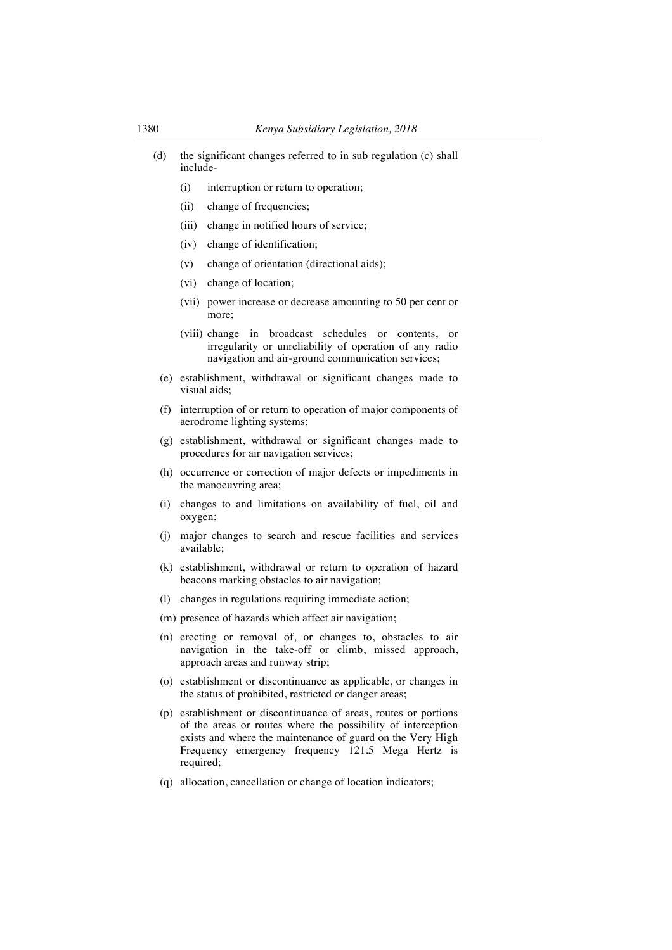- (d) the significant changes referred to in sub regulation (c) shall include-
	- (i) interruption or return to operation;
	- (ii) change of frequencies;
	- (iii) change in notified hours of service;
	- (iv) change of identification;
	- (v) change of orientation (directional aids);
	- (vi) change of location;
	- (vii) power increase or decrease amounting to 50 per cent or more;
	- (viii) change in broadcast schedules or contents, or irregularity or unreliability of operation of any radio navigation and air-ground communication services;
	- (e) establishment, withdrawal or significant changes made to visual aids;
- (f) interruption of or return to operation of major components of aerodrome lighting systems;
- (g) establishment, withdrawal or significant changes made to procedures for air navigation services;
- (h) occurrence or correction of major defects or impediments in the manoeuvring area;
- (i) changes to and limitations on availability of fuel, oil and oxygen;
- (j) major changes to search and rescue facilities and services available;
- (k) establishment, withdrawal or return to operation of hazard beacons marking obstacles to air navigation;
- (l) changes in regulations requiring immediate action;
- (m) presence of hazards which affect air navigation;
- (n) erecting or removal of, or changes to, obstacles to air navigation in the take-off or climb, missed approach, approach areas and runway strip;
- (o) establishment or discontinuance as applicable, or changes in the status of prohibited, restricted or danger areas;
- (p) establishment or discontinuance of areas, routes or portions of the areas or routes where the possibility of interception exists and where the maintenance of guard on the Very High Frequency emergency frequency 121.5 Mega Hertz is required;
- (q) allocation, cancellation or change of location indicators;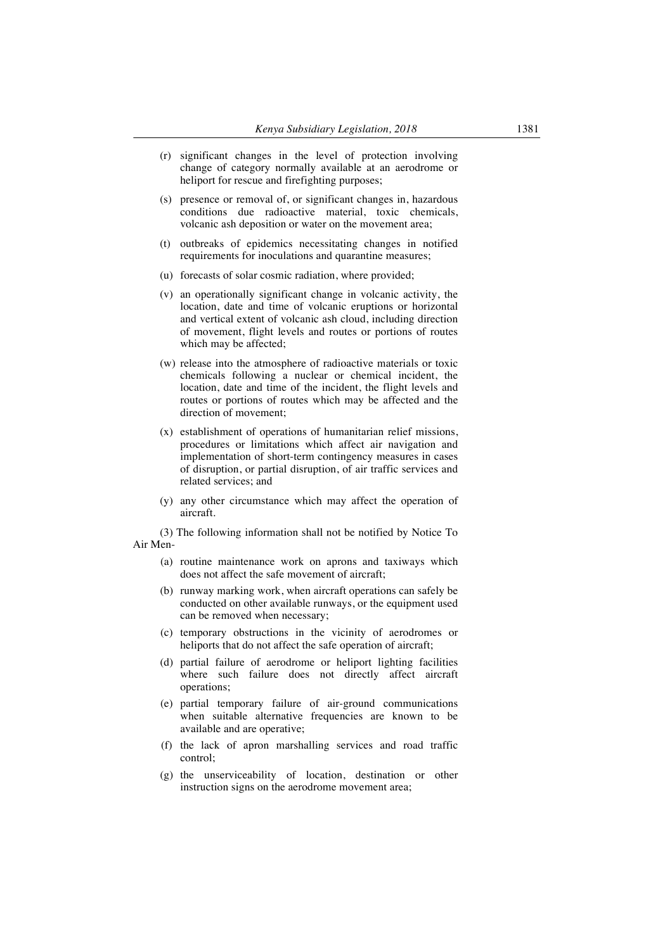- (r) significant changes in the level of protection involving change of category normally available at an aerodrome or heliport for rescue and firefighting purposes;
- (s) presence or removal of, or significant changes in, hazardous conditions due radioactive material, toxic chemicals, volcanic ash deposition or water on the movement area;
- (t) outbreaks of epidemics necessitating changes in notified requirements for inoculations and quarantine measures;
- (u) forecasts of solar cosmic radiation, where provided;
- (v) an operationally significant change in volcanic activity, the location, date and time of volcanic eruptions or horizontal and vertical extent of volcanic ash cloud, including direction of movement, flight levels and routes or portions of routes which may be affected;
- (w) release into the atmosphere of radioactive materials or toxic chemicals following a nuclear or chemical incident, the location, date and time of the incident, the flight levels and routes or portions of routes which may be affected and the direction of movement;
- (x) establishment of operations of humanitarian relief missions, procedures or limitations which affect air navigation and implementation of short-term contingency measures in cases of disruption, or partial disruption, of air traffic services and related services; and
- (y) any other circumstance which may affect the operation of aircraft.

(3) The following information shall not be notified by Notice To Air Men-

- (a) routine maintenance work on aprons and taxiways which does not affect the safe movement of aircraft;
- (b) runway marking work, when aircraft operations can safely be conducted on other available runways, or the equipment used can be removed when necessary;
- (c) temporary obstructions in the vicinity of aerodromes or heliports that do not affect the safe operation of aircraft;
- (d) partial failure of aerodrome or heliport lighting facilities where such failure does not directly affect aircraft operations;
- (e) partial temporary failure of air-ground communications when suitable alternative frequencies are known to be available and are operative;
- (f) the lack of apron marshalling services and road traffic control;
- (g) the unserviceability of location, destination or other instruction signs on the aerodrome movement area;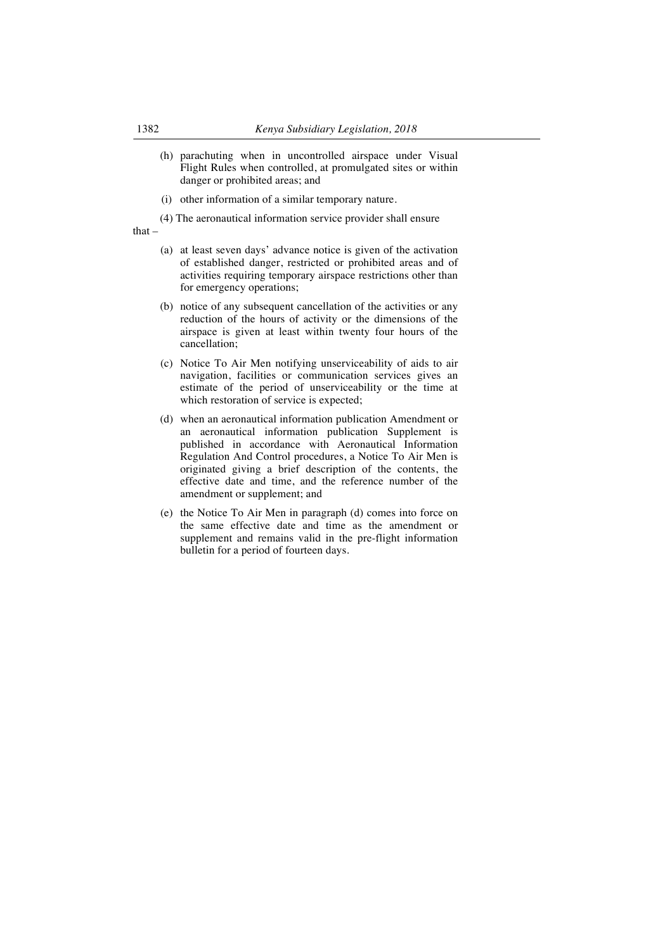- (h) parachuting when in uncontrolled airspace under Visual Flight Rules when controlled, at promulgated sites or within danger or prohibited areas; and
- (i) other information of a similar temporary nature.
- (4) The aeronautical information service provider shall ensure

that –

- (a) at least seven days' advance notice is given of the activation of established danger, restricted or prohibited areas and of activities requiring temporary airspace restrictions other than for emergency operations;
- (b) notice of any subsequent cancellation of the activities or any reduction of the hours of activity or the dimensions of the airspace is given at least within twenty four hours of the cancellation;
- (c) Notice To Air Men notifying unserviceability of aids to air navigation, facilities or communication services gives an estimate of the period of unserviceability or the time at which restoration of service is expected;
- (d) when an aeronautical information publication Amendment or an aeronautical information publication Supplement is published in accordance with Aeronautical Information Regulation And Control procedures, a Notice To Air Men is originated giving a brief description of the contents, the effective date and time, and the reference number of the amendment or supplement; and
- (e) the Notice To Air Men in paragraph (d) comes into force on the same effective date and time as the amendment or supplement and remains valid in the pre-flight information bulletin for a period of fourteen days.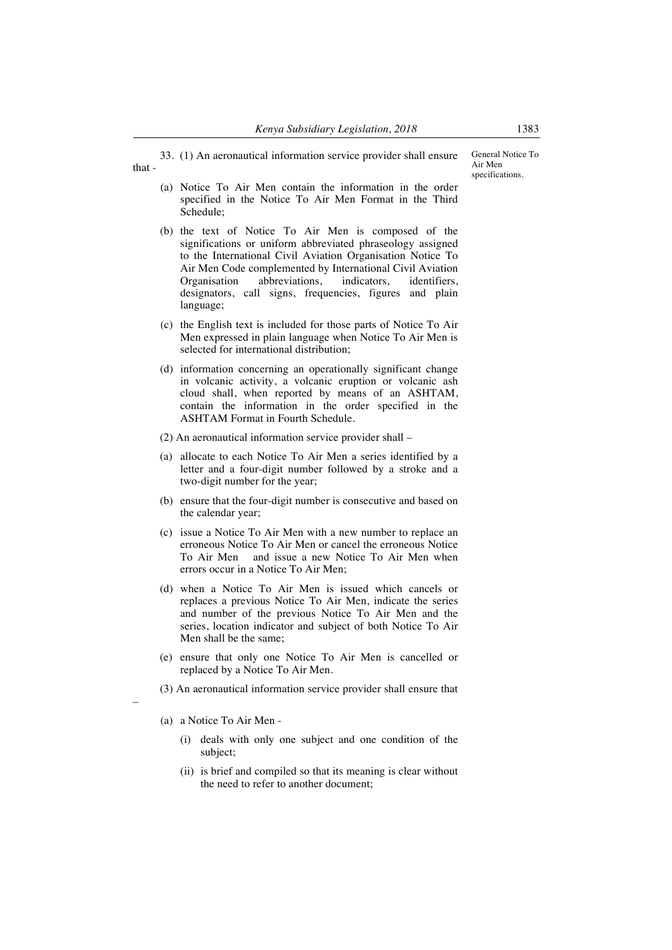33. (1) An aeronautical information service provider shall ensure

- that
	- (a) Notice To Air Men contain the information in the order specified in the Notice To Air Men Format in the Third Schedule;
	- (b) the text of Notice To Air Men is composed of the significations or uniform abbreviated phraseology assigned to the International Civil Aviation Organisation Notice To Air Men Code complemented by International Civil Aviation Organisation abbreviations, indicators, identifiers, designators, call signs, frequencies, figures and plain language;
	- (c) the English text is included for those parts of Notice To Air Men expressed in plain language when Notice To Air Men is selected for international distribution;
	- (d) information concerning an operationally significant change in volcanic activity, a volcanic eruption or volcanic ash cloud shall, when reported by means of an ASHTAM, contain the information in the order specified in the ASHTAM Format in Fourth Schedule.
	- (2) An aeronautical information service provider shall –
	- (a) allocate to each Notice To Air Men a series identified by a letter and a four-digit number followed by a stroke and a two-digit number for the year;
	- (b) ensure that the four-digit number is consecutive and based on the calendar year;
	- (c) issue a Notice To Air Men with a new number to replace an erroneous Notice To Air Men or cancel the erroneous Notice To Air Men and issue a new Notice To Air Men when errors occur in a Notice To Air Men;
	- (d) when a Notice To Air Men is issued which cancels or replaces a previous Notice To Air Men, indicate the series and number of the previous Notice To Air Men and the series, location indicator and subject of both Notice To Air Men shall be the same;
	- (e) ensure that only one Notice To Air Men is cancelled or replaced by a Notice To Air Men.
	- (3) An aeronautical information service provider shall ensure that
	- (a) a Notice To Air Men -

–

- (i) deals with only one subject and one condition of the subject;
- (ii) is brief and compiled so that its meaning is clear without the need to refer to another document;

General Notice To

Air Men specifications.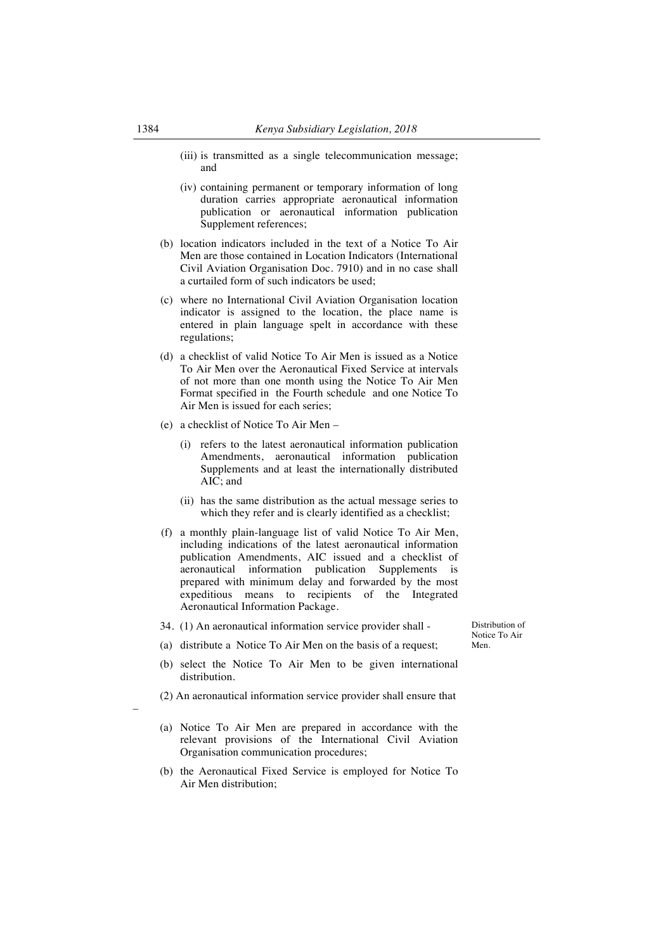- (iii) is transmitted as a single telecommunication message; and
- (iv) containing permanent or temporary information of long duration carries appropriate aeronautical information publication or aeronautical information publication Supplement references;
- (b) location indicators included in the text of a Notice To Air Men are those contained in Location Indicators (International Civil Aviation Organisation Doc. 7910) and in no case shall a curtailed form of such indicators be used;
- (c) where no International Civil Aviation Organisation location indicator is assigned to the location, the place name is entered in plain language spelt in accordance with these regulations;
- (d) a checklist of valid Notice To Air Men is issued as a Notice To Air Men over the Aeronautical Fixed Service at intervals of not more than one month using the Notice To Air Men Format specified in the Fourth schedule and one Notice To Air Men is issued for each series;
- (e) a checklist of Notice To Air Men –

distribution.

–

- (i) refers to the latest aeronautical information publication Amendments, aeronautical information publication Supplements and at least the internationally distributed AIC; and
- (ii) has the same distribution as the actual message series to which they refer and is clearly identified as a checklist;
- (f) a monthly plain-language list of valid Notice To Air Men, including indications of the latest aeronautical information publication Amendments, AIC issued and a checklist of aeronautical information publication Supplements is prepared with minimum delay and forwarded by the most expeditious means to recipients of the Integrated Aeronautical Information Package.
- 34. (1) An aeronautical information service provider shall (a) distribute a Notice To Air Men on the basis of a request;

Distribution of Notice To Air Men.

- (b) select the Notice To Air Men to be given international
- (2) An aeronautical information service provider shall ensure that
- (a) Notice To Air Men are prepared in accordance with the relevant provisions of the International Civil Aviation Organisation communication procedures;
- (b) the Aeronautical Fixed Service is employed for Notice To Air Men distribution;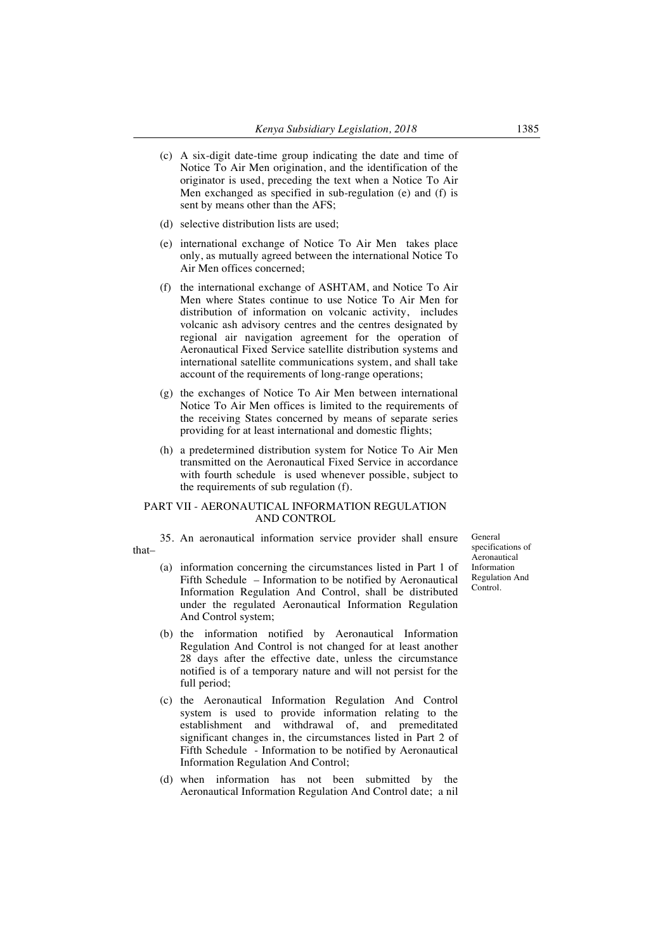- (c) A six-digit date-time group indicating the date and time of Notice To Air Men origination, and the identification of the originator is used, preceding the text when a Notice To Air Men exchanged as specified in sub-regulation (e) and (f) is sent by means other than the AFS;
- (d) selective distribution lists are used;
- (e) international exchange of Notice To Air Men takes place only, as mutually agreed between the international Notice To Air Men offices concerned;
- (f) the international exchange of ASHTAM, and Notice To Air Men where States continue to use Notice To Air Men for distribution of information on volcanic activity, includes volcanic ash advisory centres and the centres designated by regional air navigation agreement for the operation of Aeronautical Fixed Service satellite distribution systems and international satellite communications system, and shall take account of the requirements of long-range operations;
- (g) the exchanges of Notice To Air Men between international Notice To Air Men offices is limited to the requirements of the receiving States concerned by means of separate series providing for at least international and domestic flights;
- (h) a predetermined distribution system for Notice To Air Men transmitted on the Aeronautical Fixed Service in accordance with fourth schedule is used whenever possible, subject to the requirements of sub regulation (f).

### PART VII - AERONAUTICAL INFORMATION REGULATION AND CONTROL

35. An aeronautical information service provider shall ensure that–

- (a) information concerning the circumstances listed in Part 1 of Fifth Schedule – Information to be notified by Aeronautical Information Regulation And Control, shall be distributed under the regulated Aeronautical Information Regulation And Control system;
- (b) the information notified by Aeronautical Information Regulation And Control is not changed for at least another 28 days after the effective date, unless the circumstance notified is of a temporary nature and will not persist for the full period;
- (c) the Aeronautical Information Regulation And Control system is used to provide information relating to the establishment and withdrawal of, and premeditated significant changes in, the circumstances listed in Part 2 of Fifth Schedule - Information to be notified by Aeronautical Information Regulation And Control;
- (d) when information has not been submitted by the Aeronautical Information Regulation And Control date; a nil

General specifications of Aeronautical Information Regulation And Control.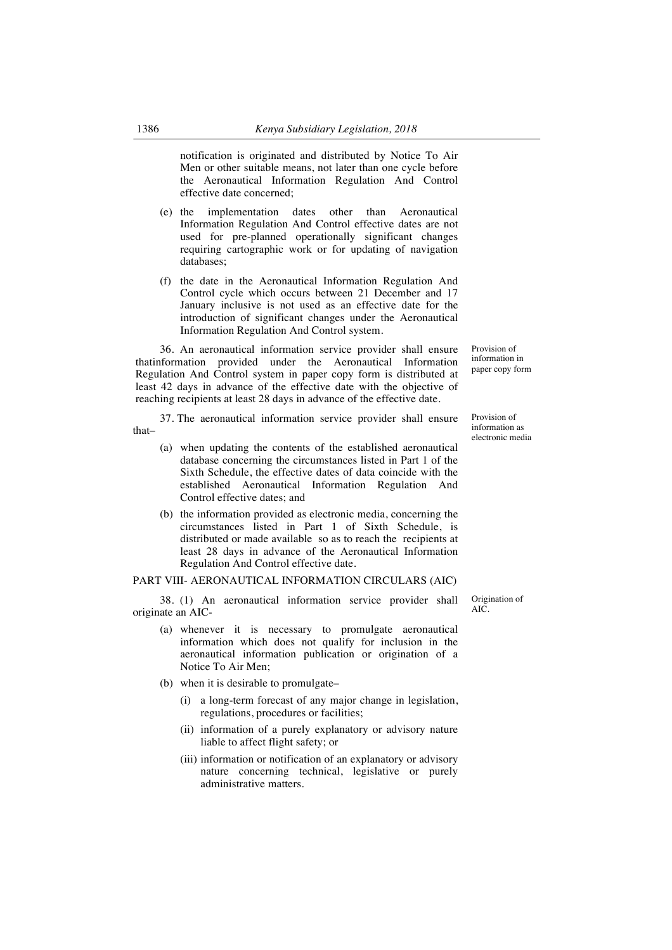notification is originated and distributed by Notice To Air Men or other suitable means, not later than one cycle before the Aeronautical Information Regulation And Control effective date concerned;

- (e) the implementation dates other than Aeronautical Information Regulation And Control effective dates are not used for pre-planned operationally significant changes requiring cartographic work or for updating of navigation databases;
- (f) the date in the Aeronautical Information Regulation And Control cycle which occurs between 21 December and 17 January inclusive is not used as an effective date for the introduction of significant changes under the Aeronautical Information Regulation And Control system.

36. An aeronautical information service provider shall ensure thatinformation provided under the Aeronautical Information Regulation And Control system in paper copy form is distributed at least 42 days in advance of the effective date with the objective of reaching recipients at least 28 days in advance of the effective date.

37. The aeronautical information service provider shall ensure that–

- (a) when updating the contents of the established aeronautical database concerning the circumstances listed in Part 1 of the Sixth Schedule, the effective dates of data coincide with the established Aeronautical Information Regulation And Control effective dates; and
- (b) the information provided as electronic media, concerning the circumstances listed in Part 1 of Sixth Schedule, is distributed or made available so as to reach the recipients at least 28 days in advance of the Aeronautical Information Regulation And Control effective date.

#### PART VIII- AERONAUTICAL INFORMATION CIRCULARS (AIC)

38. (1) An aeronautical information service provider shall originate an AIC-

- (a) whenever it is necessary to promulgate aeronautical information which does not qualify for inclusion in the aeronautical information publication or origination of a Notice To Air Men;
- (b) when it is desirable to promulgate–
	- (i) a long-term forecast of any major change in legislation, regulations, procedures or facilities;
	- (ii) information of a purely explanatory or advisory nature liable to affect flight safety; or
	- (iii) information or notification of an explanatory or advisory nature concerning technical, legislative or purely administrative matters.

Origination of AIC.

Provision of information in paper copy form

Provision of information as electronic media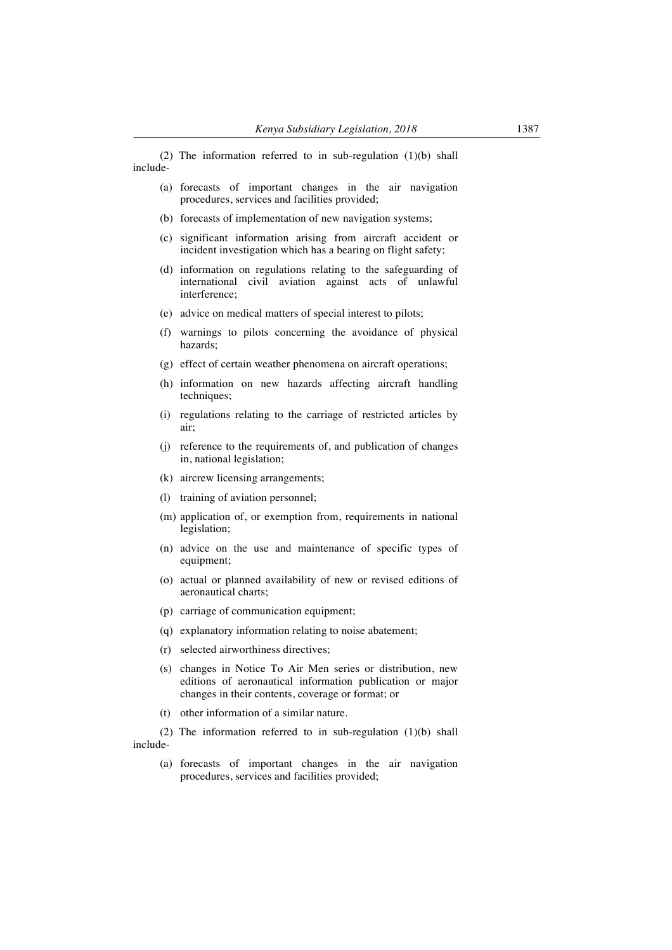(2) The information referred to in sub-regulation (1)(b) shall include-

- (a) forecasts of important changes in the air navigation procedures, services and facilities provided;
- (b) forecasts of implementation of new navigation systems;
- (c) significant information arising from aircraft accident or incident investigation which has a bearing on flight safety;
- (d) information on regulations relating to the safeguarding of international civil aviation against acts of unlawful interference;
- (e) advice on medical matters of special interest to pilots;
- (f) warnings to pilots concerning the avoidance of physical hazards;
- (g) effect of certain weather phenomena on aircraft operations;
- (h) information on new hazards affecting aircraft handling techniques;
- (i) regulations relating to the carriage of restricted articles by air;
- (j) reference to the requirements of, and publication of changes in, national legislation;
- (k) aircrew licensing arrangements;
- (l) training of aviation personnel;
- (m) application of, or exemption from, requirements in national legislation;
- (n) advice on the use and maintenance of specific types of equipment;
- (o) actual or planned availability of new or revised editions of aeronautical charts;
- (p) carriage of communication equipment;
- (q) explanatory information relating to noise abatement;
- (r) selected airworthiness directives;
- (s) changes in Notice To Air Men series or distribution, new editions of aeronautical information publication or major changes in their contents, coverage or format; or
- (t) other information of a similar nature.

(2) The information referred to in sub-regulation (1)(b) shall include-

(a) forecasts of important changes in the air navigation procedures, services and facilities provided;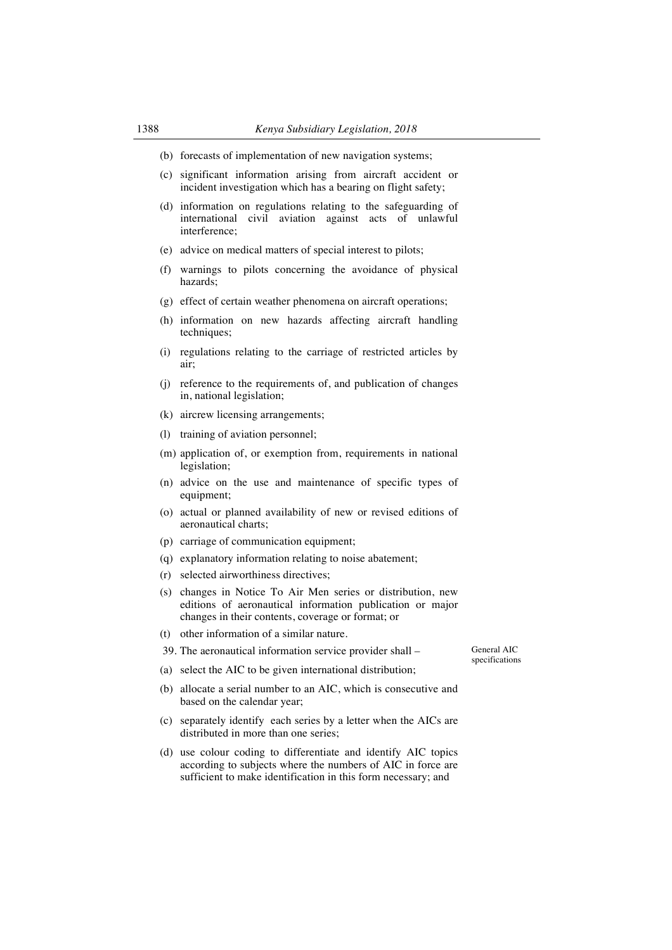- (b) forecasts of implementation of new navigation systems;
- (c) significant information arising from aircraft accident or incident investigation which has a bearing on flight safety;
- (d) information on regulations relating to the safeguarding of international civil aviation against acts of unlawful interference;
- (e) advice on medical matters of special interest to pilots;
- (f) warnings to pilots concerning the avoidance of physical hazards;
- (g) effect of certain weather phenomena on aircraft operations;
- (h) information on new hazards affecting aircraft handling techniques:
- (i) regulations relating to the carriage of restricted articles by air;
- (j) reference to the requirements of, and publication of changes in, national legislation;
- (k) aircrew licensing arrangements;
- (l) training of aviation personnel;
- (m) application of, or exemption from, requirements in national legislation;
- (n) advice on the use and maintenance of specific types of equipment;
- (o) actual or planned availability of new or revised editions of aeronautical charts;
- (p) carriage of communication equipment;
- (q) explanatory information relating to noise abatement;
- (r) selected airworthiness directives;
- (s) changes in Notice To Air Men series or distribution, new editions of aeronautical information publication or major changes in their contents, coverage or format; or
- (t) other information of a similar nature.
- 39. The aeronautical information service provider shall –
- General AIC specifications
- (a) select the AIC to be given international distribution;
- (b) allocate a serial number to an AIC, which is consecutive and based on the calendar year;
- (c) separately identify each series by a letter when the AICs are distributed in more than one series;
- (d) use colour coding to differentiate and identify AIC topics according to subjects where the numbers of AIC in force are sufficient to make identification in this form necessary; and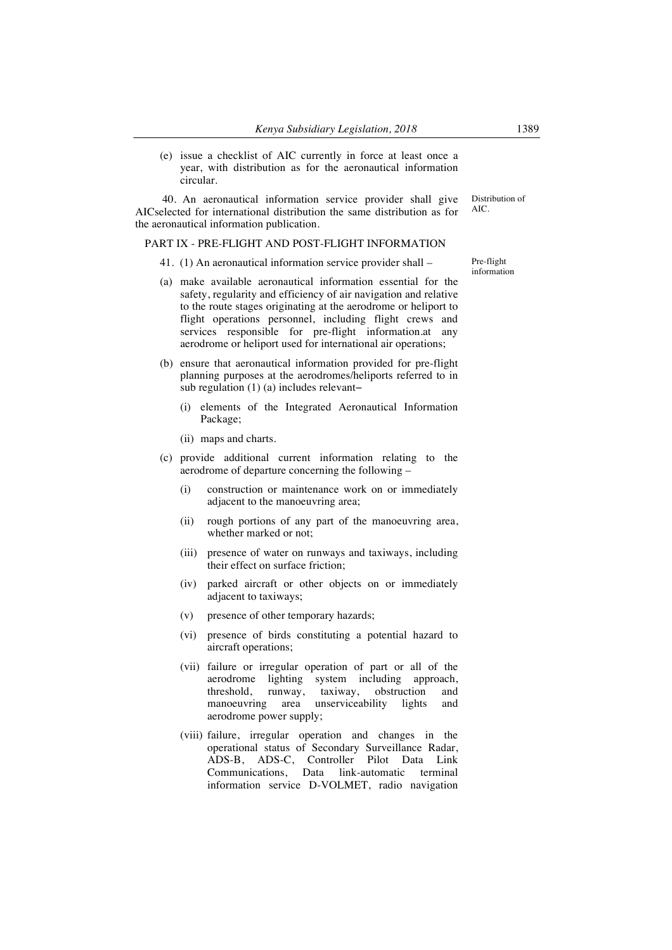(e) issue a checklist of AIC currently in force at least once a year, with distribution as for the aeronautical information circular.

40. An aeronautical information service provider shall give AICselected for international distribution the same distribution as for the aeronautical information publication.

### PART IX - PRE-FLIGHT AND POST-FLIGHT INFORMATION

- 41. (1) An aeronautical information service provider shall –
- (a) make available aeronautical information essential for the safety, regularity and efficiency of air navigation and relative to the route stages originating at the aerodrome or heliport to flight operations personnel, including flight crews and services responsible for pre-flight information.at any aerodrome or heliport used for international air operations;
- (b) ensure that aeronautical information provided for pre-flight planning purposes at the aerodromes/heliports referred to in sub regulation (1) (a) includes relevant−
	- (i) elements of the Integrated Aeronautical Information Package;
	- (ii) maps and charts.
- (c) provide additional current information relating to the aerodrome of departure concerning the following –
	- (i) construction or maintenance work on or immediately adjacent to the manoeuvring area;
	- (ii) rough portions of any part of the manoeuvring area, whether marked or not;
	- (iii) presence of water on runways and taxiways, including their effect on surface friction;
	- (iv) parked aircraft or other objects on or immediately adjacent to taxiways;
	- (v) presence of other temporary hazards;
	- (vi) presence of birds constituting a potential hazard to aircraft operations;
	- (vii) failure or irregular operation of part or all of the aerodrome lighting system including approach, threshold, runway, taxiway, obstruction and obstruction and manoeuvring area unserviceability lights and aerodrome power supply;
	- (viii) failure, irregular operation and changes in the operational status of Secondary Surveillance Radar, ADS-B, ADS-C, Controller Pilot Data Link Communications, Data link-automatic terminal information service D-VOLMET, radio navigation

Pre-flight information

Distribution of AIC.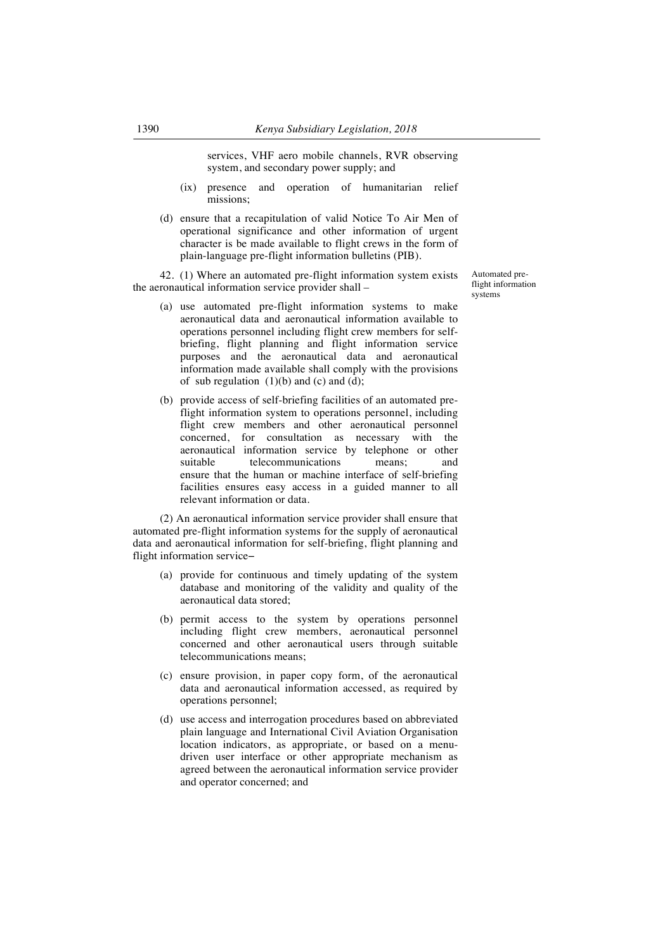services, VHF aero mobile channels, RVR observing system, and secondary power supply; and

- (ix) presence and operation of humanitarian relief missions;
- (d) ensure that a recapitulation of valid Notice To Air Men of operational significance and other information of urgent character is be made available to flight crews in the form of plain-language pre-flight information bulletins (PIB).

42. (1) Where an automated pre-flight information system exists the aeronautical information service provider shall –

- (a) use automated pre-flight information systems to make aeronautical data and aeronautical information available to operations personnel including flight crew members for selfbriefing, flight planning and flight information service purposes and the aeronautical data and aeronautical information made available shall comply with the provisions of sub regulation  $(1)(b)$  and  $(c)$  and  $(d)$ ;
- (b) provide access of self-briefing facilities of an automated preflight information system to operations personnel, including flight crew members and other aeronautical personnel concerned, for consultation as necessary with the aeronautical information service by telephone or other suitable telecommunications means; and ensure that the human or machine interface of self-briefing facilities ensures easy access in a guided manner to all relevant information or data.

(2) An aeronautical information service provider shall ensure that automated pre-flight information systems for the supply of aeronautical data and aeronautical information for self-briefing, flight planning and flight information service−

- (a) provide for continuous and timely updating of the system database and monitoring of the validity and quality of the aeronautical data stored;
- (b) permit access to the system by operations personnel including flight crew members, aeronautical personnel concerned and other aeronautical users through suitable telecommunications means;
- (c) ensure provision, in paper copy form, of the aeronautical data and aeronautical information accessed, as required by operations personnel;
- (d) use access and interrogation procedures based on abbreviated plain language and International Civil Aviation Organisation location indicators, as appropriate, or based on a menudriven user interface or other appropriate mechanism as agreed between the aeronautical information service provider and operator concerned; and

Automated preflight information systems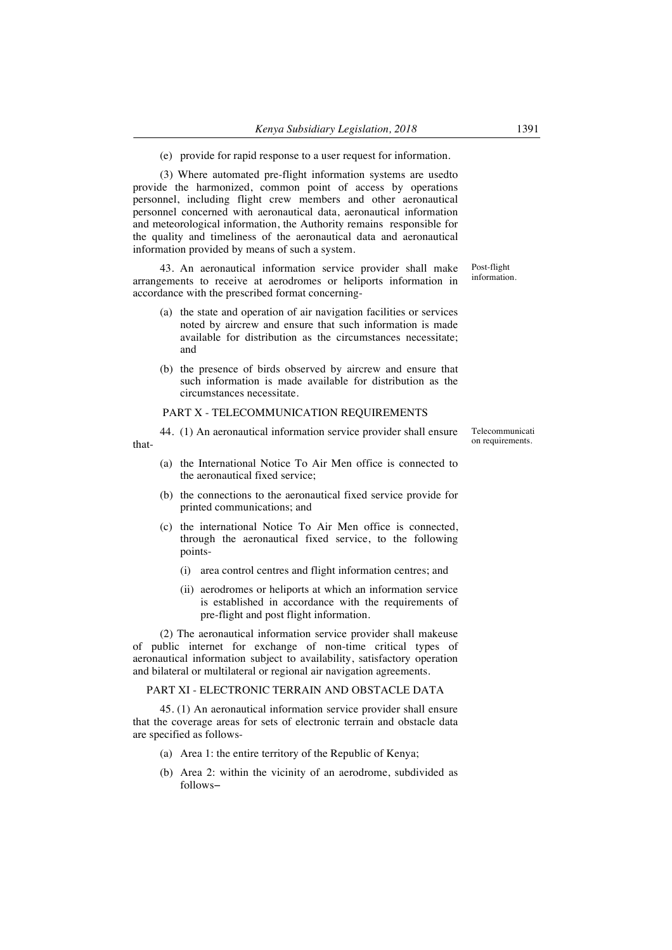(e) provide for rapid response to a user request for information.

(3) Where automated pre-flight information systems are usedto provide the harmonized, common point of access by operations personnel, including flight crew members and other aeronautical personnel concerned with aeronautical data, aeronautical information and meteorological information, the Authority remains responsible for the quality and timeliness of the aeronautical data and aeronautical information provided by means of such a system.

43. An aeronautical information service provider shall make arrangements to receive at aerodromes or heliports information in accordance with the prescribed format concerning-

- (a) the state and operation of air navigation facilities or services noted by aircrew and ensure that such information is made available for distribution as the circumstances necessitate; and
- (b) the presence of birds observed by aircrew and ensure that such information is made available for distribution as the circumstances necessitate.

## PART X - TELECOMMUNICATION REQUIREMENTS

that-

44. (1) An aeronautical information service provider shall ensure

- (a) the International Notice To Air Men office is connected to the aeronautical fixed service;
- (b) the connections to the aeronautical fixed service provide for printed communications; and
- (c) the international Notice To Air Men office is connected, through the aeronautical fixed service, to the following points-
	- (i) area control centres and flight information centres; and
	- (ii) aerodromes or heliports at which an information service is established in accordance with the requirements of pre-flight and post flight information.

(2) The aeronautical information service provider shall makeuse of public internet for exchange of non-time critical types of aeronautical information subject to availability, satisfactory operation and bilateral or multilateral or regional air navigation agreements.

#### PART XI - ELECTRONIC TERRAIN AND OBSTACLE DATA

45. (1) An aeronautical information service provider shall ensure that the coverage areas for sets of electronic terrain and obstacle data are specified as follows-

- (a) Area 1: the entire territory of the Republic of Kenya;
- (b) Area 2: within the vicinity of an aerodrome, subdivided as follows−

Telecommunicati on requirements.

Post-flight information.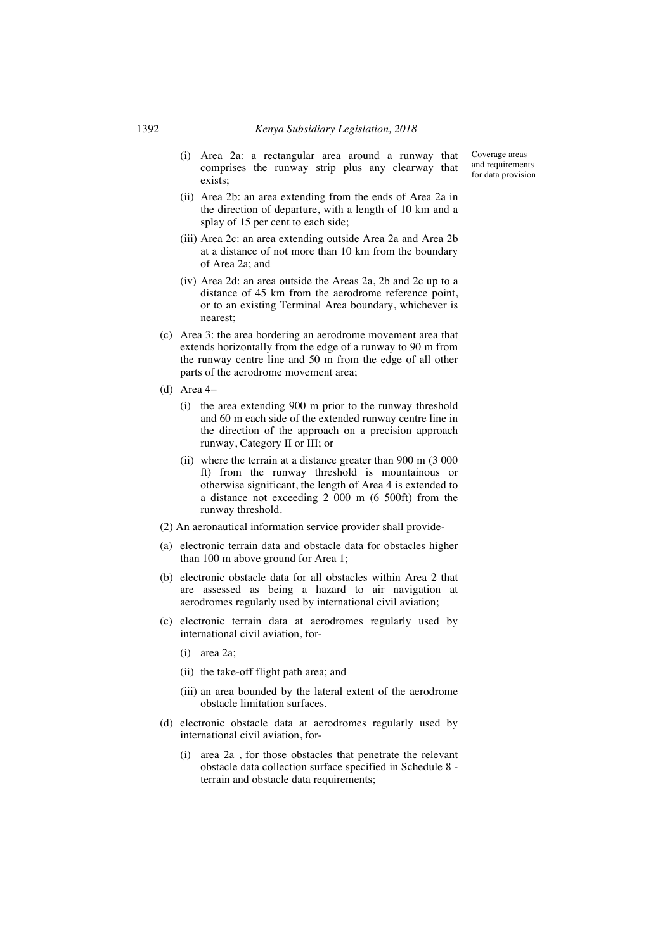- (i) Area 2a: a rectangular area around a runway that comprises the runway strip plus any clearway that exists;
- (ii) Area 2b: an area extending from the ends of Area 2a in the direction of departure, with a length of 10 km and a splay of 15 per cent to each side;
- (iii) Area 2c: an area extending outside Area 2a and Area 2b at a distance of not more than 10 km from the boundary of Area 2a; and
- (iv) Area 2d: an area outside the Areas 2a, 2b and 2c up to a distance of 45 km from the aerodrome reference point, or to an existing Terminal Area boundary, whichever is nearest;
- (c) Area 3: the area bordering an aerodrome movement area that extends horizontally from the edge of a runway to 90 m from the runway centre line and 50 m from the edge of all other parts of the aerodrome movement area;
- (d) Area 4−
	- (i) the area extending 900 m prior to the runway threshold and 60 m each side of the extended runway centre line in the direction of the approach on a precision approach runway, Category II or III; or
	- (ii) where the terrain at a distance greater than 900 m (3 000 ft) from the runway threshold is mountainous or otherwise significant, the length of Area 4 is extended to a distance not exceeding 2 000 m (6 500ft) from the runway threshold.
- (2) An aeronautical information service provider shall provide-
- (a) electronic terrain data and obstacle data for obstacles higher than 100 m above ground for Area 1;
- (b) electronic obstacle data for all obstacles within Area 2 that are assessed as being a hazard to air navigation at aerodromes regularly used by international civil aviation;
- (c) electronic terrain data at aerodromes regularly used by international civil aviation, for-
	- (i) area 2a;
	- (ii) the take-off flight path area; and
	- (iii) an area bounded by the lateral extent of the aerodrome obstacle limitation surfaces.
- (d) electronic obstacle data at aerodromes regularly used by international civil aviation, for-
	- (i) area 2a , for those obstacles that penetrate the relevant obstacle data collection surface specified in Schedule 8 terrain and obstacle data requirements;

Coverage areas and requirements for data provision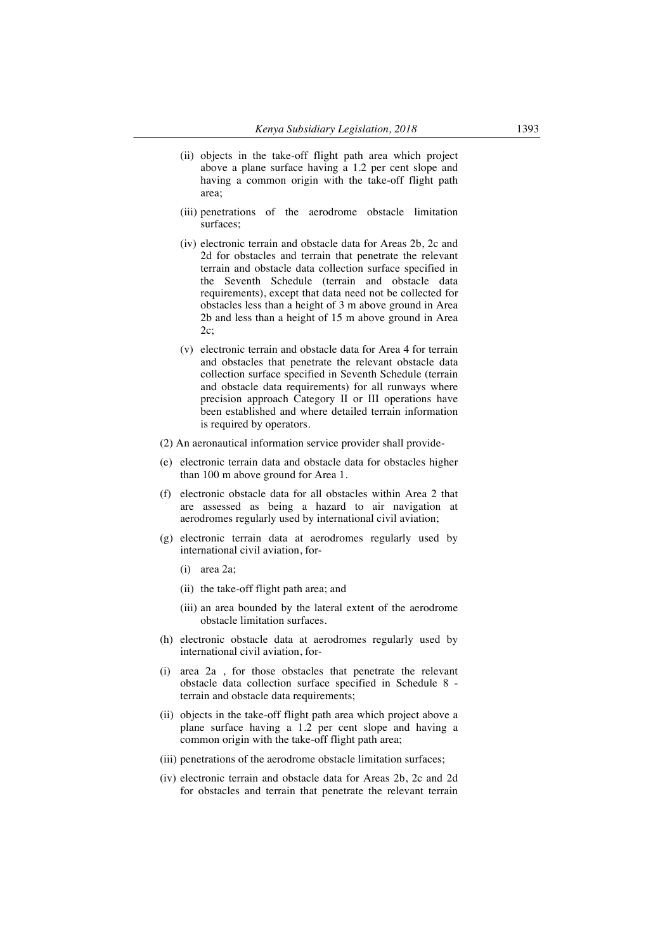- (ii) objects in the take-off flight path area which project above a plane surface having a 1.2 per cent slope and having a common origin with the take-off flight path area;
- (iii) penetrations of the aerodrome obstacle limitation surfaces;
- (iv) electronic terrain and obstacle data for Areas 2b, 2c and 2d for obstacles and terrain that penetrate the relevant terrain and obstacle data collection surface specified in the Seventh Schedule (terrain and obstacle data requirements), except that data need not be collected for obstacles less than a height of 3 m above ground in Area 2b and less than a height of 15 m above ground in Area 2c;
- (v) electronic terrain and obstacle data for Area 4 for terrain and obstacles that penetrate the relevant obstacle data collection surface specified in Seventh Schedule (terrain and obstacle data requirements) for all runways where precision approach Category II or III operations have been established and where detailed terrain information is required by operators.
- (2) An aeronautical information service provider shall provide-
- (e) electronic terrain data and obstacle data for obstacles higher than 100 m above ground for Area 1.
- (f) electronic obstacle data for all obstacles within Area 2 that are assessed as being a hazard to air navigation at aerodromes regularly used by international civil aviation;
- (g) electronic terrain data at aerodromes regularly used by international civil aviation, for-
	- (i) area 2a;
	- (ii) the take-off flight path area; and
	- (iii) an area bounded by the lateral extent of the aerodrome obstacle limitation surfaces.
- (h) electronic obstacle data at aerodromes regularly used by international civil aviation, for-
- (i) area 2a , for those obstacles that penetrate the relevant obstacle data collection surface specified in Schedule 8 terrain and obstacle data requirements;
- (ii) objects in the take-off flight path area which project above a plane surface having a 1.2 per cent slope and having a common origin with the take-off flight path area;
- (iii) penetrations of the aerodrome obstacle limitation surfaces;
- (iv) electronic terrain and obstacle data for Areas 2b, 2c and 2d for obstacles and terrain that penetrate the relevant terrain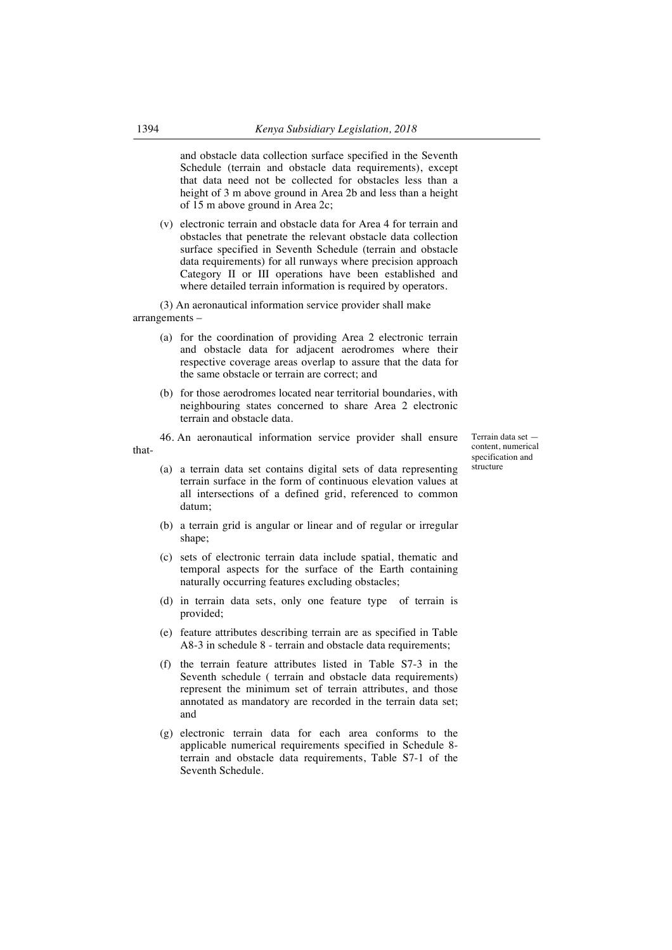and obstacle data collection surface specified in the Seventh Schedule (terrain and obstacle data requirements), except that data need not be collected for obstacles less than a height of 3 m above ground in Area 2b and less than a height of 15 m above ground in Area 2c;

(v) electronic terrain and obstacle data for Area 4 for terrain and obstacles that penetrate the relevant obstacle data collection surface specified in Seventh Schedule (terrain and obstacle data requirements) for all runways where precision approach Category II or III operations have been established and where detailed terrain information is required by operators.

(3) An aeronautical information service provider shall make arrangements –

- (a) for the coordination of providing Area 2 electronic terrain and obstacle data for adjacent aerodromes where their respective coverage areas overlap to assure that the data for the same obstacle or terrain are correct; and
- (b) for those aerodromes located near territorial boundaries, with neighbouring states concerned to share Area 2 electronic terrain and obstacle data.

46. An aeronautical information service provider shall ensure thatTerrain data set content, numerical specification and structure

- - (a) a terrain data set contains digital sets of data representing terrain surface in the form of continuous elevation values at all intersections of a defined grid, referenced to common datum;
	- (b) a terrain grid is angular or linear and of regular or irregular shape:
	- (c) sets of electronic terrain data include spatial, thematic and temporal aspects for the surface of the Earth containing naturally occurring features excluding obstacles;
	- (d) in terrain data sets, only one feature type of terrain is provided;
	- (e) feature attributes describing terrain are as specified in Table A8-3 in schedule 8 - terrain and obstacle data requirements;
	- (f) the terrain feature attributes listed in Table S7-3 in the Seventh schedule ( terrain and obstacle data requirements) represent the minimum set of terrain attributes, and those annotated as mandatory are recorded in the terrain data set; and
	- (g) electronic terrain data for each area conforms to the applicable numerical requirements specified in Schedule 8 terrain and obstacle data requirements, Table S7-1 of the Seventh Schedule.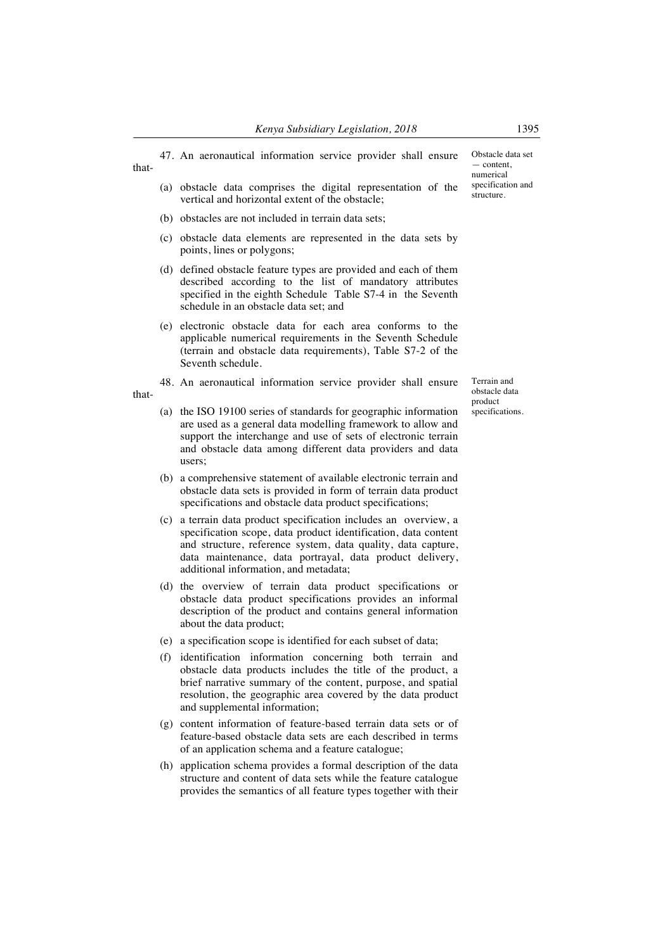47. An aeronautical information service provider shall ensure

- (a) obstacle data comprises the digital representation of the vertical and horizontal extent of the obstacle;
- (b) obstacles are not included in terrain data sets;

that-

- (c) obstacle data elements are represented in the data sets by points, lines or polygons;
- (d) defined obstacle feature types are provided and each of them described according to the list of mandatory attributes specified in the eighth Schedule Table S7-4 in the Seventh schedule in an obstacle data set; and
- (e) electronic obstacle data for each area conforms to the applicable numerical requirements in the Seventh Schedule (terrain and obstacle data requirements), Table S7-2 of the Seventh schedule.
- 48. An aeronautical information service provider shall ensure that-
	- (a) the ISO 19100 series of standards for geographic information are used as a general data modelling framework to allow and support the interchange and use of sets of electronic terrain and obstacle data among different data providers and data users;
	- (b) a comprehensive statement of available electronic terrain and obstacle data sets is provided in form of terrain data product specifications and obstacle data product specifications;
	- (c) a terrain data product specification includes an overview, a specification scope, data product identification, data content and structure, reference system, data quality, data capture, data maintenance, data portrayal, data product delivery, additional information, and metadata;
	- (d) the overview of terrain data product specifications or obstacle data product specifications provides an informal description of the product and contains general information about the data product;
	- (e) a specification scope is identified for each subset of data;
	- (f) identification information concerning both terrain and obstacle data products includes the title of the product, a brief narrative summary of the content, purpose, and spatial resolution, the geographic area covered by the data product and supplemental information;
	- (g) content information of feature-based terrain data sets or of feature-based obstacle data sets are each described in terms of an application schema and a feature catalogue;
	- (h) application schema provides a formal description of the data structure and content of data sets while the feature catalogue provides the semantics of all feature types together with their

Obstacle data set — content, numerical specification and structure.

Terrain and obstacle data product specifications.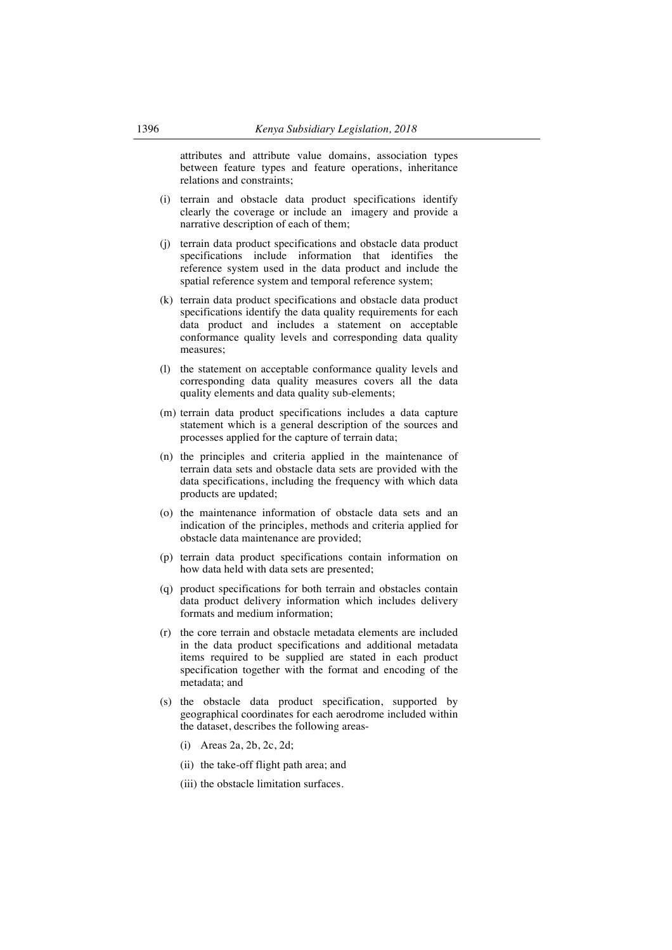attributes and attribute value domains, association types between feature types and feature operations, inheritance relations and constraints;

- (i) terrain and obstacle data product specifications identify clearly the coverage or include an imagery and provide a narrative description of each of them;
- (j) terrain data product specifications and obstacle data product specifications include information that identifies the reference system used in the data product and include the spatial reference system and temporal reference system;
- (k) terrain data product specifications and obstacle data product specifications identify the data quality requirements for each data product and includes a statement on acceptable conformance quality levels and corresponding data quality measures;
- (l) the statement on acceptable conformance quality levels and corresponding data quality measures covers all the data quality elements and data quality sub-elements;
- (m) terrain data product specifications includes a data capture statement which is a general description of the sources and processes applied for the capture of terrain data;
- (n) the principles and criteria applied in the maintenance of terrain data sets and obstacle data sets are provided with the data specifications, including the frequency with which data products are updated;
- (o) the maintenance information of obstacle data sets and an indication of the principles, methods and criteria applied for obstacle data maintenance are provided;
- (p) terrain data product specifications contain information on how data held with data sets are presented;
- (q) product specifications for both terrain and obstacles contain data product delivery information which includes delivery formats and medium information;
- (r) the core terrain and obstacle metadata elements are included in the data product specifications and additional metadata items required to be supplied are stated in each product specification together with the format and encoding of the metadata; and
- (s) the obstacle data product specification, supported by geographical coordinates for each aerodrome included within the dataset, describes the following areas-
	- (i) Areas 2a, 2b, 2c, 2d;
	- (ii) the take-off flight path area; and
	- (iii) the obstacle limitation surfaces.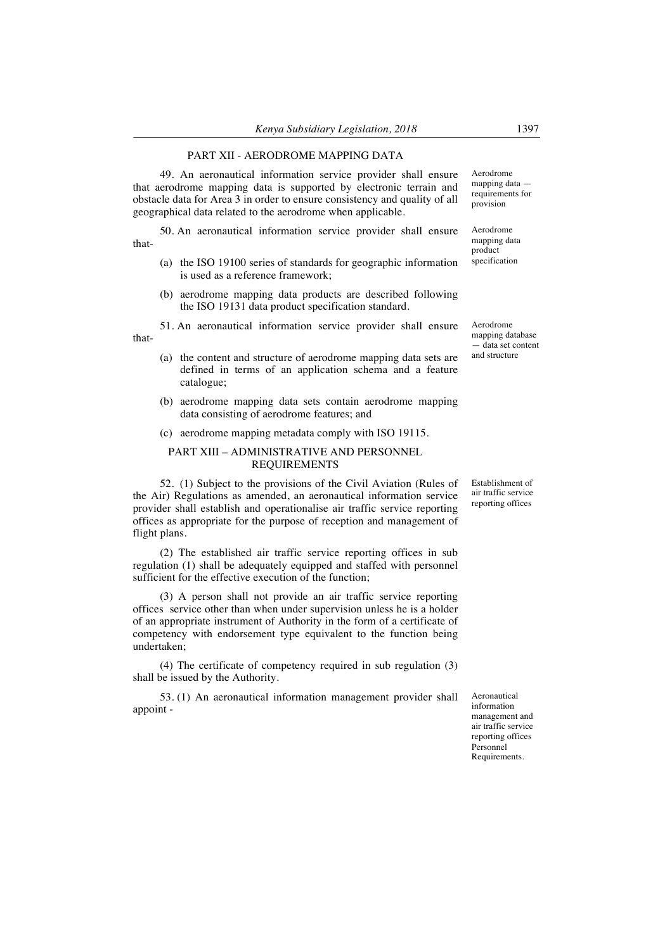### PART XII - AERODROME MAPPING DATA

49. An aeronautical information service provider shall ensure that aerodrome mapping data is supported by electronic terrain and obstacle data for Area 3 in order to ensure consistency and quality of all geographical data related to the aerodrome when applicable.

50. An aeronautical information service provider shall ensure that-

- (a) the ISO 19100 series of standards for geographic information is used as a reference framework;
- (b) aerodrome mapping data products are described following the ISO 19131 data product specification standard.
- 51. An aeronautical information service provider shall ensure that-
	- (a) the content and structure of aerodrome mapping data sets are defined in terms of an application schema and a feature catalogue;
	- (b) aerodrome mapping data sets contain aerodrome mapping data consisting of aerodrome features; and

#### (c) aerodrome mapping metadata comply with ISO 19115.

## PART XIII – ADMINISTRATIVE AND PERSONNEL REQUIREMENTS

52. (1) Subject to the provisions of the Civil Aviation (Rules of the Air) Regulations as amended, an aeronautical information service provider shall establish and operationalise air traffic service reporting offices as appropriate for the purpose of reception and management of flight plans.

(2) The established air traffic service reporting offices in sub regulation (1) shall be adequately equipped and staffed with personnel sufficient for the effective execution of the function;

(3) A person shall not provide an air traffic service reporting offices service other than when under supervision unless he is a holder of an appropriate instrument of Authority in the form of a certificate of competency with endorsement type equivalent to the function being undertaken;

(4) The certificate of competency required in sub regulation (3) shall be issued by the Authority.

53. (1) An aeronautical information management provider shall appoint -

product specification

Aerodrome mapping data requirements for provision

Aerodrome mapping data

Aerodrome mapping database — data set content and structure

Establishment of air traffic service reporting offices

Aeronautical information management and air traffic service reporting offices Personnel Requirements.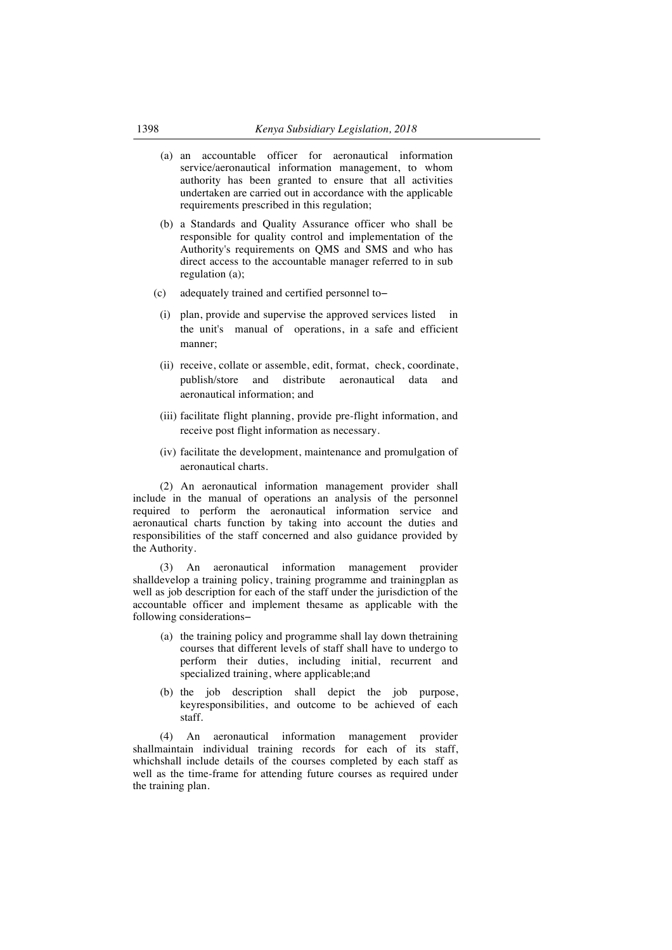- (a) an accountable officer for aeronautical information service/aeronautical information management, to whom authority has been granted to ensure that all activities undertaken are carried out in accordance with the applicable requirements prescribed in this regulation;
- (b) a Standards and Quality Assurance officer who shall be responsible for quality control and implementation of the Authority's requirements on QMS and SMS and who has direct access to the accountable manager referred to in sub regulation (a);
- (c) adequately trained and certified personnel to−
	- (i) plan, provide and supervise the approved services listed in the unit's manual of operations, in a safe and efficient manner;
	- (ii) receive, collate or assemble, edit, format, check, coordinate, publish/store and distribute aeronautical data and aeronautical information; and
	- (iii) facilitate flight planning, provide pre-flight information, and receive post flight information as necessary.
	- (iv) facilitate the development, maintenance and promulgation of aeronautical charts.

(2) An aeronautical information management provider shall include in the manual of operations an analysis of the personnel required to perform the aeronautical information service and aeronautical charts function by taking into account the duties and responsibilities of the staff concerned and also guidance provided by the Authority.

(3) An aeronautical information management provider shalldevelop a training policy, training programme and trainingplan as well as job description for each of the staff under the jurisdiction of the accountable officer and implement thesame as applicable with the following considerations−

- (a) the training policy and programme shall lay down thetraining courses that different levels of staff shall have to undergo to perform their duties, including initial, recurrent and specialized training, where applicable;and
- (b) the job description shall depict the job purpose, keyresponsibilities, and outcome to be achieved of each staff.

(4) An aeronautical information management provider shallmaintain individual training records for each of its staff, whichshall include details of the courses completed by each staff as well as the time-frame for attending future courses as required under the training plan.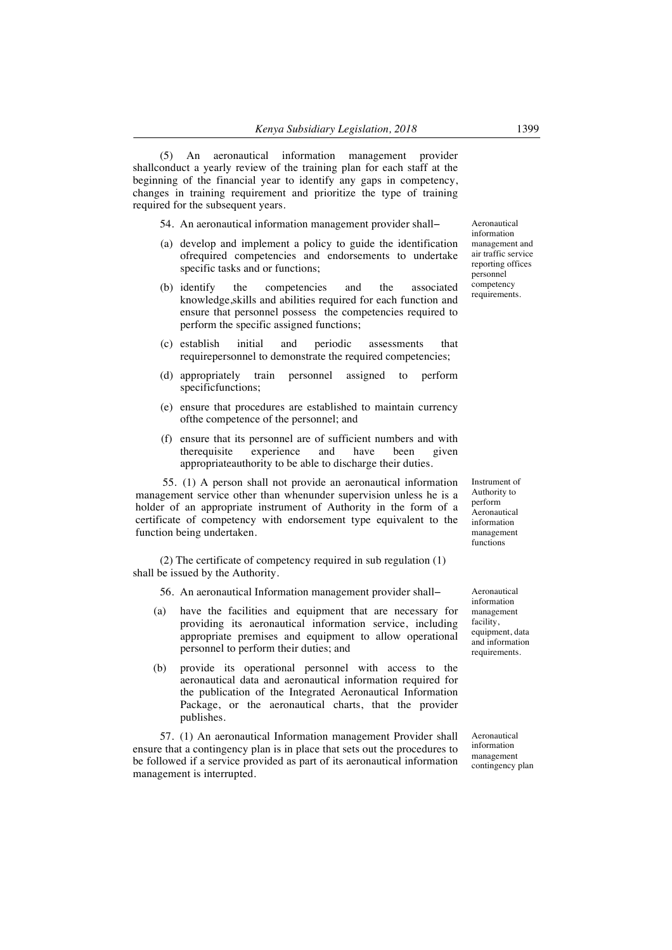(5) An aeronautical information management provider shallconduct a yearly review of the training plan for each staff at the beginning of the financial year to identify any gaps in competency, changes in training requirement and prioritize the type of training required for the subsequent years.

54. An aeronautical information management provider shall−

- (a) develop and implement a policy to guide the identification ofrequired competencies and endorsements to undertake specific tasks and or functions;
- (b) identify the competencies and the associated knowledge,skills and abilities required for each function and ensure that personnel possess the competencies required to perform the specific assigned functions;
- (c) establish initial and periodic assessments that requirepersonnel to demonstrate the required competencies;
- (d) appropriately train personnel assigned to perform specificfunctions;
- (e) ensure that procedures are established to maintain currency ofthe competence of the personnel; and
- (f) ensure that its personnel are of sufficient numbers and with therequisite experience and have been given appropriateauthority to be able to discharge their duties.

55. (1) A person shall not provide an aeronautical information management service other than whenunder supervision unless he is a holder of an appropriate instrument of Authority in the form of a certificate of competency with endorsement type equivalent to the function being undertaken.

(2) The certificate of competency required in sub regulation (1) shall be issued by the Authority.

- 56. An aeronautical Information management provider shall−
- (a) have the facilities and equipment that are necessary for providing its aeronautical information service, including appropriate premises and equipment to allow operational personnel to perform their duties; and
- (b) provide its operational personnel with access to the aeronautical data and aeronautical information required for the publication of the Integrated Aeronautical Information Package, or the aeronautical charts, that the provider publishes.

57. (1) An aeronautical Information management Provider shall ensure that a contingency plan is in place that sets out the procedures to be followed if a service provided as part of its aeronautical information management is interrupted.

Aeronautical information management facility, equipment, data and information requirements.

Aeronautical information management contingency plan

Aeronautical information management and air traffic service reporting offices personnel competency requirements.

Instrument of Authority to perform **Aeronautical** information management functions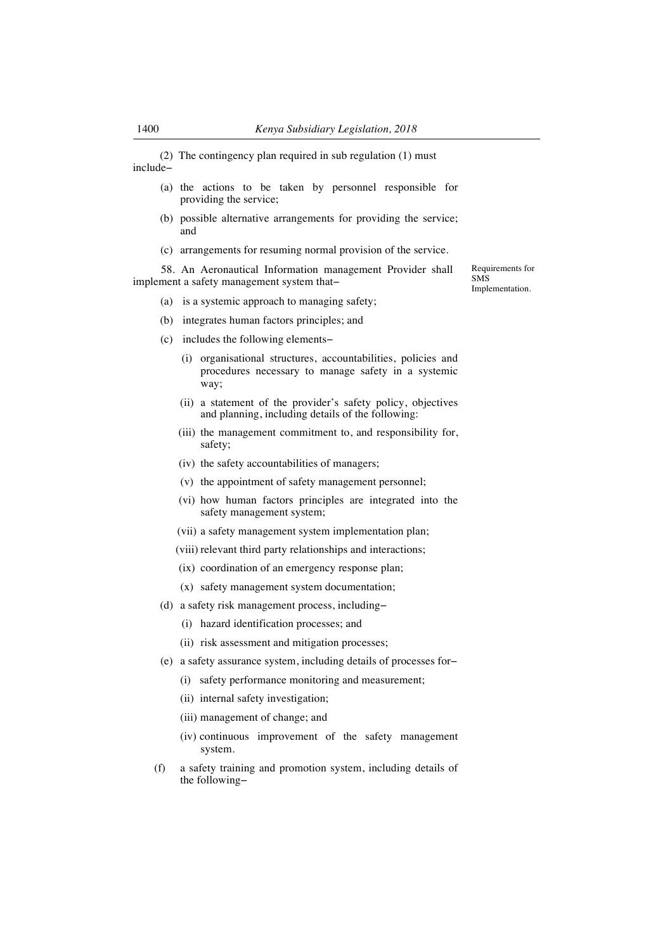(2) The contingency plan required in sub regulation (1) must include−

- (a) the actions to be taken by personnel responsible for providing the service;
- (b) possible alternative arrangements for providing the service; and
- (c) arrangements for resuming normal provision of the service.

58. An Aeronautical Information management Provider shall implement a safety management system that−

- (a) is a systemic approach to managing safety;
- (b) integrates human factors principles; and
- (c) includes the following elements−
	- (i) organisational structures, accountabilities, policies and procedures necessary to manage safety in a systemic way;
	- (ii) a statement of the provider's safety policy, objectives and planning, including details of the following:
	- (iii) the management commitment to, and responsibility for, safety;
	- (iv) the safety accountabilities of managers;
	- (v) the appointment of safety management personnel;
	- (vi) how human factors principles are integrated into the safety management system;
	- (vii) a safety management system implementation plan;
	- (viii) relevant third party relationships and interactions;
	- (ix) coordination of an emergency response plan;
	- (x) safety management system documentation;
- (d) a safety risk management process, including−
	- (i) hazard identification processes; and
	- (ii) risk assessment and mitigation processes;
- (e) a safety assurance system, including details of processes for−
	- (i) safety performance monitoring and measurement;
	- (ii) internal safety investigation;
	- (iii) management of change; and
	- (iv) continuous improvement of the safety management system.
- (f) a safety training and promotion system, including details of the following−

Requirements for SMS Implementation.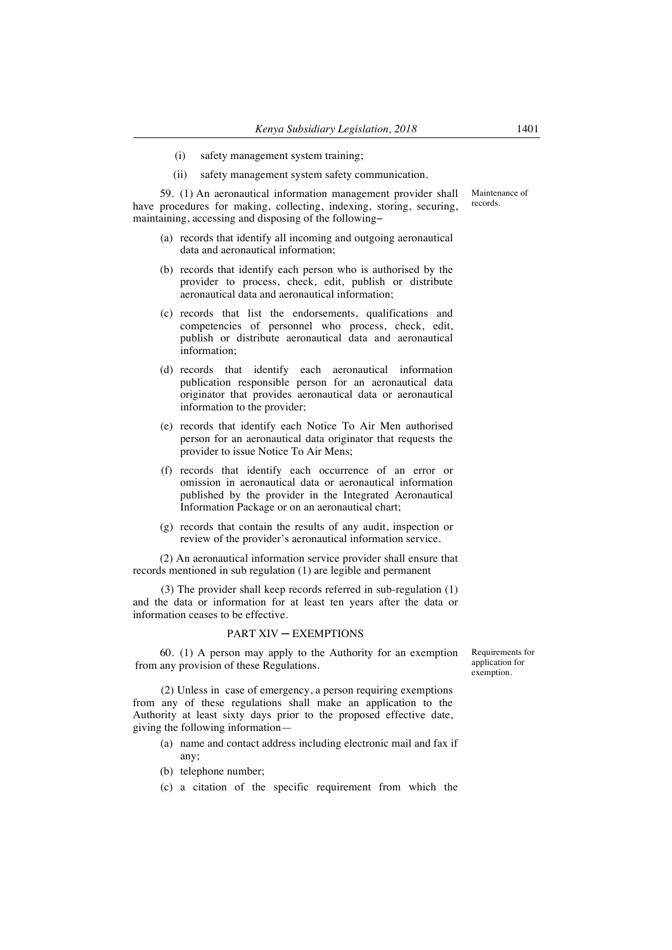- (i) safety management system training;
- (ii) safety management system safety communication.

59. (1) An aeronautical information management provider shall have procedures for making, collecting, indexing, storing, securing, maintaining, accessing and disposing of the following−

- (a) records that identify all incoming and outgoing aeronautical data and aeronautical information;
- (b) records that identify each person who is authorised by the provider to process, check, edit, publish or distribute aeronautical data and aeronautical information;
- (c) records that list the endorsements, qualifications and competencies of personnel who process, check, edit, publish or distribute aeronautical data and aeronautical information;
- (d) records that identify each aeronautical information publication responsible person for an aeronautical data originator that provides aeronautical data or aeronautical information to the provider;
- (e) records that identify each Notice To Air Men authorised person for an aeronautical data originator that requests the provider to issue Notice To Air Mens;
- (f) records that identify each occurrence of an error or omission in aeronautical data or aeronautical information published by the provider in the Integrated Aeronautical Information Package or on an aeronautical chart;
- (g) records that contain the results of any audit, inspection or review of the provider's aeronautical information service.

(2) An aeronautical information service provider shall ensure that records mentioned in sub regulation (1) are legible and permanent

(3) The provider shall keep records referred in sub-regulation (1) and the data or information for at least ten years after the data or information ceases to be effective.

#### PART XIV ─ EXEMPTIONS

60. (1) A person may apply to the Authority for an exemption from any provision of these Regulations.

Requirements for application for exemption.

(2) Unless in case of emergency, a person requiring exemptions from any of these regulations shall make an application to the Authority at least sixty days prior to the proposed effective date, giving the following information—

- (a) name and contact address including electronic mail and fax if any;
- (b) telephone number;
- (c) a citation of the specific requirement from which the

Maintenance of records.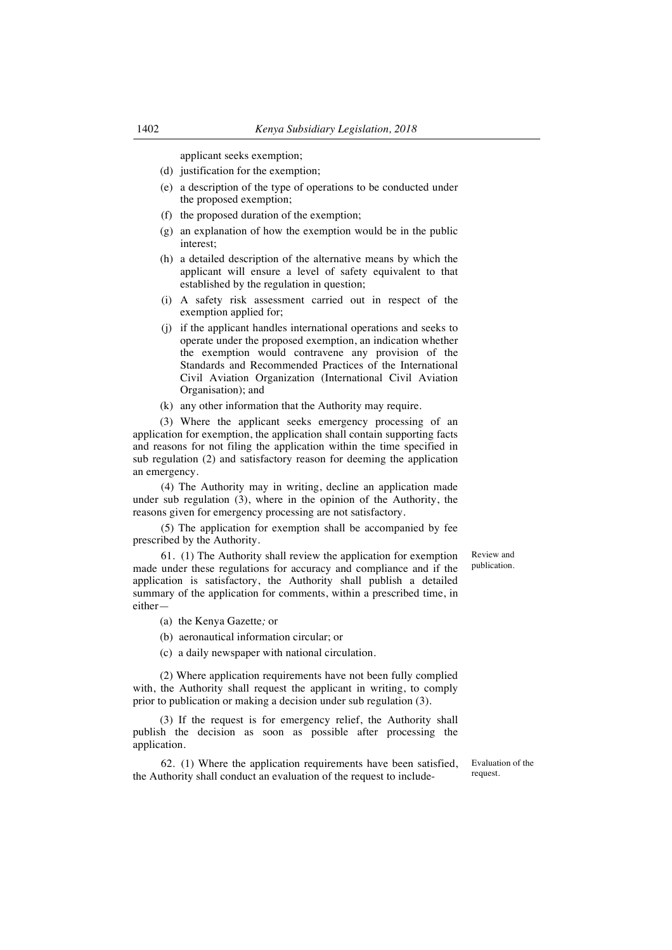applicant seeks exemption;

- (d) justification for the exemption;
- (e) a description of the type of operations to be conducted under the proposed exemption;
- (f) the proposed duration of the exemption;
- (g) an explanation of how the exemption would be in the public interest;
- (h) a detailed description of the alternative means by which the applicant will ensure a level of safety equivalent to that established by the regulation in question;
- (i) A safety risk assessment carried out in respect of the exemption applied for;
- (j) if the applicant handles international operations and seeks to operate under the proposed exemption, an indication whether the exemption would contravene any provision of the Standards and Recommended Practices of the International Civil Aviation Organization (International Civil Aviation Organisation); and
- (k) any other information that the Authority may require.

(3) Where the applicant seeks emergency processing of an application for exemption, the application shall contain supporting facts and reasons for not filing the application within the time specified in sub regulation (2) and satisfactory reason for deeming the application an emergency.

(4) The Authority may in writing, decline an application made under sub regulation (3), where in the opinion of the Authority, the reasons given for emergency processing are not satisfactory.

(5) The application for exemption shall be accompanied by fee prescribed by the Authority.

61. (1) The Authority shall review the application for exemption made under these regulations for accuracy and compliance and if the application is satisfactory, the Authority shall publish a detailed summary of the application for comments, within a prescribed time, in either—

- (a) the Kenya Gazette*;* or
- (b) aeronautical information circular; or
- (c) a daily newspaper with national circulation.

(2) Where application requirements have not been fully complied with, the Authority shall request the applicant in writing, to comply prior to publication or making a decision under sub regulation (3).

(3) If the request is for emergency relief, the Authority shall publish the decision as soon as possible after processing the application.

62. (1) Where the application requirements have been satisfied, the Authority shall conduct an evaluation of the request to include-

Review and publication.

Evaluation of the request.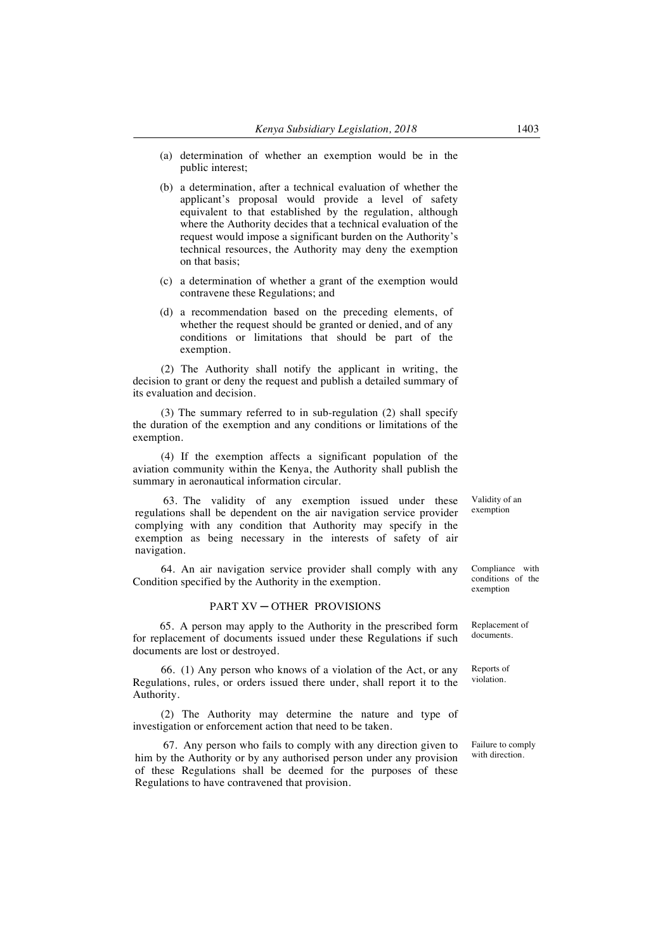- (a) determination of whether an exemption would be in the public interest;
- (b) a determination, after a technical evaluation of whether the applicant's proposal would provide a level of safety equivalent to that established by the regulation, although where the Authority decides that a technical evaluation of the request would impose a significant burden on the Authority's technical resources, the Authority may deny the exemption on that basis;
- (c) a determination of whether a grant of the exemption would contravene these Regulations; and
- (d) a recommendation based on the preceding elements, of whether the request should be granted or denied, and of any conditions or limitations that should be part of the exemption.

(2) The Authority shall notify the applicant in writing, the decision to grant or deny the request and publish a detailed summary of its evaluation and decision.

(3) The summary referred to in sub-regulation (2) shall specify the duration of the exemption and any conditions or limitations of the exemption.

(4) If the exemption affects a significant population of the aviation community within the Kenya, the Authority shall publish the summary in aeronautical information circular.

63. The validity of any exemption issued under these regulations shall be dependent on the air navigation service provider complying with any condition that Authority may specify in the exemption as being necessary in the interests of safety of air navigation.

64. An air navigation service provider shall comply with any Condition specified by the Authority in the exemption.

#### PART XV ─ OTHER PROVISIONS

65. A person may apply to the Authority in the prescribed form for replacement of documents issued under these Regulations if such documents are lost or destroyed.

66. (1) Any person who knows of a violation of the Act, or any Regulations, rules, or orders issued there under, shall report it to the Authority.

(2) The Authority may determine the nature and type of investigation or enforcement action that need to be taken.

67. Any person who fails to comply with any direction given to him by the Authority or by any authorised person under any provision of these Regulations shall be deemed for the purposes of these Regulations to have contravened that provision.

Validity of an exemption

Compliance with conditions of the exemption

Replacement of documents.

Reports of violation.

Failure to comply with direction.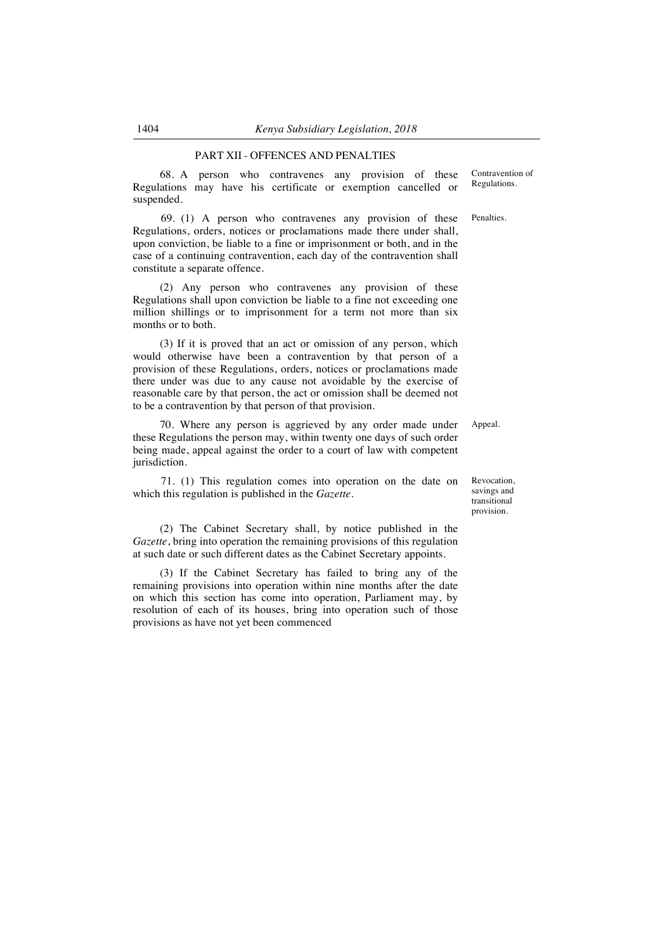### PART XII - OFFENCES AND PENALTIES

68. A person who contravenes any provision of these Regulations may have his certificate or exemption cancelled or suspended.

69. (1) A person who contravenes any provision of these Regulations, orders, notices or proclamations made there under shall, upon conviction, be liable to a fine or imprisonment or both, and in the case of a continuing contravention, each day of the contravention shall constitute a separate offence.

(2) Any person who contravenes any provision of these Regulations shall upon conviction be liable to a fine not exceeding one million shillings or to imprisonment for a term not more than six months or to both.

(3) If it is proved that an act or omission of any person, which would otherwise have been a contravention by that person of a provision of these Regulations, orders, notices or proclamations made there under was due to any cause not avoidable by the exercise of reasonable care by that person, the act or omission shall be deemed not to be a contravention by that person of that provision.

70. Where any person is aggrieved by any order made under these Regulations the person may, within twenty one days of such order being made, appeal against the order to a court of law with competent jurisdiction.

71. (1) This regulation comes into operation on the date on which this regulation is published in the *Gazette*.

(2) The Cabinet Secretary shall, by notice published in the *Gazette*, bring into operation the remaining provisions of this regulation at such date or such different dates as the Cabinet Secretary appoints.

(3) If the Cabinet Secretary has failed to bring any of the remaining provisions into operation within nine months after the date on which this section has come into operation, Parliament may, by resolution of each of its houses, bring into operation such of those provisions as have not yet been commenced

Contravention of Regulations.

Penalties.

Appeal.

Revocation, savings and transitional provision.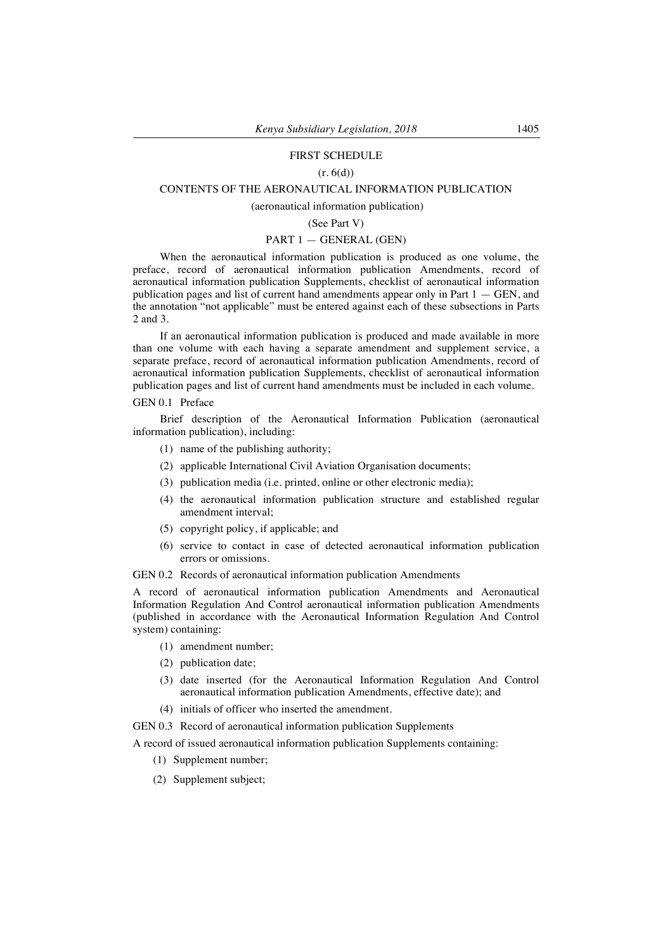# FIRST SCHEDULE

# $(r. 6(d))$

## CONTENTS OF THE AERONAUTICAL INFORMATION PUBLICATION

# (aeronautical information publication)

## (See Part V)

# PART 1 — GENERAL (GEN)

When the aeronautical information publication is produced as one volume, the preface, record of aeronautical information publication Amendments, record of aeronautical information publication Supplements, checklist of aeronautical information publication pages and list of current hand amendments appear only in Part  $1 - \text{GEN}$ , and the annotation "not applicable" must be entered against each of these subsections in Parts 2 and 3.

If an aeronautical information publication is produced and made available in more than one volume with each having a separate amendment and supplement service, a separate preface, record of aeronautical information publication Amendments, record of aeronautical information publication Supplements, checklist of aeronautical information publication pages and list of current hand amendments must be included in each volume.

# GEN 0.1 Preface

Brief description of the Aeronautical Information Publication (aeronautical information publication), including:

- (1) name of the publishing authority;
- (2) applicable International Civil Aviation Organisation documents;
- (3) publication media (i.e. printed, online or other electronic media);
- (4) the aeronautical information publication structure and established regular amendment interval;
- (5) copyright policy, if applicable; and
- (6) service to contact in case of detected aeronautical information publication errors or omissions.

GEN 0.2 Records of aeronautical information publication Amendments

A record of aeronautical information publication Amendments and Aeronautical Information Regulation And Control aeronautical information publication Amendments (published in accordance with the Aeronautical Information Regulation And Control system) containing:

- (1) amendment number;
- (2) publication date;
- (3) date inserted (for the Aeronautical Information Regulation And Control aeronautical information publication Amendments, effective date); and
- (4) initials of officer who inserted the amendment.
- GEN 0.3 Record of aeronautical information publication Supplements

A record of issued aeronautical information publication Supplements containing:

- (1) Supplement number;
- (2) Supplement subject;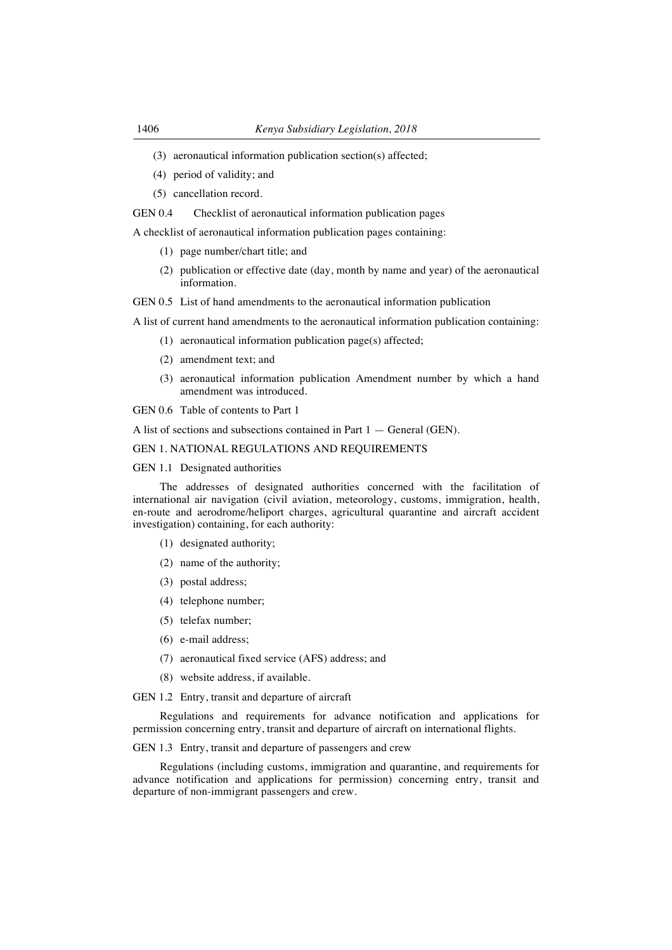- (3) aeronautical information publication section(s) affected;
- (4) period of validity; and
- (5) cancellation record.

#### GEN 0.4 Checklist of aeronautical information publication pages

A checklist of aeronautical information publication pages containing:

- (1) page number/chart title; and
- (2) publication or effective date (day, month by name and year) of the aeronautical information.

GEN 0.5 List of hand amendments to the aeronautical information publication

A list of current hand amendments to the aeronautical information publication containing:

- (1) aeronautical information publication page(s) affected;
- (2) amendment text; and
- (3) aeronautical information publication Amendment number by which a hand amendment was introduced.
- GEN 0.6 Table of contents to Part 1

A list of sections and subsections contained in Part 1 — General (GEN).

#### GEN 1. NATIONAL REGULATIONS AND REQUIREMENTS

#### GEN 1.1 Designated authorities

The addresses of designated authorities concerned with the facilitation of international air navigation (civil aviation, meteorology, customs, immigration, health, en-route and aerodrome/heliport charges, agricultural quarantine and aircraft accident investigation) containing, for each authority:

- (1) designated authority;
- (2) name of the authority;
- (3) postal address;
- (4) telephone number;
- (5) telefax number;
- (6) e-mail address;
- (7) aeronautical fixed service (AFS) address; and
- (8) website address, if available.

GEN 1.2 Entry, transit and departure of aircraft

Regulations and requirements for advance notification and applications for permission concerning entry, transit and departure of aircraft on international flights.

GEN 1.3 Entry, transit and departure of passengers and crew

Regulations (including customs, immigration and quarantine, and requirements for advance notification and applications for permission) concerning entry, transit and departure of non-immigrant passengers and crew.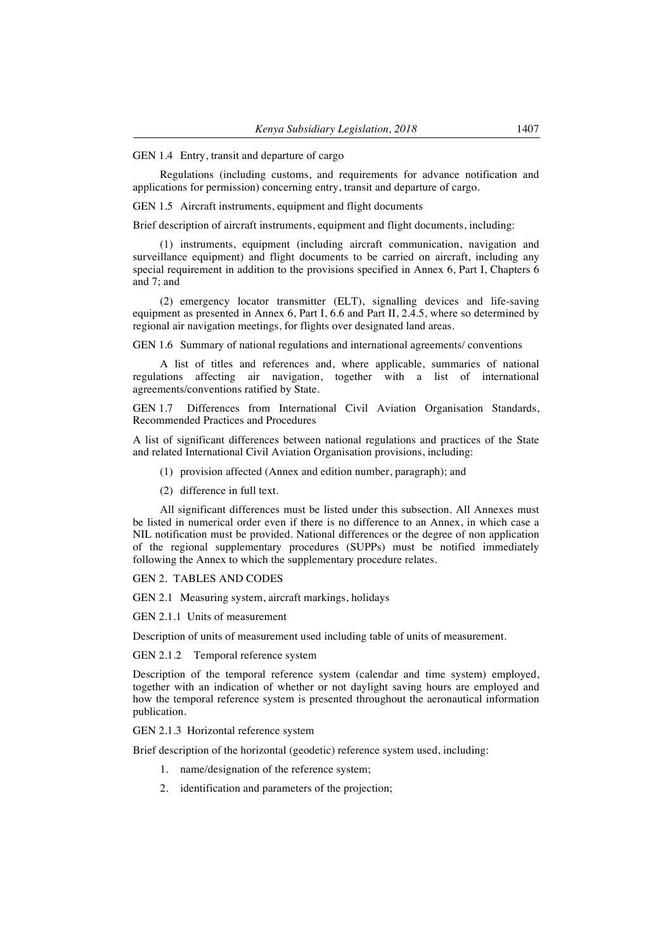#### GEN 1.4 Entry, transit and departure of cargo

Regulations (including customs, and requirements for advance notification and applications for permission) concerning entry, transit and departure of cargo.

GEN 1.5 Aircraft instruments, equipment and flight documents

Brief description of aircraft instruments, equipment and flight documents, including:

(1) instruments, equipment (including aircraft communication, navigation and surveillance equipment) and flight documents to be carried on aircraft, including any special requirement in addition to the provisions specified in Annex 6, Part I, Chapters 6 and 7; and

(2) emergency locator transmitter (ELT), signalling devices and life-saving equipment as presented in Annex 6, Part I, 6.6 and Part II, 2.4.5, where so determined by regional air navigation meetings, for flights over designated land areas.

GEN 1.6 Summary of national regulations and international agreements/ conventions

A list of titles and references and, where applicable, summaries of national regulations affecting air navigation, together with a list of international agreements/conventions ratified by State.

GEN 1.7 Differences from International Civil Aviation Organisation Standards, Recommended Practices and Procedures

A list of significant differences between national regulations and practices of the State and related International Civil Aviation Organisation provisions, including:

- (1) provision affected (Annex and edition number, paragraph); and
- (2) difference in full text.

All significant differences must be listed under this subsection. All Annexes must be listed in numerical order even if there is no difference to an Annex, in which case a NIL notification must be provided. National differences or the degree of non application of the regional supplementary procedures (SUPPs) must be notified immediately following the Annex to which the supplementary procedure relates.

GEN 2. TABLES AND CODES

GEN 2.1 Measuring system, aircraft markings, holidays

GEN 2.1.1 Units of measurement

Description of units of measurement used including table of units of measurement.

GEN 2.1.2 Temporal reference system

Description of the temporal reference system (calendar and time system) employed, together with an indication of whether or not daylight saving hours are employed and how the temporal reference system is presented throughout the aeronautical information publication.

GEN 2.1.3 Horizontal reference system

Brief description of the horizontal (geodetic) reference system used, including:

- 1. name/designation of the reference system;
- 2. identification and parameters of the projection;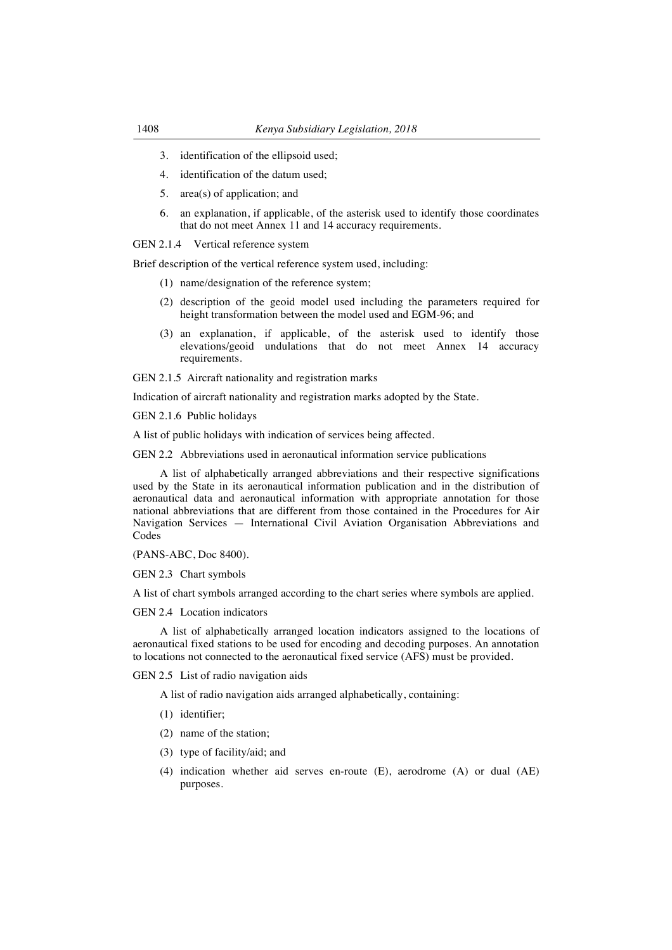- 3. identification of the ellipsoid used;
- 4. identification of the datum used;
- 5. area(s) of application; and
- 6. an explanation, if applicable, of the asterisk used to identify those coordinates that do not meet Annex 11 and 14 accuracy requirements.

GEN 2.1.4 Vertical reference system

Brief description of the vertical reference system used, including:

- (1) name/designation of the reference system;
- (2) description of the geoid model used including the parameters required for height transformation between the model used and EGM-96; and
- (3) an explanation, if applicable, of the asterisk used to identify those elevations/geoid undulations that do not meet Annex 14 accuracy requirements.

GEN 2.1.5 Aircraft nationality and registration marks

Indication of aircraft nationality and registration marks adopted by the State.

GEN 2.1.6 Public holidays

A list of public holidays with indication of services being affected.

GEN 2.2 Abbreviations used in aeronautical information service publications

A list of alphabetically arranged abbreviations and their respective significations used by the State in its aeronautical information publication and in the distribution of aeronautical data and aeronautical information with appropriate annotation for those national abbreviations that are different from those contained in the Procedures for Air Navigation Services — International Civil Aviation Organisation Abbreviations and Codes

(PANS-ABC, Doc 8400).

GEN 2.3 Chart symbols

A list of chart symbols arranged according to the chart series where symbols are applied.

GEN 2.4 Location indicators

A list of alphabetically arranged location indicators assigned to the locations of aeronautical fixed stations to be used for encoding and decoding purposes. An annotation to locations not connected to the aeronautical fixed service (AFS) must be provided.

GEN 2.5 List of radio navigation aids

A list of radio navigation aids arranged alphabetically, containing:

- (1) identifier;
- (2) name of the station;
- (3) type of facility/aid; and
- (4) indication whether aid serves en-route (E), aerodrome (A) or dual (AE) purposes.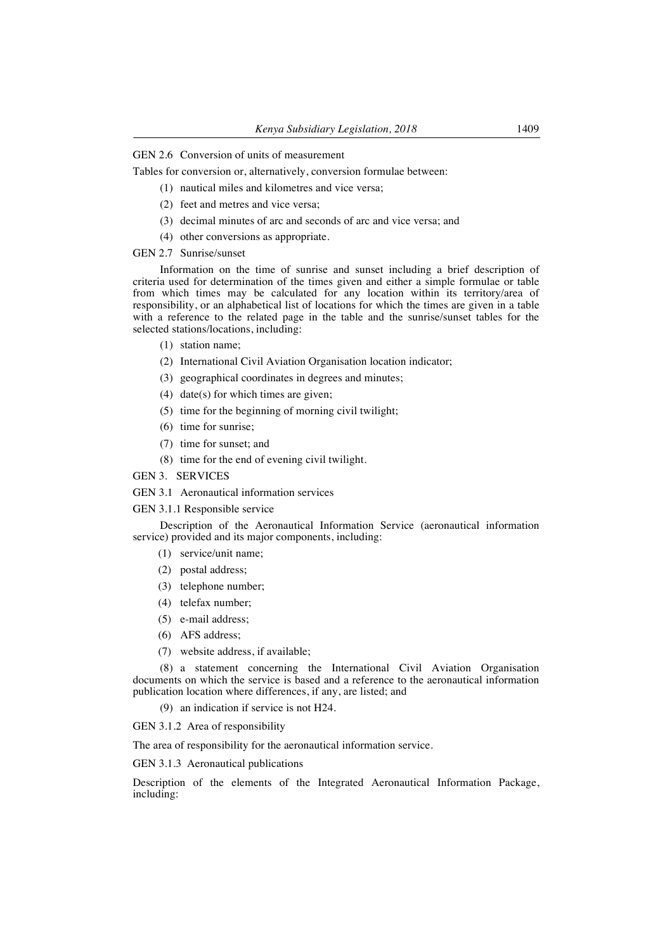# GEN 2.6 Conversion of units of measurement

Tables for conversion or, alternatively, conversion formulae between:

- (1) nautical miles and kilometres and vice versa;
- (2) feet and metres and vice versa;
- (3) decimal minutes of arc and seconds of arc and vice versa; and
- (4) other conversions as appropriate.

## GEN 2.7 Sunrise/sunset

Information on the time of sunrise and sunset including a brief description of criteria used for determination of the times given and either a simple formulae or table from which times may be calculated for any location within its territory/area of responsibility, or an alphabetical list of locations for which the times are given in a table with a reference to the related page in the table and the sunrise/sunset tables for the selected stations/locations, including:

- (1) station name;
- (2) International Civil Aviation Organisation location indicator;
- (3) geographical coordinates in degrees and minutes;
- (4) date(s) for which times are given;
- (5) time for the beginning of morning civil twilight;
- (6) time for sunrise;
- (7) time for sunset; and
- (8) time for the end of evening civil twilight.

GEN 3. SERVICES

GEN 3.1 Aeronautical information services

GEN 3.1.1 Responsible service

Description of the Aeronautical Information Service (aeronautical information service) provided and its major components, including:

- (1) service/unit name;
- (2) postal address;
- (3) telephone number;
- (4) telefax number;
- (5) e-mail address;
- (6) AFS address;
- (7) website address, if available;

(8) a statement concerning the International Civil Aviation Organisation documents on which the service is based and a reference to the aeronautical information publication location where differences, if any, are listed; and

(9) an indication if service is not H24.

GEN 3.1.2 Area of responsibility

The area of responsibility for the aeronautical information service.

GEN 3.1.3 Aeronautical publications

Description of the elements of the Integrated Aeronautical Information Package, including: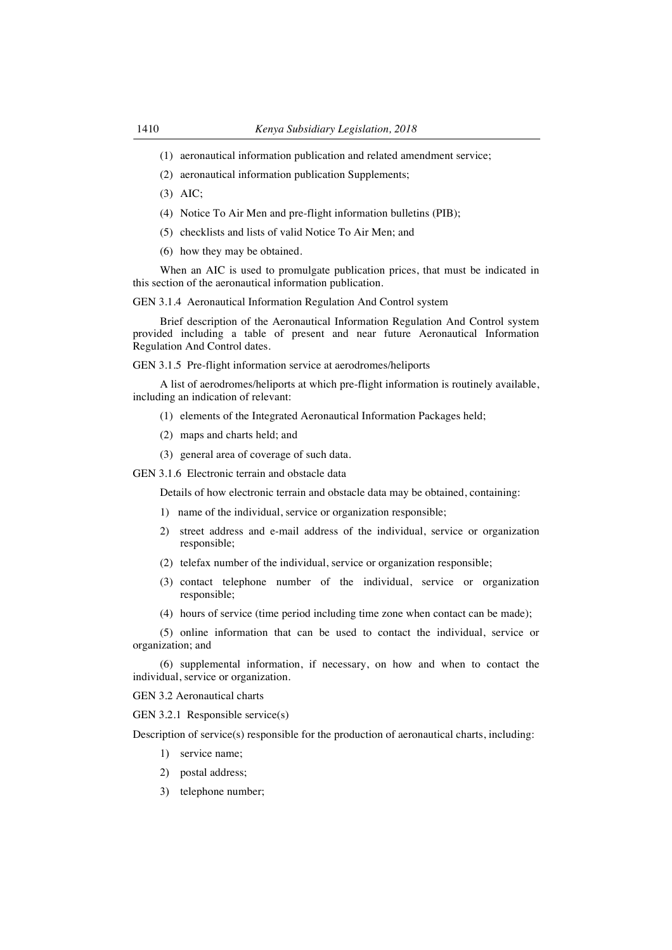- (1) aeronautical information publication and related amendment service;
- (2) aeronautical information publication Supplements;
- (3) AIC;
- (4) Notice To Air Men and pre-flight information bulletins (PIB);
- (5) checklists and lists of valid Notice To Air Men; and
- (6) how they may be obtained.

When an AIC is used to promulgate publication prices, that must be indicated in this section of the aeronautical information publication.

GEN 3.1.4 Aeronautical Information Regulation And Control system

Brief description of the Aeronautical Information Regulation And Control system provided including a table of present and near future Aeronautical Information Regulation And Control dates.

GEN 3.1.5 Pre-flight information service at aerodromes/heliports

A list of aerodromes/heliports at which pre-flight information is routinely available, including an indication of relevant:

- (1) elements of the Integrated Aeronautical Information Packages held;
- (2) maps and charts held; and
- (3) general area of coverage of such data.
- GEN 3.1.6 Electronic terrain and obstacle data

Details of how electronic terrain and obstacle data may be obtained, containing:

- 1) name of the individual, service or organization responsible;
- 2) street address and e-mail address of the individual, service or organization responsible;
- (2) telefax number of the individual, service or organization responsible;
- (3) contact telephone number of the individual, service or organization responsible;
- (4) hours of service (time period including time zone when contact can be made);

(5) online information that can be used to contact the individual, service or organization; and

(6) supplemental information, if necessary, on how and when to contact the individual, service or organization.

GEN 3.2 Aeronautical charts

GEN 3.2.1 Responsible service(s)

Description of service(s) responsible for the production of aeronautical charts, including:

- 1) service name;
- 2) postal address;
- 3) telephone number;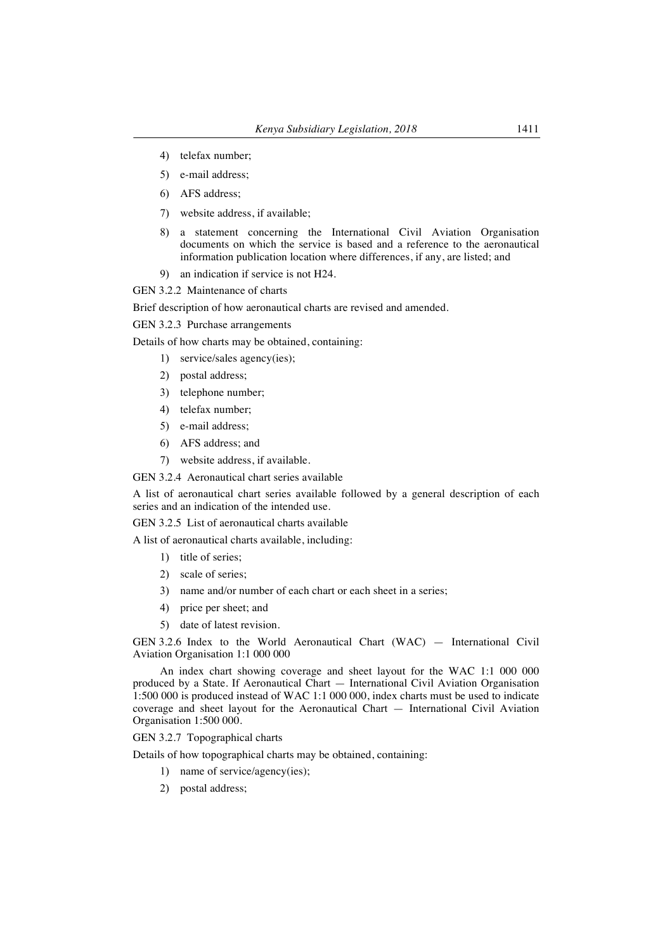- 4) telefax number;
- 5) e-mail address;
- 6) AFS address;
- 7) website address, if available;
- 8) a statement concerning the International Civil Aviation Organisation documents on which the service is based and a reference to the aeronautical information publication location where differences, if any, are listed; and
- 9) an indication if service is not H24.

GEN 3.2.2 Maintenance of charts

Brief description of how aeronautical charts are revised and amended.

GEN 3.2.3 Purchase arrangements

Details of how charts may be obtained, containing:

- 1) service/sales agency(ies);
- 2) postal address;
- 3) telephone number;
- 4) telefax number;
- 5) e-mail address;
- 6) AFS address; and
- 7) website address, if available.

GEN 3.2.4 Aeronautical chart series available

A list of aeronautical chart series available followed by a general description of each series and an indication of the intended use.

GEN 3.2.5 List of aeronautical charts available

A list of aeronautical charts available, including:

- 1) title of series;
- 2) scale of series;
- 3) name and/or number of each chart or each sheet in a series;
- 4) price per sheet; and
- 5) date of latest revision.

GEN 3.2.6 Index to the World Aeronautical Chart (WAC) — International Civil Aviation Organisation 1:1 000 000

An index chart showing coverage and sheet layout for the WAC 1:1 000 000 produced by a State. If Aeronautical Chart — International Civil Aviation Organisation 1:500 000 is produced instead of WAC 1:1 000 000, index charts must be used to indicate coverage and sheet layout for the Aeronautical Chart — International Civil Aviation Organisation 1:500 000.

GEN 3.2.7 Topographical charts

Details of how topographical charts may be obtained, containing:

- 1) name of service/agency(ies);
- 2) postal address;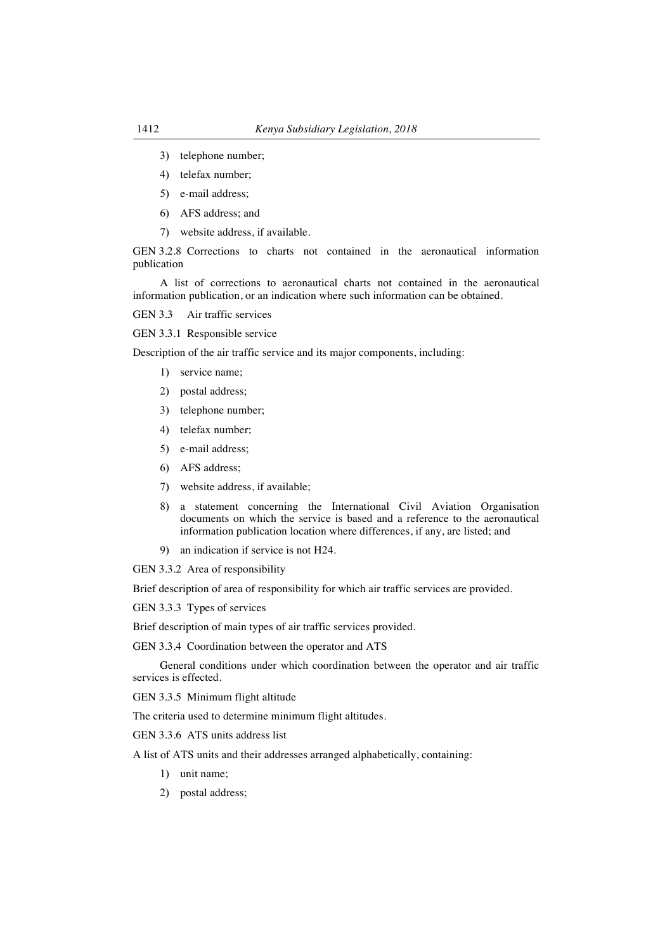- 3) telephone number;
- 4) telefax number;
- 5) e-mail address;
- 6) AFS address; and
- 7) website address, if available.

GEN 3.2.8 Corrections to charts not contained in the aeronautical information publication

A list of corrections to aeronautical charts not contained in the aeronautical information publication, or an indication where such information can be obtained.

GEN 3.3 Air traffic services

GEN 3.3.1 Responsible service

Description of the air traffic service and its major components, including:

- 1) service name;
- 2) postal address;
- 3) telephone number;
- 4) telefax number;
- 5) e-mail address;
- 6) AFS address;
- 7) website address, if available;
- 8) a statement concerning the International Civil Aviation Organisation documents on which the service is based and a reference to the aeronautical information publication location where differences, if any, are listed; and
- 9) an indication if service is not H24.

GEN 3.3.2 Area of responsibility

Brief description of area of responsibility for which air traffic services are provided.

GEN 3.3.3 Types of services

Brief description of main types of air traffic services provided.

GEN 3.3.4 Coordination between the operator and ATS

General conditions under which coordination between the operator and air traffic services is effected.

GEN 3.3.5 Minimum flight altitude

The criteria used to determine minimum flight altitudes.

GEN 3.3.6 ATS units address list

A list of ATS units and their addresses arranged alphabetically, containing:

- 1) unit name;
- 2) postal address;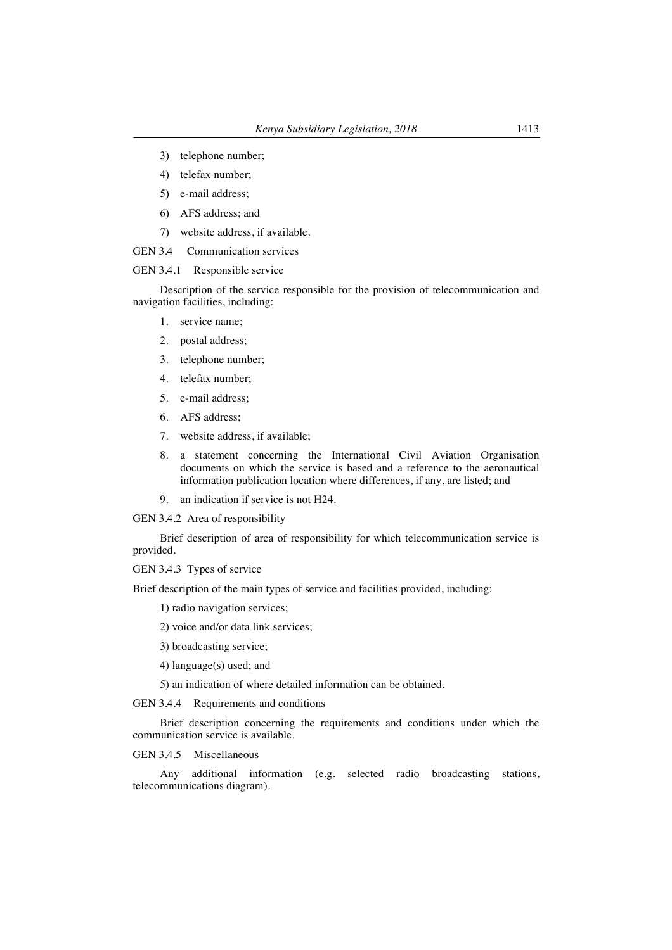- 3) telephone number;
- 4) telefax number;
- 5) e-mail address;
- 6) AFS address; and
- 7) website address, if available.
- GEN 3.4 Communication services

# GEN 3.4.1 Responsible service

Description of the service responsible for the provision of telecommunication and navigation facilities, including:

- 1. service name;
- 2. postal address;
- 3. telephone number;
- 4. telefax number;
- 5. e-mail address;
- 6. AFS address;
- 7. website address, if available;
- 8. a statement concerning the International Civil Aviation Organisation documents on which the service is based and a reference to the aeronautical information publication location where differences, if any, are listed; and
- 9. an indication if service is not H24.

GEN 3.4.2 Area of responsibility

Brief description of area of responsibility for which telecommunication service is provided.

GEN 3.4.3 Types of service

Brief description of the main types of service and facilities provided, including:

1) radio navigation services;

2) voice and/or data link services;

- 3) broadcasting service;
- 4) language(s) used; and

5) an indication of where detailed information can be obtained.

GEN 3.4.4 Requirements and conditions

Brief description concerning the requirements and conditions under which the communication service is available.

GEN 3.4.5 Miscellaneous

Any additional information (e.g. selected radio broadcasting stations, telecommunications diagram).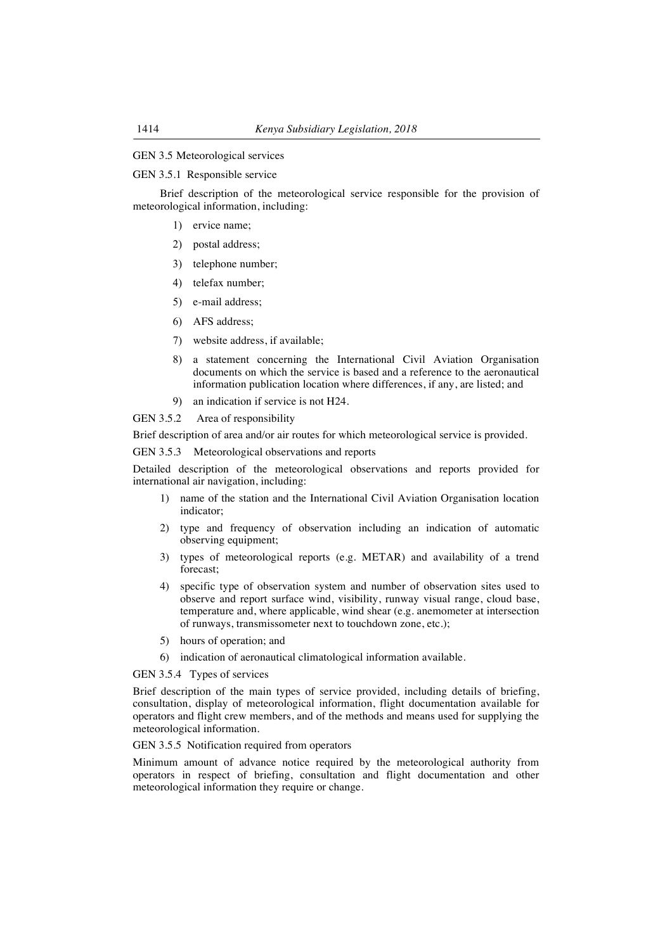# GEN 3.5 Meteorological services

#### GEN 3.5.1 Responsible service

Brief description of the meteorological service responsible for the provision of meteorological information, including:

- 1) ervice name;
- 2) postal address;
- 3) telephone number;
- 4) telefax number;
- 5) e-mail address;
- 6) AFS address;
- 7) website address, if available;
- 8) a statement concerning the International Civil Aviation Organisation documents on which the service is based and a reference to the aeronautical information publication location where differences, if any, are listed; and
- 9) an indication if service is not H24.

GEN 3.5.2 Area of responsibility

Brief description of area and/or air routes for which meteorological service is provided.

GEN 3.5.3 Meteorological observations and reports

Detailed description of the meteorological observations and reports provided for international air navigation, including:

- 1) name of the station and the International Civil Aviation Organisation location indicator;
- 2) type and frequency of observation including an indication of automatic observing equipment;
- 3) types of meteorological reports (e.g. METAR) and availability of a trend forecast;
- 4) specific type of observation system and number of observation sites used to observe and report surface wind, visibility, runway visual range, cloud base, temperature and, where applicable, wind shear (e.g. anemometer at intersection of runways, transmissometer next to touchdown zone, etc.);
- 5) hours of operation; and
- 6) indication of aeronautical climatological information available.

GEN 3.5.4 Types of services

Brief description of the main types of service provided, including details of briefing, consultation, display of meteorological information, flight documentation available for operators and flight crew members, and of the methods and means used for supplying the meteorological information.

GEN 3.5.5 Notification required from operators

Minimum amount of advance notice required by the meteorological authority from operators in respect of briefing, consultation and flight documentation and other meteorological information they require or change.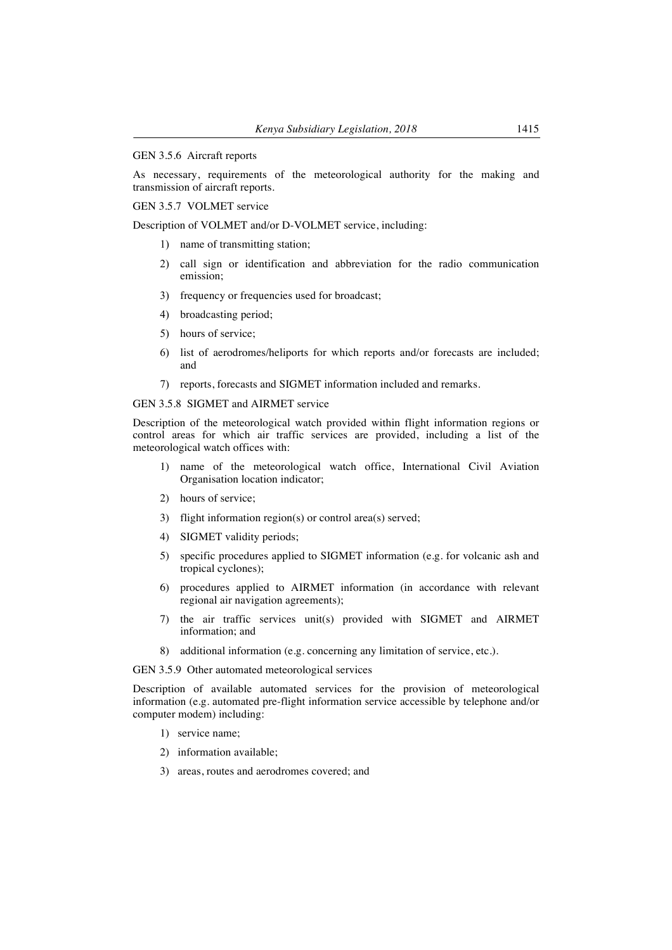#### GEN 3.5.6 Aircraft reports

As necessary, requirements of the meteorological authority for the making and transmission of aircraft reports.

GEN 3.5.7 VOLMET service

Description of VOLMET and/or D-VOLMET service, including:

- 1) name of transmitting station;
- 2) call sign or identification and abbreviation for the radio communication emission;
- 3) frequency or frequencies used for broadcast;
- 4) broadcasting period;
- 5) hours of service;
- 6) list of aerodromes/heliports for which reports and/or forecasts are included; and
- 7) reports, forecasts and SIGMET information included and remarks.

### GEN 3.5.8 SIGMET and AIRMET service

Description of the meteorological watch provided within flight information regions or control areas for which air traffic services are provided, including a list of the meteorological watch offices with:

- 1) name of the meteorological watch office, International Civil Aviation Organisation location indicator;
- 2) hours of service;
- 3) flight information region(s) or control area(s) served;
- 4) SIGMET validity periods;
- 5) specific procedures applied to SIGMET information (e.g. for volcanic ash and tropical cyclones);
- 6) procedures applied to AIRMET information (in accordance with relevant regional air navigation agreements);
- 7) the air traffic services unit(s) provided with SIGMET and AIRMET information; and
- 8) additional information (e.g. concerning any limitation of service, etc.).

GEN 3.5.9 Other automated meteorological services

Description of available automated services for the provision of meteorological information (e.g. automated pre-flight information service accessible by telephone and/or computer modem) including:

- 1) service name;
- 2) information available;
- 3) areas, routes and aerodromes covered; and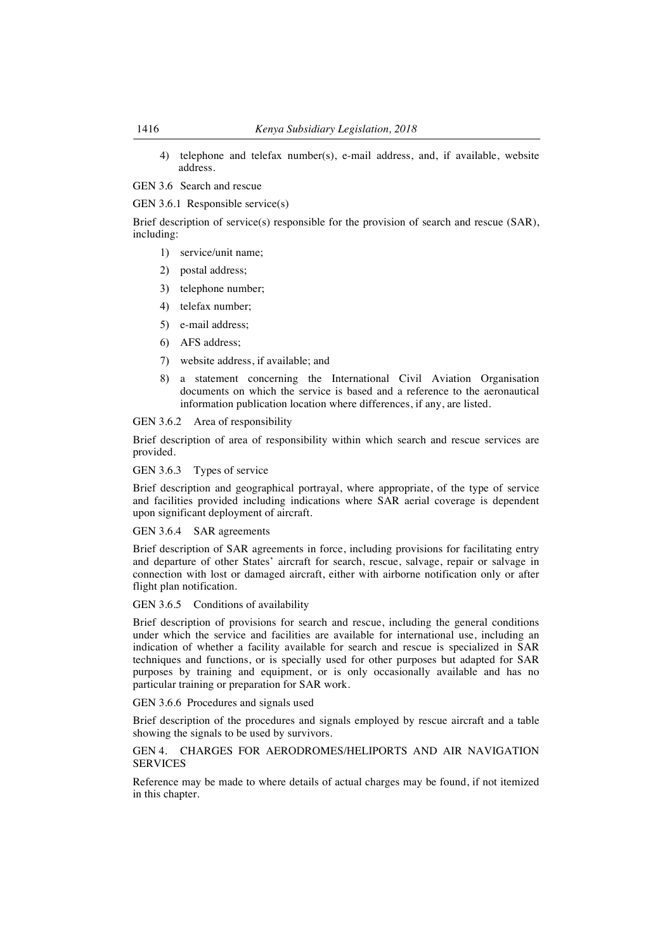4) telephone and telefax number(s), e-mail address, and, if available, website address.

GEN 3.6 Search and rescue

GEN 3.6.1 Responsible service(s)

Brief description of service(s) responsible for the provision of search and rescue (SAR), including:

- 1) service/unit name;
- 2) postal address;
- 3) telephone number;
- 4) telefax number;
- 5) e-mail address;
- 6) AFS address;
- 7) website address, if available; and
- 8) a statement concerning the International Civil Aviation Organisation documents on which the service is based and a reference to the aeronautical information publication location where differences, if any, are listed.

#### GEN 3.6.2 Area of responsibility

Brief description of area of responsibility within which search and rescue services are provided.

GEN 3.6.3 Types of service

Brief description and geographical portrayal, where appropriate, of the type of service and facilities provided including indications where SAR aerial coverage is dependent upon significant deployment of aircraft.

GEN 3.6.4 SAR agreements

Brief description of SAR agreements in force, including provisions for facilitating entry and departure of other States' aircraft for search, rescue, salvage, repair or salvage in connection with lost or damaged aircraft, either with airborne notification only or after flight plan notification.

GEN 3.6.5 Conditions of availability

Brief description of provisions for search and rescue, including the general conditions under which the service and facilities are available for international use, including an indication of whether a facility available for search and rescue is specialized in SAR techniques and functions, or is specially used for other purposes but adapted for SAR purposes by training and equipment, or is only occasionally available and has no particular training or preparation for SAR work.

GEN 3.6.6 Procedures and signals used

Brief description of the procedures and signals employed by rescue aircraft and a table showing the signals to be used by survivors.

# GEN 4. CHARGES FOR AERODROMES/HELIPORTS AND AIR NAVIGATION **SERVICES**

Reference may be made to where details of actual charges may be found, if not itemized in this chapter.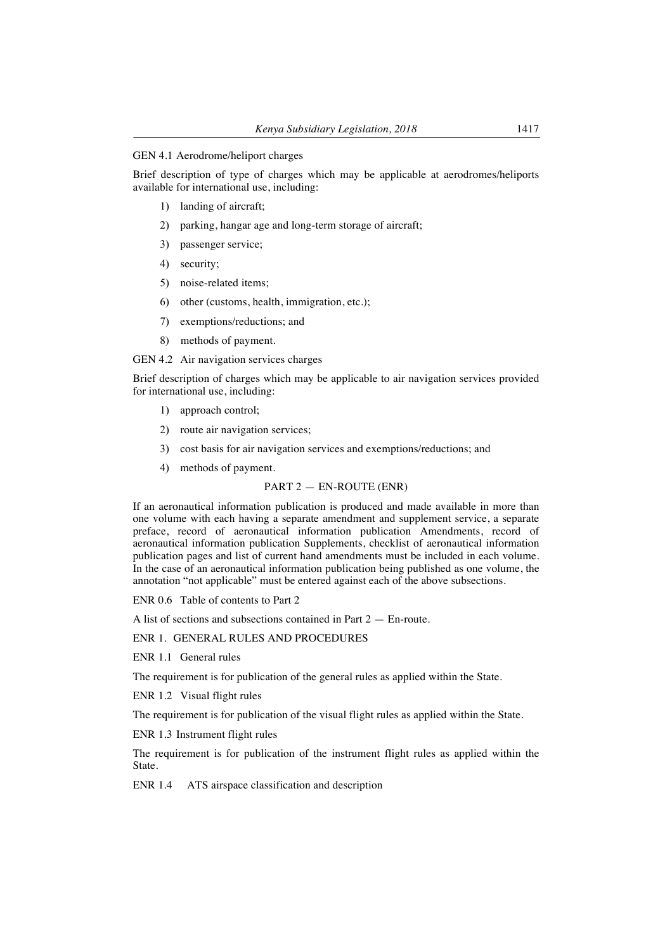#### GEN 4.1 Aerodrome/heliport charges

Brief description of type of charges which may be applicable at aerodromes/heliports available for international use, including:

- 1) landing of aircraft;
- 2) parking, hangar age and long-term storage of aircraft;
- 3) passenger service;
- 4) security;
- 5) noise-related items;
- 6) other (customs, health, immigration, etc.);
- 7) exemptions/reductions; and
- 8) methods of payment.

GEN 4.2 Air navigation services charges

Brief description of charges which may be applicable to air navigation services provided for international use, including:

- 1) approach control;
- 2) route air navigation services;
- 3) cost basis for air navigation services and exemptions/reductions; and
- 4) methods of payment.

# PART 2 — EN-ROUTE (ENR)

If an aeronautical information publication is produced and made available in more than one volume with each having a separate amendment and supplement service, a separate preface, record of aeronautical information publication Amendments, record of aeronautical information publication Supplements, checklist of aeronautical information publication pages and list of current hand amendments must be included in each volume. In the case of an aeronautical information publication being published as one volume, the annotation "not applicable" must be entered against each of the above subsections.

ENR 0.6 Table of contents to Part 2

A list of sections and subsections contained in Part 2 — En-route.

## ENR 1. GENERAL RULES AND PROCEDURES

ENR 1.1 General rules

The requirement is for publication of the general rules as applied within the State.

ENR 1.2 Visual flight rules

The requirement is for publication of the visual flight rules as applied within the State.

ENR 1.3 Instrument flight rules

The requirement is for publication of the instrument flight rules as applied within the State.

ENR 1.4 ATS airspace classification and description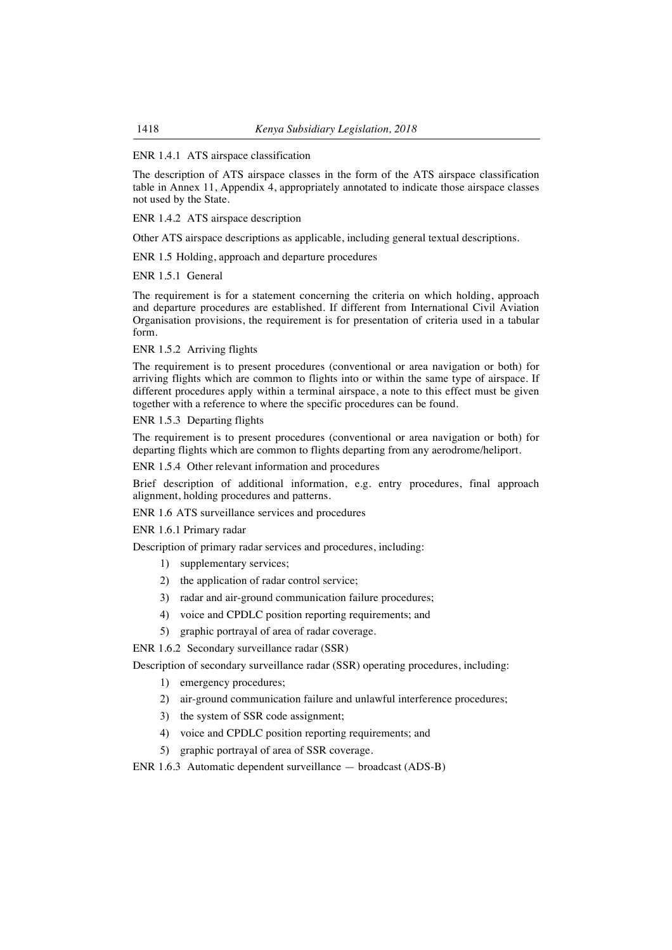# ENR 1.4.1 ATS airspace classification

The description of ATS airspace classes in the form of the ATS airspace classification table in Annex 11, Appendix 4, appropriately annotated to indicate those airspace classes not used by the State.

ENR 1.4.2 ATS airspace description

Other ATS airspace descriptions as applicable, including general textual descriptions.

ENR 1.5 Holding, approach and departure procedures

ENR 1.5.1 General

The requirement is for a statement concerning the criteria on which holding, approach and departure procedures are established. If different from International Civil Aviation Organisation provisions, the requirement is for presentation of criteria used in a tabular form.

ENR 1.5.2 Arriving flights

The requirement is to present procedures (conventional or area navigation or both) for arriving flights which are common to flights into or within the same type of airspace. If different procedures apply within a terminal airspace, a note to this effect must be given together with a reference to where the specific procedures can be found.

ENR 1.5.3 Departing flights

The requirement is to present procedures (conventional or area navigation or both) for departing flights which are common to flights departing from any aerodrome/heliport.

ENR 1.5.4 Other relevant information and procedures

Brief description of additional information, e.g. entry procedures, final approach alignment, holding procedures and patterns.

ENR 1.6 ATS surveillance services and procedures

ENR 1.6.1 Primary radar

Description of primary radar services and procedures, including:

- 1) supplementary services;
- 2) the application of radar control service;
- 3) radar and air-ground communication failure procedures;
- 4) voice and CPDLC position reporting requirements; and
- 5) graphic portrayal of area of radar coverage.

ENR 1.6.2 Secondary surveillance radar (SSR)

Description of secondary surveillance radar (SSR) operating procedures, including:

- 1) emergency procedures;
- 2) air-ground communication failure and unlawful interference procedures;
- 3) the system of SSR code assignment;
- 4) voice and CPDLC position reporting requirements; and
- 5) graphic portrayal of area of SSR coverage.

ENR 1.6.3 Automatic dependent surveillance — broadcast (ADS-B)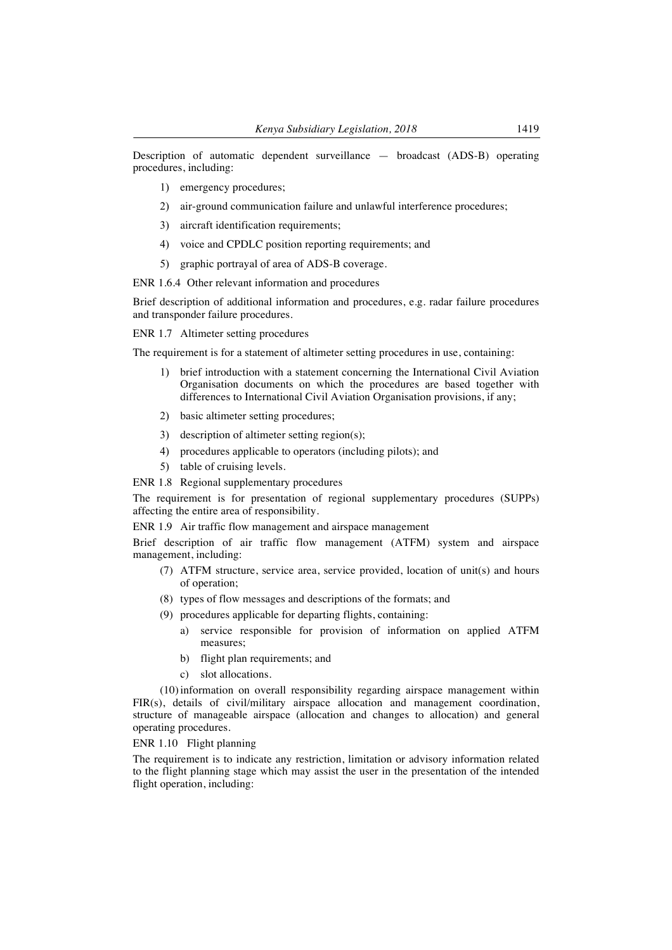Description of automatic dependent surveillance — broadcast (ADS-B) operating procedures, including:

- 1) emergency procedures;
- 2) air-ground communication failure and unlawful interference procedures;
- 3) aircraft identification requirements;
- 4) voice and CPDLC position reporting requirements; and
- 5) graphic portrayal of area of ADS-B coverage.

ENR 1.6.4 Other relevant information and procedures

Brief description of additional information and procedures, e.g. radar failure procedures and transponder failure procedures.

ENR 1.7 Altimeter setting procedures

The requirement is for a statement of altimeter setting procedures in use, containing:

- 1) brief introduction with a statement concerning the International Civil Aviation Organisation documents on which the procedures are based together with differences to International Civil Aviation Organisation provisions, if any;
- 2) basic altimeter setting procedures;
- 3) description of altimeter setting region(s);
- 4) procedures applicable to operators (including pilots); and
- 5) table of cruising levels.
- ENR 1.8 Regional supplementary procedures

The requirement is for presentation of regional supplementary procedures (SUPPs) affecting the entire area of responsibility.

ENR 1.9 Air traffic flow management and airspace management

Brief description of air traffic flow management (ATFM) system and airspace management, including:

- (7) ATFM structure, service area, service provided, location of unit(s) and hours of operation;
- (8) types of flow messages and descriptions of the formats; and
- (9) procedures applicable for departing flights, containing:
	- a) service responsible for provision of information on applied ATFM measures;
	- b) flight plan requirements; and
	- c) slot allocations.

(10)information on overall responsibility regarding airspace management within FIR(s), details of civil/military airspace allocation and management coordination, structure of manageable airspace (allocation and changes to allocation) and general operating procedures.

# ENR 1.10 Flight planning

The requirement is to indicate any restriction, limitation or advisory information related to the flight planning stage which may assist the user in the presentation of the intended flight operation, including: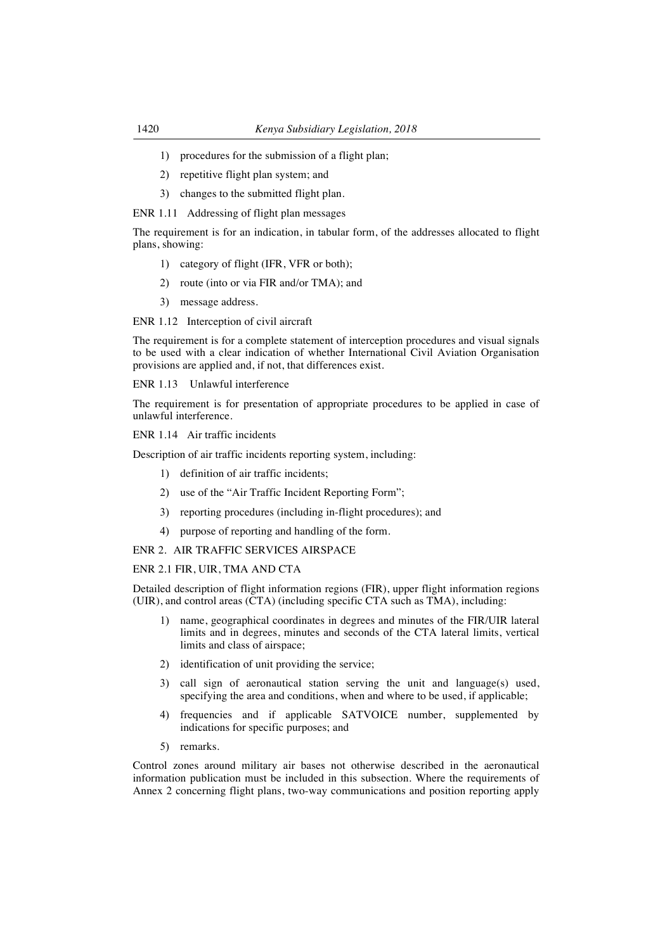- 1) procedures for the submission of a flight plan;
- 2) repetitive flight plan system; and
- 3) changes to the submitted flight plan.

ENR 1.11 Addressing of flight plan messages

The requirement is for an indication, in tabular form, of the addresses allocated to flight plans, showing:

- 1) category of flight (IFR, VFR or both);
- 2) route (into or via FIR and/or TMA); and
- 3) message address.

ENR 1.12 Interception of civil aircraft

The requirement is for a complete statement of interception procedures and visual signals to be used with a clear indication of whether International Civil Aviation Organisation provisions are applied and, if not, that differences exist.

ENR 1.13 Unlawful interference

The requirement is for presentation of appropriate procedures to be applied in case of unlawful interference.

ENR 1.14 Air traffic incidents

Description of air traffic incidents reporting system, including:

- 1) definition of air traffic incidents;
- 2) use of the "Air Traffic Incident Reporting Form";
- 3) reporting procedures (including in-flight procedures); and
- 4) purpose of reporting and handling of the form.

# ENR 2. AIR TRAFFIC SERVICES AIRSPACE

# ENR 2.1 FIR, UIR, TMA AND CTA

Detailed description of flight information regions (FIR), upper flight information regions (UIR), and control areas (CTA) (including specific CTA such as TMA), including:

- 1) name, geographical coordinates in degrees and minutes of the FIR/UIR lateral limits and in degrees, minutes and seconds of the CTA lateral limits, vertical limits and class of airspace;
- 2) identification of unit providing the service;
- 3) call sign of aeronautical station serving the unit and language(s) used, specifying the area and conditions, when and where to be used, if applicable;
- frequencies and if applicable SATVOICE number, supplemented by indications for specific purposes; and
- 5) remarks.

Control zones around military air bases not otherwise described in the aeronautical information publication must be included in this subsection. Where the requirements of Annex 2 concerning flight plans, two-way communications and position reporting apply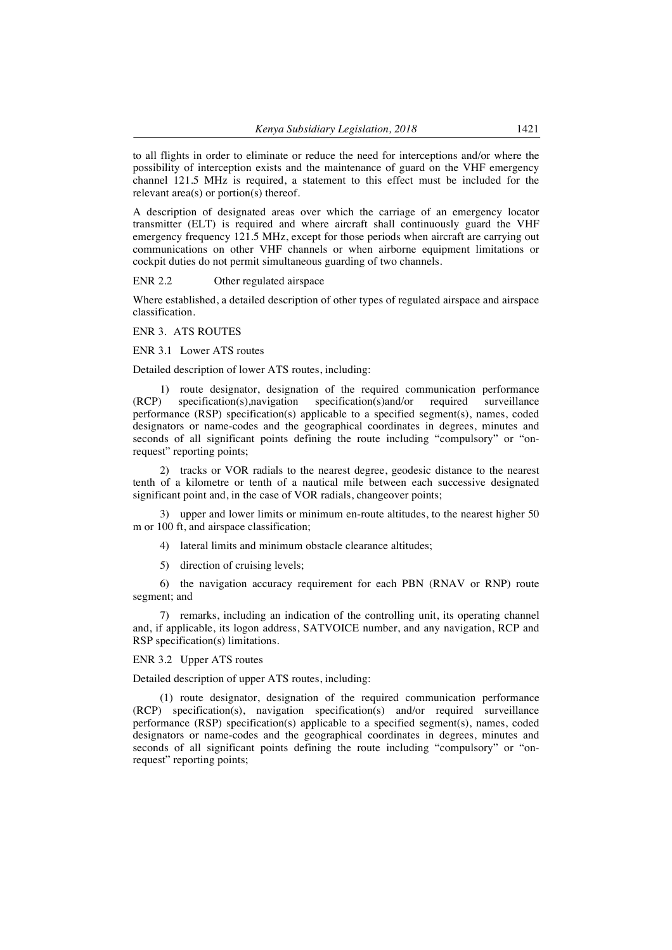to all flights in order to eliminate or reduce the need for interceptions and/or where the possibility of interception exists and the maintenance of guard on the VHF emergency channel 121.5 MHz is required, a statement to this effect must be included for the relevant area(s) or portion(s) thereof.

A description of designated areas over which the carriage of an emergency locator transmitter (ELT) is required and where aircraft shall continuously guard the VHF emergency frequency 121.5 MHz, except for those periods when aircraft are carrying out communications on other VHF channels or when airborne equipment limitations or cockpit duties do not permit simultaneous guarding of two channels.

ENR 2.2 Other regulated airspace

Where established, a detailed description of other types of regulated airspace and airspace classification.

ENR 3. ATS ROUTES

ENR 3.1 Lower ATS routes

Detailed description of lower ATS routes, including:

1) route designator, designation of the required communication performance (RCP) specification(s),navigation specification(s)and/or required surveillance performance (RSP) specification(s) applicable to a specified segment(s), names, coded designators or name-codes and the geographical coordinates in degrees, minutes and seconds of all significant points defining the route including "compulsory" or "onrequest" reporting points;

2) tracks or VOR radials to the nearest degree, geodesic distance to the nearest tenth of a kilometre or tenth of a nautical mile between each successive designated significant point and, in the case of VOR radials, changeover points;

3) upper and lower limits or minimum en-route altitudes, to the nearest higher 50 m or 100 ft, and airspace classification;

4) lateral limits and minimum obstacle clearance altitudes;

5) direction of cruising levels;

6) the navigation accuracy requirement for each PBN (RNAV or RNP) route segment; and

7) remarks, including an indication of the controlling unit, its operating channel and, if applicable, its logon address, SATVOICE number, and any navigation, RCP and RSP specification(s) limitations.

ENR 3.2 Upper ATS routes

Detailed description of upper ATS routes, including:

(1) route designator, designation of the required communication performance (RCP) specification(s), navigation specification(s) and/or required surveillance performance (RSP) specification(s) applicable to a specified segment(s), names, coded designators or name-codes and the geographical coordinates in degrees, minutes and seconds of all significant points defining the route including "compulsory" or "onrequest" reporting points: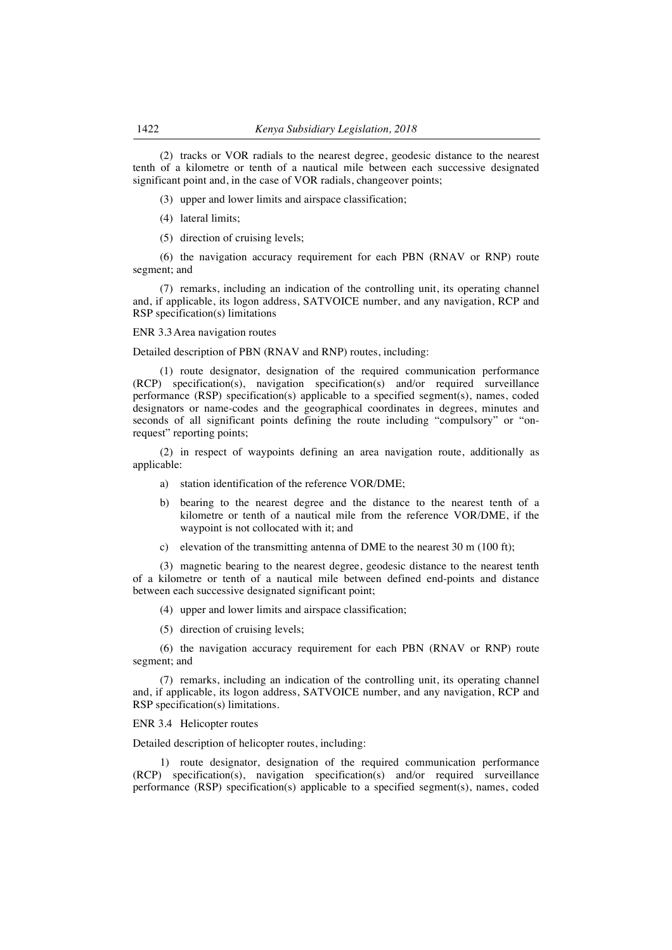(2) tracks or VOR radials to the nearest degree, geodesic distance to the nearest tenth of a kilometre or tenth of a nautical mile between each successive designated significant point and, in the case of VOR radials, changeover points;

(3) upper and lower limits and airspace classification;

- (4) lateral limits;
- (5) direction of cruising levels;

(6) the navigation accuracy requirement for each PBN (RNAV or RNP) route segment; and

(7) remarks, including an indication of the controlling unit, its operating channel and, if applicable, its logon address, SATVOICE number, and any navigation, RCP and RSP specification(s) limitations

ENR 3.3Area navigation routes

Detailed description of PBN (RNAV and RNP) routes, including:

(1) route designator, designation of the required communication performance (RCP) specification(s), navigation specification(s) and/or required surveillance performance (RSP) specification(s) applicable to a specified segment(s), names, coded designators or name-codes and the geographical coordinates in degrees, minutes and seconds of all significant points defining the route including "compulsory" or "onrequest" reporting points;

(2) in respect of waypoints defining an area navigation route, additionally as applicable:

- a) station identification of the reference VOR/DME;
- b) bearing to the nearest degree and the distance to the nearest tenth of a kilometre or tenth of a nautical mile from the reference VOR/DME, if the waypoint is not collocated with it; and
- c) elevation of the transmitting antenna of DME to the nearest 30 m (100 ft);

(3) magnetic bearing to the nearest degree, geodesic distance to the nearest tenth of a kilometre or tenth of a nautical mile between defined end-points and distance between each successive designated significant point;

(4) upper and lower limits and airspace classification;

(5) direction of cruising levels;

(6) the navigation accuracy requirement for each PBN (RNAV or RNP) route segment; and

(7) remarks, including an indication of the controlling unit, its operating channel and, if applicable, its logon address, SATVOICE number, and any navigation, RCP and RSP specification(s) limitations.

ENR 3.4 Helicopter routes

Detailed description of helicopter routes, including:

1) route designator, designation of the required communication performance (RCP) specification(s), navigation specification(s) and/or required surveillance performance (RSP) specification(s) applicable to a specified segment(s), names, coded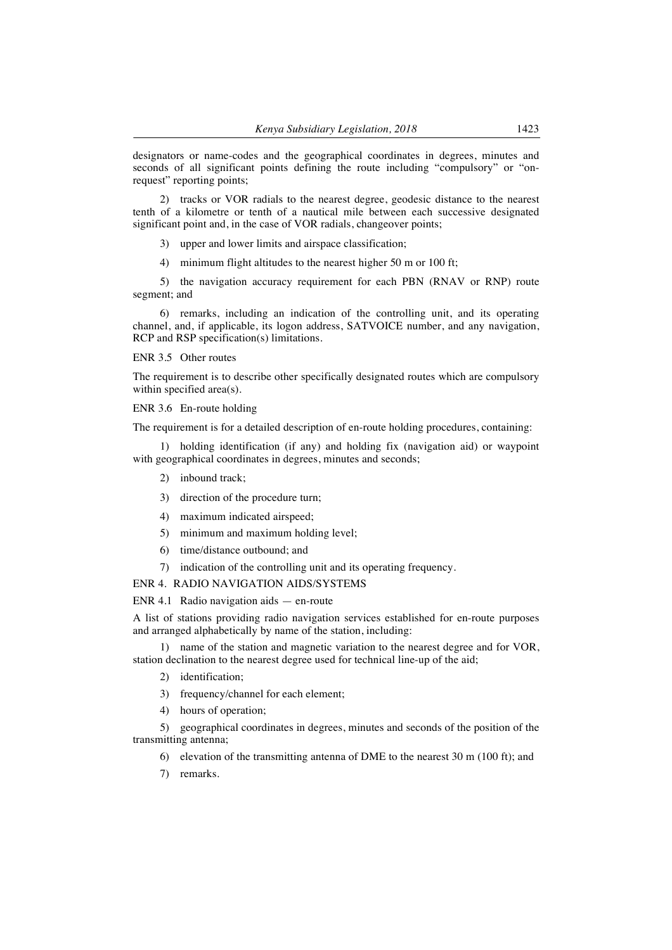designators or name-codes and the geographical coordinates in degrees, minutes and seconds of all significant points defining the route including "compulsory" or "onrequest" reporting points;

2) tracks or VOR radials to the nearest degree, geodesic distance to the nearest tenth of a kilometre or tenth of a nautical mile between each successive designated significant point and, in the case of VOR radials, changeover points;

- 3) upper and lower limits and airspace classification;
- 4) minimum flight altitudes to the nearest higher 50 m or 100 ft;

5) the navigation accuracy requirement for each PBN (RNAV or RNP) route segment; and

6) remarks, including an indication of the controlling unit, and its operating channel, and, if applicable, its logon address, SATVOICE number, and any navigation, RCP and RSP specification(s) limitations.

## ENR 3.5 Other routes

The requirement is to describe other specifically designated routes which are compulsory within specified area(s).

ENR 3.6 En-route holding

The requirement is for a detailed description of en-route holding procedures, containing:

1) holding identification (if any) and holding fix (navigation aid) or waypoint with geographical coordinates in degrees, minutes and seconds;

- 2) inbound track;
- 3) direction of the procedure turn;
- 4) maximum indicated airspeed;
- 5) minimum and maximum holding level;
- 6) time/distance outbound; and
- 7) indication of the controlling unit and its operating frequency.

## ENR 4. RADIO NAVIGATION AIDS/SYSTEMS

#### ENR 4.1 Radio navigation aids — en-route

A list of stations providing radio navigation services established for en-route purposes and arranged alphabetically by name of the station, including:

1) name of the station and magnetic variation to the nearest degree and for VOR, station declination to the nearest degree used for technical line-up of the aid;

- 2) identification;
- 3) frequency/channel for each element;
- 4) hours of operation;

5) geographical coordinates in degrees, minutes and seconds of the position of the transmitting antenna;

6) elevation of the transmitting antenna of DME to the nearest 30 m (100 ft); and

7) remarks.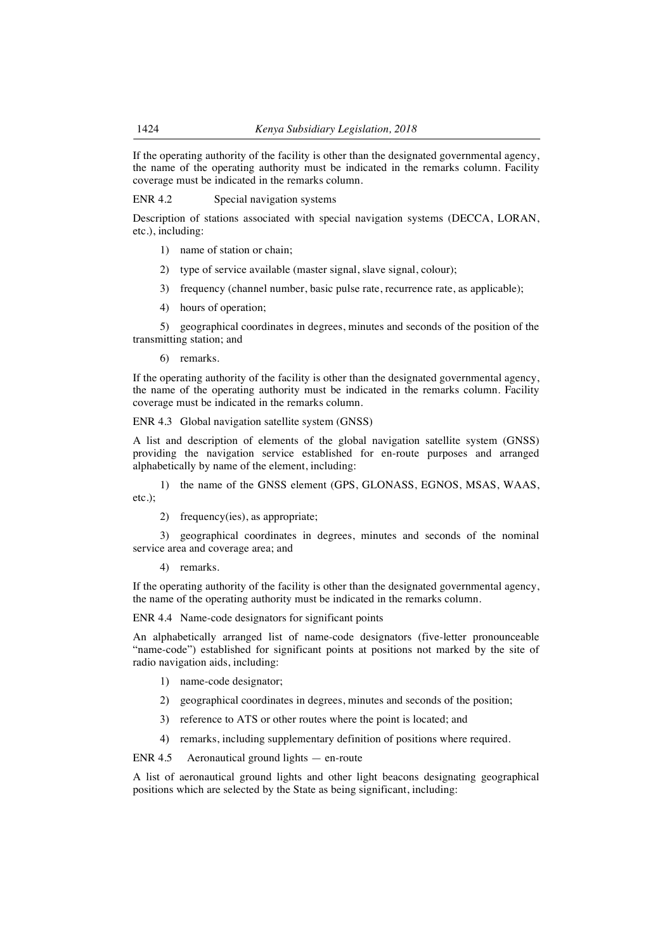If the operating authority of the facility is other than the designated governmental agency, the name of the operating authority must be indicated in the remarks column. Facility coverage must be indicated in the remarks column.

ENR 4.2 Special navigation systems

Description of stations associated with special navigation systems (DECCA, LORAN, etc.), including:

- 1) name of station or chain;
- 2) type of service available (master signal, slave signal, colour);
- 3) frequency (channel number, basic pulse rate, recurrence rate, as applicable);
- 4) hours of operation;

5) geographical coordinates in degrees, minutes and seconds of the position of the transmitting station; and

6) remarks.

If the operating authority of the facility is other than the designated governmental agency, the name of the operating authority must be indicated in the remarks column. Facility coverage must be indicated in the remarks column.

ENR 4.3 Global navigation satellite system (GNSS)

A list and description of elements of the global navigation satellite system (GNSS) providing the navigation service established for en-route purposes and arranged alphabetically by name of the element, including:

1) the name of the GNSS element (GPS, GLONASS, EGNOS, MSAS, WAAS, etc.);

2) frequency(ies), as appropriate;

3) geographical coordinates in degrees, minutes and seconds of the nominal service area and coverage area; and

4) remarks.

If the operating authority of the facility is other than the designated governmental agency, the name of the operating authority must be indicated in the remarks column.

ENR 4.4 Name-code designators for significant points

An alphabetically arranged list of name-code designators (five-letter pronounceable "name-code") established for significant points at positions not marked by the site of radio navigation aids, including:

- 1) name-code designator;
- 2) geographical coordinates in degrees, minutes and seconds of the position;
- 3) reference to ATS or other routes where the point is located; and
- 4) remarks, including supplementary definition of positions where required.

ENR 4.5 Aeronautical ground lights — en-route

A list of aeronautical ground lights and other light beacons designating geographical positions which are selected by the State as being significant, including: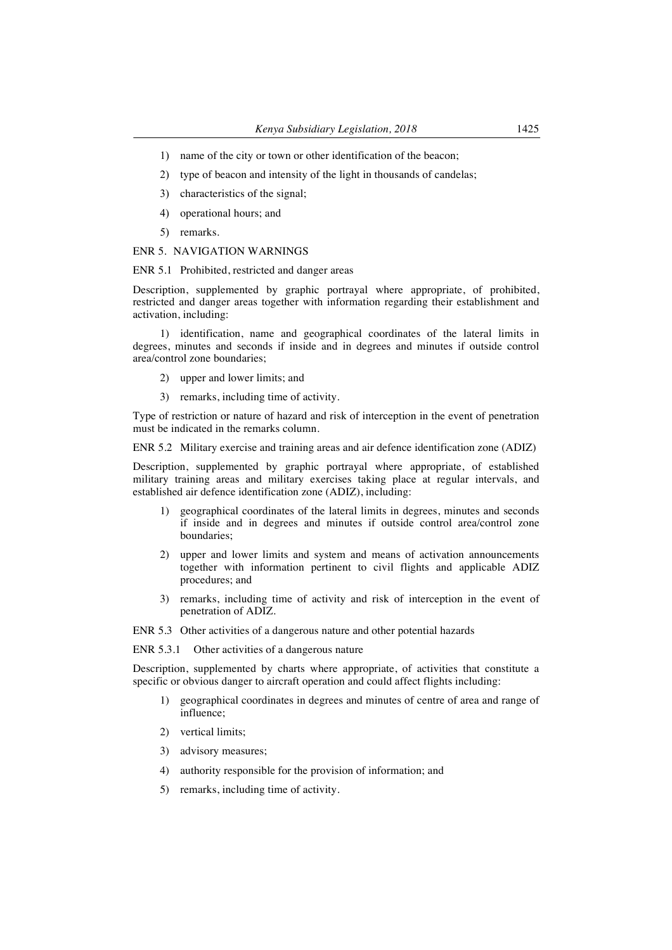- 1) name of the city or town or other identification of the beacon;
- 2) type of beacon and intensity of the light in thousands of candelas;
- 3) characteristics of the signal;
- 4) operational hours; and
- 5) remarks.

#### ENR 5. NAVIGATION WARNINGS

#### ENR 5.1 Prohibited, restricted and danger areas

Description, supplemented by graphic portrayal where appropriate, of prohibited, restricted and danger areas together with information regarding their establishment and activation, including:

1) identification, name and geographical coordinates of the lateral limits in degrees, minutes and seconds if inside and in degrees and minutes if outside control area/control zone boundaries;

- 2) upper and lower limits; and
- 3) remarks, including time of activity.

Type of restriction or nature of hazard and risk of interception in the event of penetration must be indicated in the remarks column.

ENR 5.2 Military exercise and training areas and air defence identification zone (ADIZ)

Description, supplemented by graphic portrayal where appropriate, of established military training areas and military exercises taking place at regular intervals, and established air defence identification zone (ADIZ), including:

- 1) geographical coordinates of the lateral limits in degrees, minutes and seconds if inside and in degrees and minutes if outside control area/control zone boundaries;
- 2) upper and lower limits and system and means of activation announcements together with information pertinent to civil flights and applicable ADIZ procedures; and
- 3) remarks, including time of activity and risk of interception in the event of penetration of ADIZ.

ENR 5.3 Other activities of a dangerous nature and other potential hazards

ENR 5.3.1 Other activities of a dangerous nature

Description, supplemented by charts where appropriate, of activities that constitute a specific or obvious danger to aircraft operation and could affect flights including:

- 1) geographical coordinates in degrees and minutes of centre of area and range of influence;
- 2) vertical limits;
- 3) advisory measures;
- 4) authority responsible for the provision of information; and
- 5) remarks, including time of activity.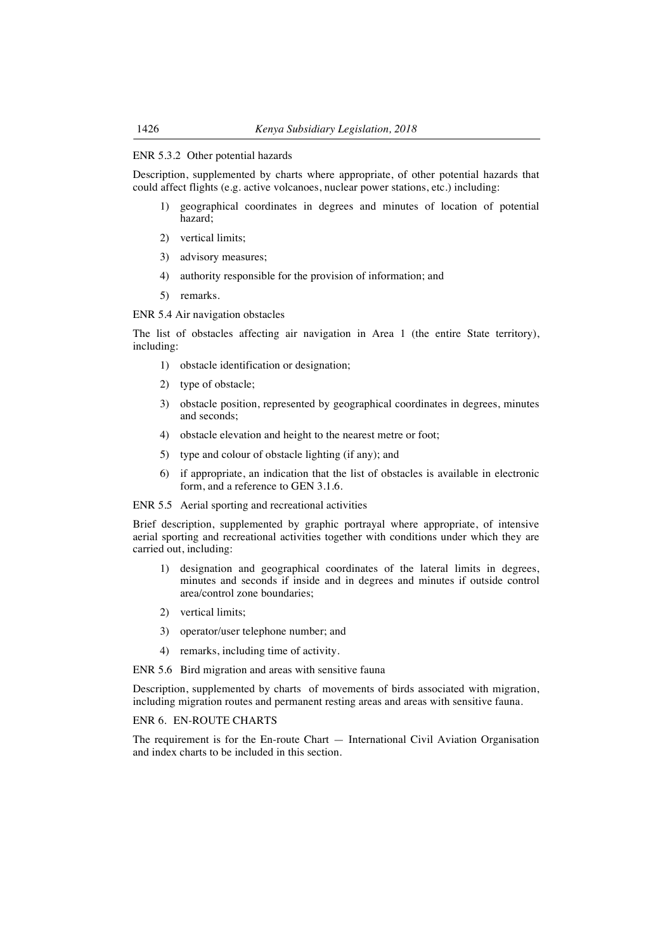## ENR 5.3.2 Other potential hazards

Description, supplemented by charts where appropriate, of other potential hazards that could affect flights (e.g. active volcanoes, nuclear power stations, etc.) including:

- 1) geographical coordinates in degrees and minutes of location of potential hazard;
- 2) vertical limits;
- 3) advisory measures;
- 4) authority responsible for the provision of information; and
- 5) remarks.

ENR 5.4 Air navigation obstacles

The list of obstacles affecting air navigation in Area 1 (the entire State territory), including:

- 1) obstacle identification or designation;
- 2) type of obstacle;
- 3) obstacle position, represented by geographical coordinates in degrees, minutes and seconds;
- 4) obstacle elevation and height to the nearest metre or foot;
- 5) type and colour of obstacle lighting (if any); and
- 6) if appropriate, an indication that the list of obstacles is available in electronic form, and a reference to GEN 3.1.6.

ENR 5.5 Aerial sporting and recreational activities

Brief description, supplemented by graphic portrayal where appropriate, of intensive aerial sporting and recreational activities together with conditions under which they are carried out, including:

- 1) designation and geographical coordinates of the lateral limits in degrees, minutes and seconds if inside and in degrees and minutes if outside control area/control zone boundaries;
- 2) vertical limits;
- 3) operator/user telephone number; and
- 4) remarks, including time of activity.

ENR 5.6 Bird migration and areas with sensitive fauna

Description, supplemented by charts of movements of birds associated with migration, including migration routes and permanent resting areas and areas with sensitive fauna.

ENR 6. EN-ROUTE CHARTS

The requirement is for the En-route Chart — International Civil Aviation Organisation and index charts to be included in this section.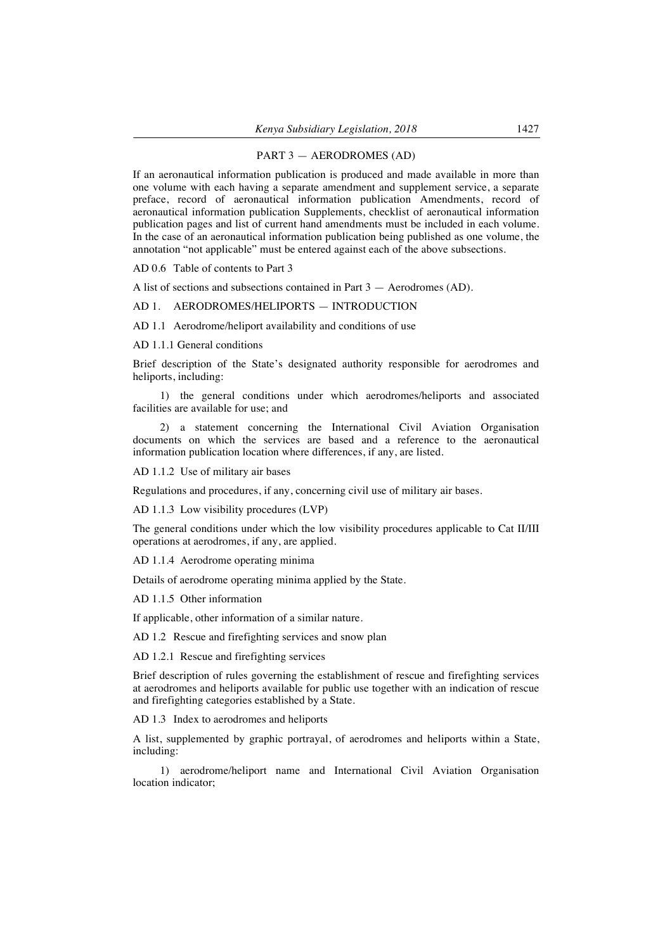#### PART 3 — AERODROMES (AD)

If an aeronautical information publication is produced and made available in more than one volume with each having a separate amendment and supplement service, a separate preface, record of aeronautical information publication Amendments, record of aeronautical information publication Supplements, checklist of aeronautical information publication pages and list of current hand amendments must be included in each volume. In the case of an aeronautical information publication being published as one volume, the annotation "not applicable" must be entered against each of the above subsections.

AD 0.6 Table of contents to Part 3

A list of sections and subsections contained in Part 3 — Aerodromes (AD).

#### AD 1. AERODROMES/HELIPORTS — INTRODUCTION

AD 1.1 Aerodrome/heliport availability and conditions of use

AD 1.1.1 General conditions

Brief description of the State's designated authority responsible for aerodromes and heliports, including:

1) the general conditions under which aerodromes/heliports and associated facilities are available for use; and

2) a statement concerning the International Civil Aviation Organisation documents on which the services are based and a reference to the aeronautical information publication location where differences, if any, are listed.

AD 1.1.2 Use of military air bases

Regulations and procedures, if any, concerning civil use of military air bases.

AD 1.1.3 Low visibility procedures (LVP)

The general conditions under which the low visibility procedures applicable to Cat II/III operations at aerodromes, if any, are applied.

AD 1.1.4 Aerodrome operating minima

Details of aerodrome operating minima applied by the State.

AD 1.1.5 Other information

If applicable, other information of a similar nature.

AD 1.2 Rescue and firefighting services and snow plan

AD 1.2.1 Rescue and firefighting services

Brief description of rules governing the establishment of rescue and firefighting services at aerodromes and heliports available for public use together with an indication of rescue and firefighting categories established by a State.

AD 1.3 Index to aerodromes and heliports

A list, supplemented by graphic portrayal, of aerodromes and heliports within a State, including:

1) aerodrome/heliport name and International Civil Aviation Organisation location indicator;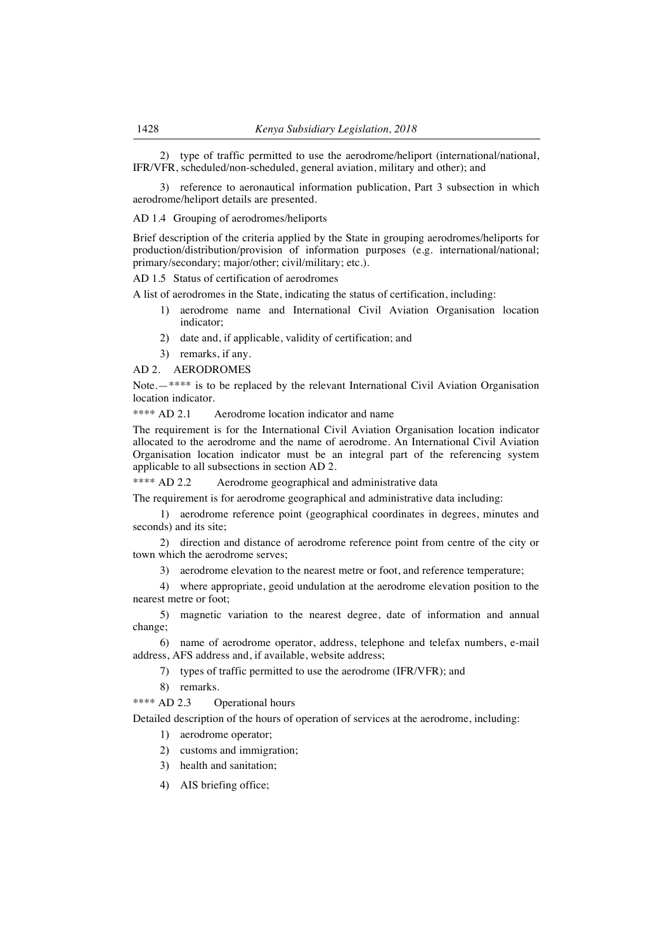2) type of traffic permitted to use the aerodrome/heliport (international/national, IFR/VFR, scheduled/non-scheduled, general aviation, military and other); and

3) reference to aeronautical information publication, Part 3 subsection in which aerodrome/heliport details are presented.

AD 1.4 Grouping of aerodromes/heliports

Brief description of the criteria applied by the State in grouping aerodromes/heliports for production/distribution/provision of information purposes (e.g. international/national; primary/secondary; major/other; civil/military; etc.).

AD 1.5 Status of certification of aerodromes

A list of aerodromes in the State, indicating the status of certification, including:

- 1) aerodrome name and International Civil Aviation Organisation location indicator;
- 2) date and, if applicable, validity of certification; and
- 3) remarks, if any.

AD 2. AERODROMES

Note.—\*\*\*\* is to be replaced by the relevant International Civil Aviation Organisation location indicator.

\*\*\*\* AD 2.1 Aerodrome location indicator and name

The requirement is for the International Civil Aviation Organisation location indicator allocated to the aerodrome and the name of aerodrome. An International Civil Aviation Organisation location indicator must be an integral part of the referencing system applicable to all subsections in section AD 2.

\*\*\*\* AD 2.2 Aerodrome geographical and administrative data

The requirement is for aerodrome geographical and administrative data including:

1) aerodrome reference point (geographical coordinates in degrees, minutes and seconds) and its site;

2) direction and distance of aerodrome reference point from centre of the city or town which the aerodrome serves;

3) aerodrome elevation to the nearest metre or foot, and reference temperature;

4) where appropriate, geoid undulation at the aerodrome elevation position to the nearest metre or foot;

5) magnetic variation to the nearest degree, date of information and annual change;

6) name of aerodrome operator, address, telephone and telefax numbers, e-mail address, AFS address and, if available, website address;

7) types of traffic permitted to use the aerodrome (IFR/VFR); and

8) remarks.

\*\*\*\* AD 2.3 Operational hours

Detailed description of the hours of operation of services at the aerodrome, including:

1) aerodrome operator;

2) customs and immigration;

3) health and sanitation;

4) AIS briefing office;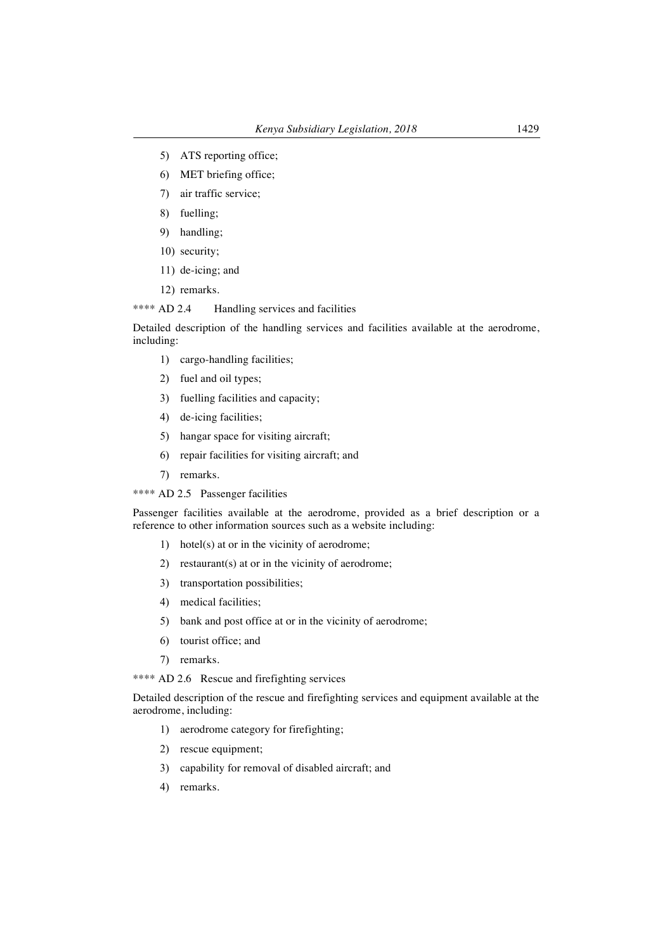- 5) ATS reporting office;
- 6) MET briefing office;
- 7) air traffic service;
- 8) fuelling;
- 9) handling;
- 10) security;
- 11) de-icing; and
- 12) remarks.

\*\*\*\* AD 2.4 Handling services and facilities

Detailed description of the handling services and facilities available at the aerodrome, including:

- 1) cargo-handling facilities;
- 2) fuel and oil types;
- 3) fuelling facilities and capacity;
- 4) de-icing facilities;
- 5) hangar space for visiting aircraft;
- 6) repair facilities for visiting aircraft; and
- 7) remarks.
- \*\*\*\* AD 2.5 Passenger facilities

Passenger facilities available at the aerodrome, provided as a brief description or a reference to other information sources such as a website including:

- 1) hotel(s) at or in the vicinity of aerodrome;
- 2) restaurant(s) at or in the vicinity of aerodrome;
- 3) transportation possibilities;
- 4) medical facilities;
- 5) bank and post office at or in the vicinity of aerodrome;
- 6) tourist office; and
- 7) remarks.

\*\*\*\* AD 2.6 Rescue and firefighting services

Detailed description of the rescue and firefighting services and equipment available at the aerodrome, including:

- 1) aerodrome category for firefighting;
- 2) rescue equipment;
- 3) capability for removal of disabled aircraft; and
- 4) remarks.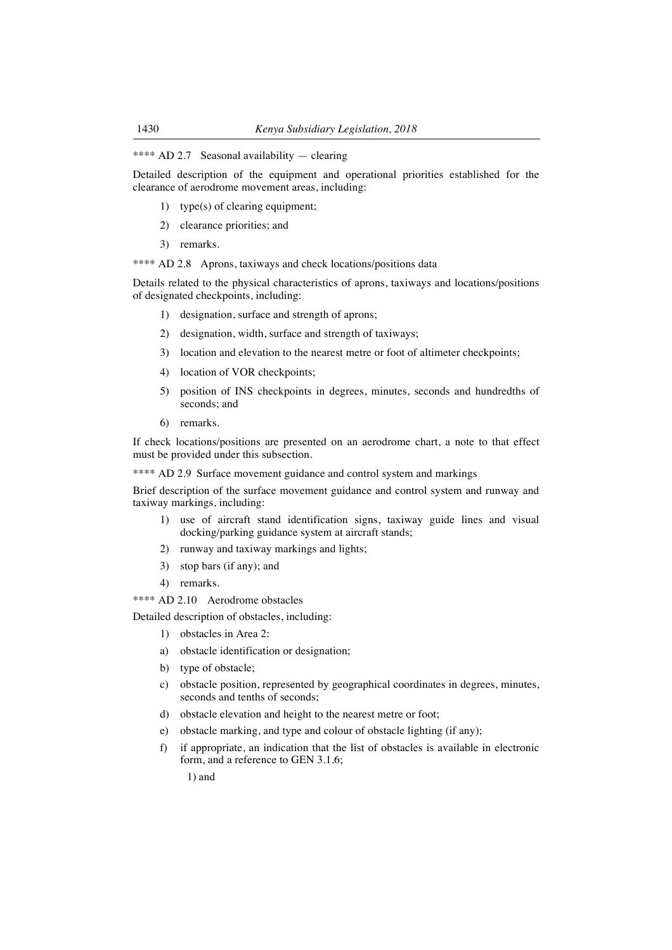## \*\*\*\* AD 2.7 Seasonal availability — clearing

Detailed description of the equipment and operational priorities established for the clearance of aerodrome movement areas, including:

- 1) type(s) of clearing equipment;
- 2) clearance priorities; and
- 3) remarks.

\*\*\*\* AD 2.8 Aprons, taxiways and check locations/positions data

Details related to the physical characteristics of aprons, taxiways and locations/positions of designated checkpoints, including:

- 1) designation, surface and strength of aprons;
- 2) designation, width, surface and strength of taxiways;
- 3) location and elevation to the nearest metre or foot of altimeter checkpoints;
- 4) location of VOR checkpoints;
- 5) position of INS checkpoints in degrees, minutes, seconds and hundredths of seconds; and
- 6) remarks.

If check locations/positions are presented on an aerodrome chart, a note to that effect must be provided under this subsection.

\*\*\*\* AD 2.9 Surface movement guidance and control system and markings

Brief description of the surface movement guidance and control system and runway and taxiway markings, including:

- 1) use of aircraft stand identification signs, taxiway guide lines and visual docking/parking guidance system at aircraft stands;
- 2) runway and taxiway markings and lights;
- 3) stop bars (if any); and
- 4) remarks.

\*\*\*\* AD 2.10 Aerodrome obstacles

Detailed description of obstacles, including:

- 1) obstacles in Area 2:
- a) obstacle identification or designation;
- b) type of obstacle;
- c) obstacle position, represented by geographical coordinates in degrees, minutes, seconds and tenths of seconds;
- d) obstacle elevation and height to the nearest metre or foot;
- e) obstacle marking, and type and colour of obstacle lighting (if any);
- f) if appropriate, an indication that the list of obstacles is available in electronic form, and a reference to GEN 3.1.6;

1) and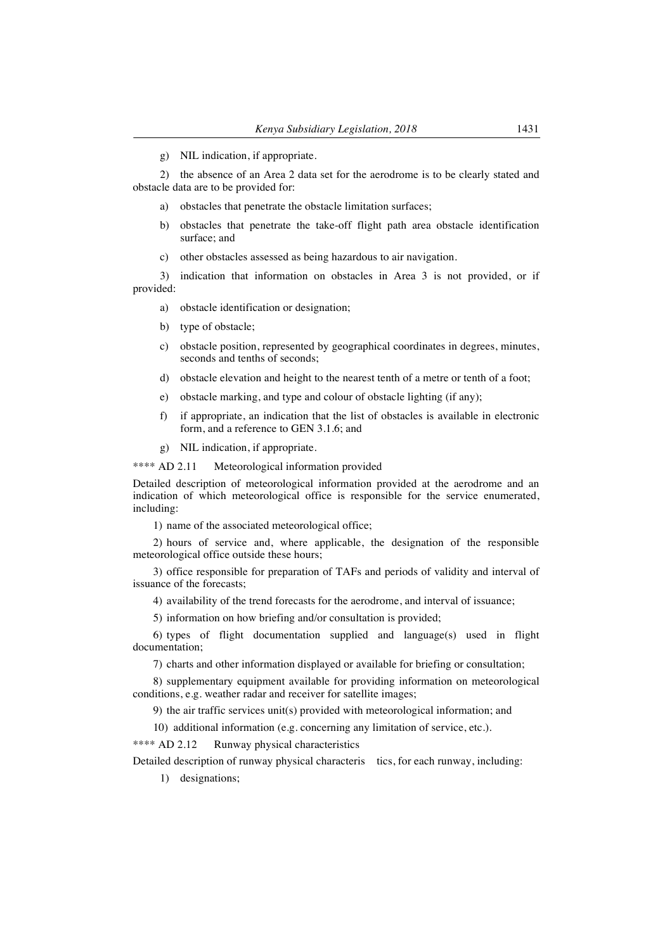g) NIL indication, if appropriate.

2) the absence of an Area 2 data set for the aerodrome is to be clearly stated and obstacle data are to be provided for:

- a) obstacles that penetrate the obstacle limitation surfaces;
- b) obstacles that penetrate the take-off flight path area obstacle identification surface; and
- c) other obstacles assessed as being hazardous to air navigation.

3) indication that information on obstacles in Area 3 is not provided, or if provided:

- a) obstacle identification or designation;
- b) type of obstacle;
- c) obstacle position, represented by geographical coordinates in degrees, minutes, seconds and tenths of seconds;
- d) obstacle elevation and height to the nearest tenth of a metre or tenth of a foot;
- e) obstacle marking, and type and colour of obstacle lighting (if any);
- f) if appropriate, an indication that the list of obstacles is available in electronic form, and a reference to GEN 3.1.6; and
- g) NIL indication, if appropriate.

\*\*\*\* AD 2.11 Meteorological information provided

Detailed description of meteorological information provided at the aerodrome and an indication of which meteorological office is responsible for the service enumerated, including:

1) name of the associated meteorological office;

2) hours of service and, where applicable, the designation of the responsible meteorological office outside these hours;

3) office responsible for preparation of TAFs and periods of validity and interval of issuance of the forecasts;

4) availability of the trend forecasts for the aerodrome, and interval of issuance;

5) information on how briefing and/or consultation is provided;

6) types of flight documentation supplied and language(s) used in flight documentation;

7) charts and other information displayed or available for briefing or consultation;

8) supplementary equipment available for providing information on meteorological conditions, e.g. weather radar and receiver for satellite images;

9) the air traffic services unit(s) provided with meteorological information; and

10) additional information (e.g. concerning any limitation of service, etc.).

\*\*\*\* AD 2.12 Runway physical characteristics

Detailed description of runway physical characteris tics, for each runway, including:

1) designations;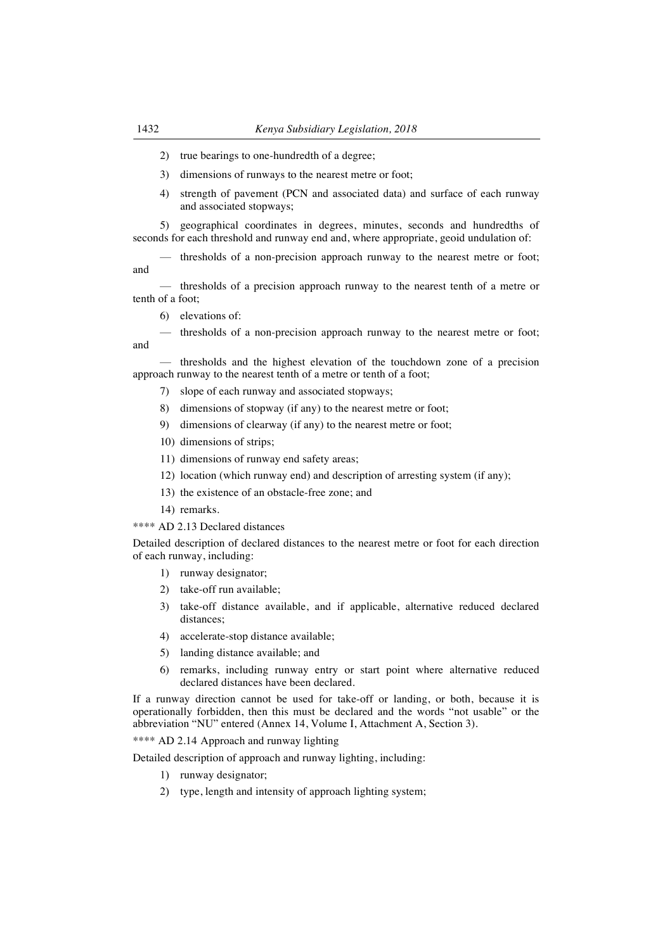- 2) true bearings to one-hundredth of a degree;
- 3) dimensions of runways to the nearest metre or foot;
- 4) strength of pavement (PCN and associated data) and surface of each runway and associated stopways;

5) geographical coordinates in degrees, minutes, seconds and hundredths of seconds for each threshold and runway end and, where appropriate, geoid undulation of:

— thresholds of a non-precision approach runway to the nearest metre or foot; and

— thresholds of a precision approach runway to the nearest tenth of a metre or tenth of a foot;

6) elevations of:

— thresholds of a non-precision approach runway to the nearest metre or foot; and

— thresholds and the highest elevation of the touchdown zone of a precision approach runway to the nearest tenth of a metre or tenth of a foot;

- 7) slope of each runway and associated stopways;
- 8) dimensions of stopway (if any) to the nearest metre or foot;
- 9) dimensions of clearway (if any) to the nearest metre or foot;
- 10) dimensions of strips;
- 11) dimensions of runway end safety areas;
- 12) location (which runway end) and description of arresting system (if any);
- 13) the existence of an obstacle-free zone; and
- 14) remarks.

\*\*\*\* AD 2.13 Declared distances

Detailed description of declared distances to the nearest metre or foot for each direction of each runway, including:

- 1) runway designator;
- 2) take-off run available;
- 3) take-off distance available, and if applicable, alternative reduced declared distances;
- 4) accelerate-stop distance available;
- 5) landing distance available; and
- 6) remarks, including runway entry or start point where alternative reduced declared distances have been declared.

If a runway direction cannot be used for take-off or landing, or both, because it is operationally forbidden, then this must be declared and the words "not usable" or the abbreviation "NU" entered (Annex 14, Volume I, Attachment A, Section 3).

\*\*\*\* AD 2.14 Approach and runway lighting

Detailed description of approach and runway lighting, including:

- 1) runway designator;
- 2) type, length and intensity of approach lighting system;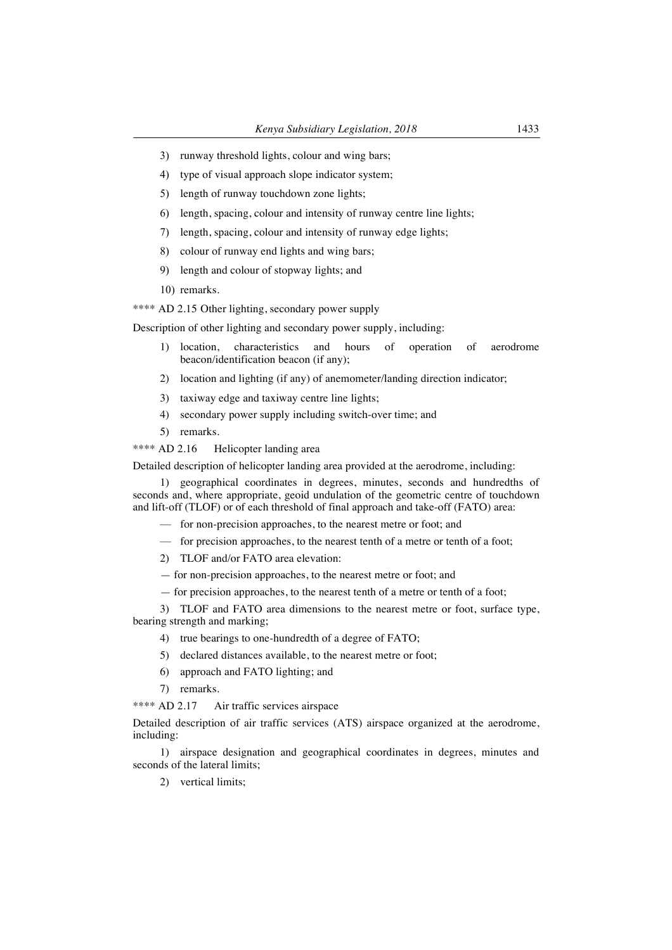- 3) runway threshold lights, colour and wing bars;
- 4) type of visual approach slope indicator system;
- 5) length of runway touchdown zone lights;
- 6) length, spacing, colour and intensity of runway centre line lights;
- 7) length, spacing, colour and intensity of runway edge lights;
- 8) colour of runway end lights and wing bars;
- 9) length and colour of stopway lights; and
- 10) remarks.

\*\*\*\* AD 2.15 Other lighting, secondary power supply

Description of other lighting and secondary power supply, including:

- 1) location, characteristics and hours of operation of aerodrome beacon/identification beacon (if any);
- 2) location and lighting (if any) of anemometer/landing direction indicator;
- 3) taxiway edge and taxiway centre line lights;
- 4) secondary power supply including switch-over time; and
- 5) remarks.
- \*\*\*\* AD 2.16 Helicopter landing area

Detailed description of helicopter landing area provided at the aerodrome, including:

1) geographical coordinates in degrees, minutes, seconds and hundredths of seconds and, where appropriate, geoid undulation of the geometric centre of touchdown and lift-off (TLOF) or of each threshold of final approach and take-off (FATO) area:

- for non-precision approaches, to the nearest metre or foot; and
- for precision approaches, to the nearest tenth of a metre or tenth of a foot;
- 2) TLOF and/or FATO area elevation:
- for non-precision approaches, to the nearest metre or foot; and
- for precision approaches, to the nearest tenth of a metre or tenth of a foot;

3) TLOF and FATO area dimensions to the nearest metre or foot, surface type, bearing strength and marking;

- 4) true bearings to one-hundredth of a degree of FATO;
- 5) declared distances available, to the nearest metre or foot;
- 6) approach and FATO lighting; and
- 7) remarks.

\*\*\*\* AD 2.17 Air traffic services airspace

Detailed description of air traffic services (ATS) airspace organized at the aerodrome, including:

1) airspace designation and geographical coordinates in degrees, minutes and seconds of the lateral limits;

2) vertical limits;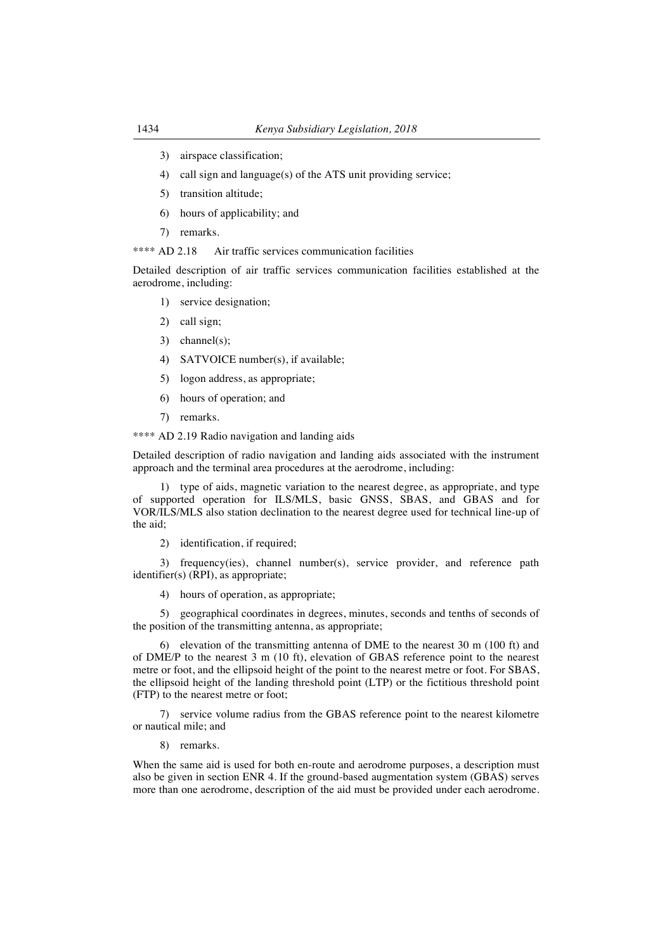- 3) airspace classification;
- 4) call sign and language(s) of the ATS unit providing service;
- 5) transition altitude;
- 6) hours of applicability; and
- 7) remarks.

\*\*\*\* AD 2.18 Air traffic services communication facilities

Detailed description of air traffic services communication facilities established at the aerodrome, including:

- 1) service designation;
- 2) call sign;
- 3) channel(s);
- 4) SATVOICE number(s), if available;
- 5) logon address, as appropriate;
- 6) hours of operation; and
- 7) remarks.
- \*\*\*\* AD 2.19 Radio navigation and landing aids

Detailed description of radio navigation and landing aids associated with the instrument approach and the terminal area procedures at the aerodrome, including:

1) type of aids, magnetic variation to the nearest degree, as appropriate, and type of supported operation for ILS/MLS, basic GNSS, SBAS, and GBAS and for VOR/ILS/MLS also station declination to the nearest degree used for technical line-up of the aid;

2) identification, if required;

3) frequency(ies), channel number(s), service provider, and reference path identifier(s) (RPI), as appropriate;

4) hours of operation, as appropriate;

5) geographical coordinates in degrees, minutes, seconds and tenths of seconds of the position of the transmitting antenna, as appropriate;

6) elevation of the transmitting antenna of DME to the nearest 30 m (100 ft) and of DME/P to the nearest 3 m (10 ft), elevation of GBAS reference point to the nearest metre or foot, and the ellipsoid height of the point to the nearest metre or foot. For SBAS, the ellipsoid height of the landing threshold point (LTP) or the fictitious threshold point (FTP) to the nearest metre or foot;

7) service volume radius from the GBAS reference point to the nearest kilometre or nautical mile; and

8) remarks.

When the same aid is used for both en-route and aerodrome purposes, a description must also be given in section ENR 4. If the ground-based augmentation system (GBAS) serves more than one aerodrome, description of the aid must be provided under each aerodrome.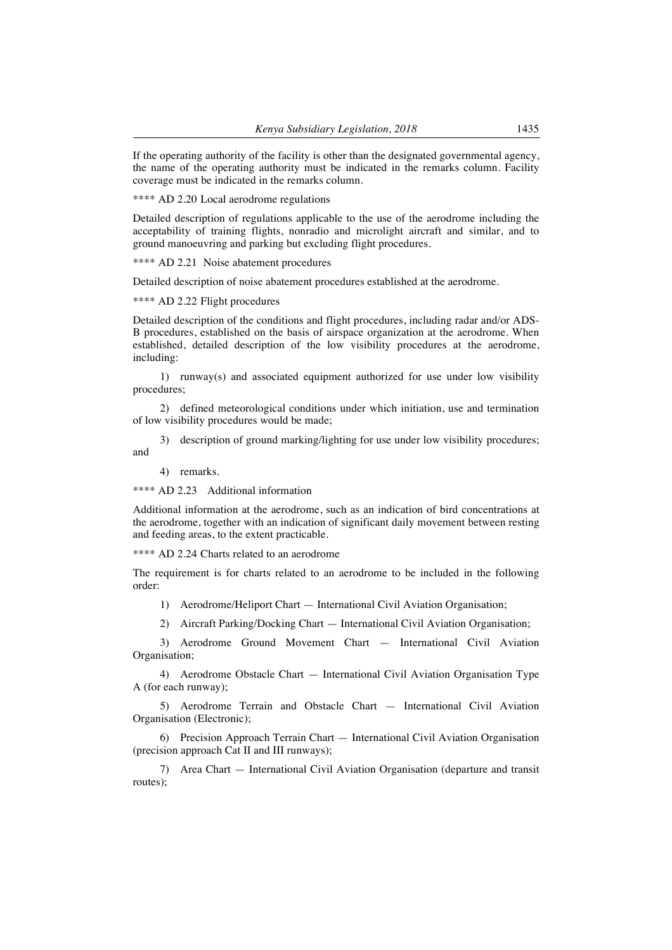If the operating authority of the facility is other than the designated governmental agency, the name of the operating authority must be indicated in the remarks column. Facility coverage must be indicated in the remarks column.

\*\*\*\* AD 2.20 Local aerodrome regulations

Detailed description of regulations applicable to the use of the aerodrome including the acceptability of training flights, nonradio and microlight aircraft and similar, and to ground manoeuvring and parking but excluding flight procedures.

\*\*\*\* AD 2.21 Noise abatement procedures

Detailed description of noise abatement procedures established at the aerodrome.

\*\*\*\* AD 2.22 Flight procedures

Detailed description of the conditions and flight procedures, including radar and/or ADS-B procedures, established on the basis of airspace organization at the aerodrome. When established, detailed description of the low visibility procedures at the aerodrome, including:

1) runway(s) and associated equipment authorized for use under low visibility procedures;

2) defined meteorological conditions under which initiation, use and termination of low visibility procedures would be made;

3) description of ground marking/lighting for use under low visibility procedures; and

4) remarks.

\*\*\*\* AD 2.23 Additional information

Additional information at the aerodrome, such as an indication of bird concentrations at the aerodrome, together with an indication of significant daily movement between resting and feeding areas, to the extent practicable.

\*\*\*\* AD 2.24 Charts related to an aerodrome

The requirement is for charts related to an aerodrome to be included in the following order:

1) Aerodrome/Heliport Chart — International Civil Aviation Organisation;

2) Aircraft Parking/Docking Chart — International Civil Aviation Organisation;

3) Aerodrome Ground Movement Chart — International Civil Aviation Organisation;

4) Aerodrome Obstacle Chart — International Civil Aviation Organisation Type A (for each runway);

5) Aerodrome Terrain and Obstacle Chart — International Civil Aviation Organisation (Electronic);

6) Precision Approach Terrain Chart — International Civil Aviation Organisation (precision approach Cat II and III runways);

7) Area Chart — International Civil Aviation Organisation (departure and transit routes);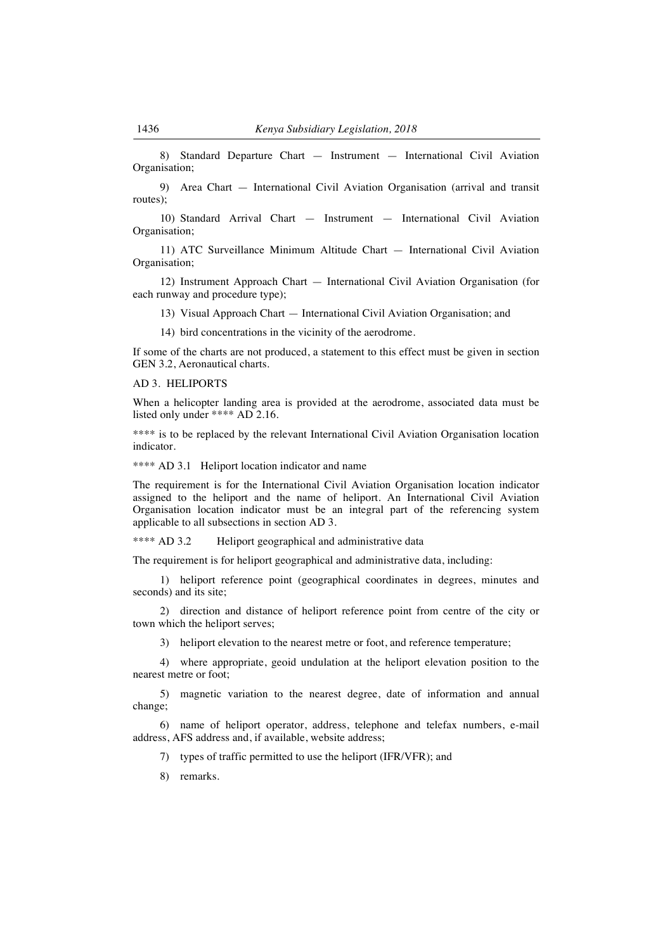8) Standard Departure Chart — Instrument — International Civil Aviation Organisation;

9) Area Chart — International Civil Aviation Organisation (arrival and transit routes);

10) Standard Arrival Chart — Instrument — International Civil Aviation Organisation;

11) ATC Surveillance Minimum Altitude Chart — International Civil Aviation Organisation;

12) Instrument Approach Chart — International Civil Aviation Organisation (for each runway and procedure type);

13) Visual Approach Chart — International Civil Aviation Organisation; and

14) bird concentrations in the vicinity of the aerodrome.

If some of the charts are not produced, a statement to this effect must be given in section GEN 3.2, Aeronautical charts.

#### AD 3. HELIPORTS

When a helicopter landing area is provided at the aerodrome, associated data must be listed only under \*\*\*\* AD 2.16.

\*\*\*\* is to be replaced by the relevant International Civil Aviation Organisation location indicator.

\*\*\*\* AD 3.1 Heliport location indicator and name

The requirement is for the International Civil Aviation Organisation location indicator assigned to the heliport and the name of heliport. An International Civil Aviation Organisation location indicator must be an integral part of the referencing system applicable to all subsections in section AD 3.

\*\*\*\* AD 3.2 Heliport geographical and administrative data

The requirement is for heliport geographical and administrative data, including:

1) heliport reference point (geographical coordinates in degrees, minutes and seconds) and its site;

2) direction and distance of heliport reference point from centre of the city or town which the heliport serves;

3) heliport elevation to the nearest metre or foot, and reference temperature;

4) where appropriate, geoid undulation at the heliport elevation position to the nearest metre or foot;

5) magnetic variation to the nearest degree, date of information and annual change;

6) name of heliport operator, address, telephone and telefax numbers, e-mail address, AFS address and, if available, website address;

7) types of traffic permitted to use the heliport (IFR/VFR); and

8) remarks.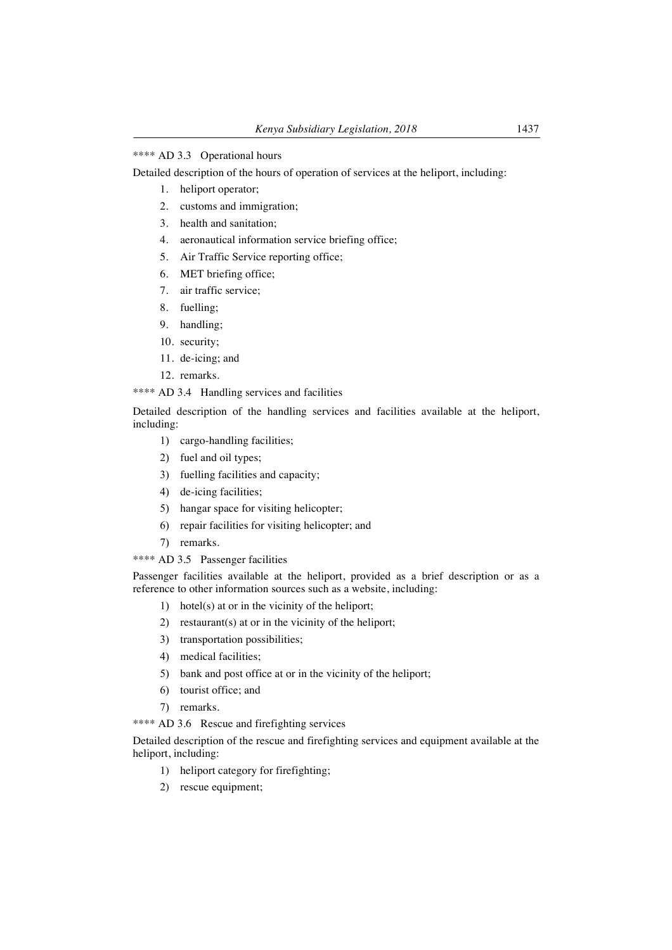#### \*\*\*\* AD 3.3 Operational hours

Detailed description of the hours of operation of services at the heliport, including:

- 1. heliport operator;
- 2. customs and immigration;
- 3. health and sanitation;
- 4. aeronautical information service briefing office;
- 5. Air Traffic Service reporting office;
- 6. MET briefing office;
- 7. air traffic service;
- 8. fuelling;
- 9. handling;
- 10. security;
- 11. de-icing; and
- 12. remarks.

## \*\*\*\* AD 3.4 Handling services and facilities

Detailed description of the handling services and facilities available at the heliport, including:

- 1) cargo-handling facilities;
- 2) fuel and oil types;
- 3) fuelling facilities and capacity;
- 4) de-icing facilities;
- 5) hangar space for visiting helicopter;
- 6) repair facilities for visiting helicopter; and
- 7) remarks.

\*\*\*\* AD 3.5 Passenger facilities

Passenger facilities available at the heliport, provided as a brief description or as a reference to other information sources such as a website, including:

- 1) hotel(s) at or in the vicinity of the heliport;
- 2) restaurant(s) at or in the vicinity of the heliport;
- 3) transportation possibilities;
- 4) medical facilities;
- 5) bank and post office at or in the vicinity of the heliport;
- 6) tourist office; and
- 7) remarks.

\*\*\*\* AD 3.6 Rescue and firefighting services

Detailed description of the rescue and firefighting services and equipment available at the heliport, including:

- 1) heliport category for firefighting;
- 2) rescue equipment;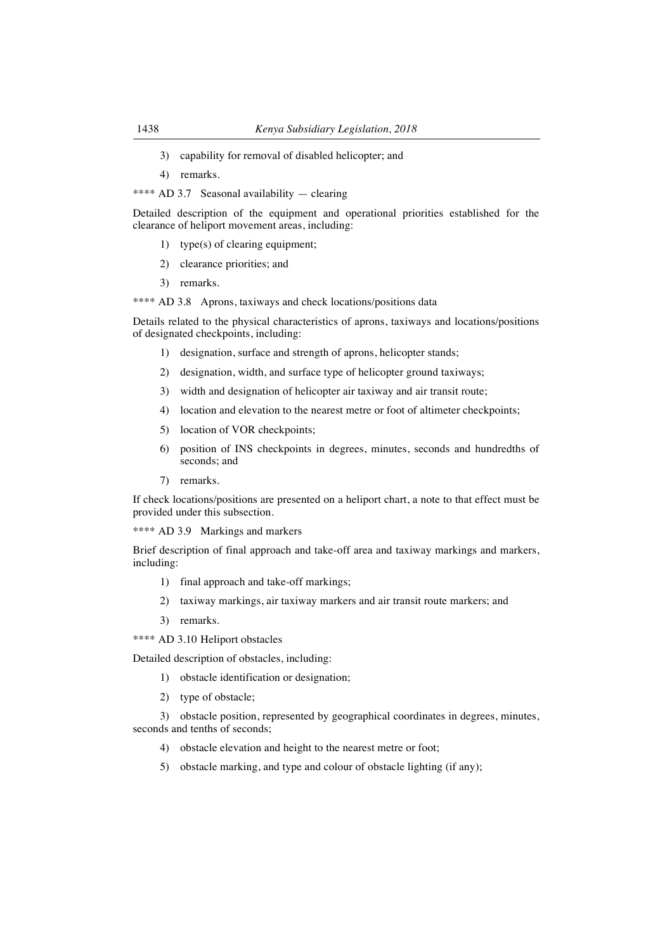- 3) capability for removal of disabled helicopter; and
- 4) remarks.

\*\*\*\* AD 3.7 Seasonal availability — clearing

Detailed description of the equipment and operational priorities established for the clearance of heliport movement areas, including:

- 1) type(s) of clearing equipment;
- 2) clearance priorities; and
- 3) remarks.

\*\*\*\* AD 3.8 Aprons, taxiways and check locations/positions data

Details related to the physical characteristics of aprons, taxiways and locations/positions of designated checkpoints, including:

- 1) designation, surface and strength of aprons, helicopter stands;
- 2) designation, width, and surface type of helicopter ground taxiways;
- 3) width and designation of helicopter air taxiway and air transit route;
- 4) location and elevation to the nearest metre or foot of altimeter checkpoints;
- 5) location of VOR checkpoints;
- 6) position of INS checkpoints in degrees, minutes, seconds and hundredths of seconds; and
- 7) remarks.

If check locations/positions are presented on a heliport chart, a note to that effect must be provided under this subsection.

\*\*\*\* AD 3.9 Markings and markers

Brief description of final approach and take-off area and taxiway markings and markers, including:

- 1) final approach and take-off markings;
- 2) taxiway markings, air taxiway markers and air transit route markers; and
- 3) remarks.
- \*\*\*\* AD 3.10 Heliport obstacles

Detailed description of obstacles, including:

- 1) obstacle identification or designation;
- 2) type of obstacle;

3) obstacle position, represented by geographical coordinates in degrees, minutes, seconds and tenths of seconds;

- 4) obstacle elevation and height to the nearest metre or foot;
- 5) obstacle marking, and type and colour of obstacle lighting (if any);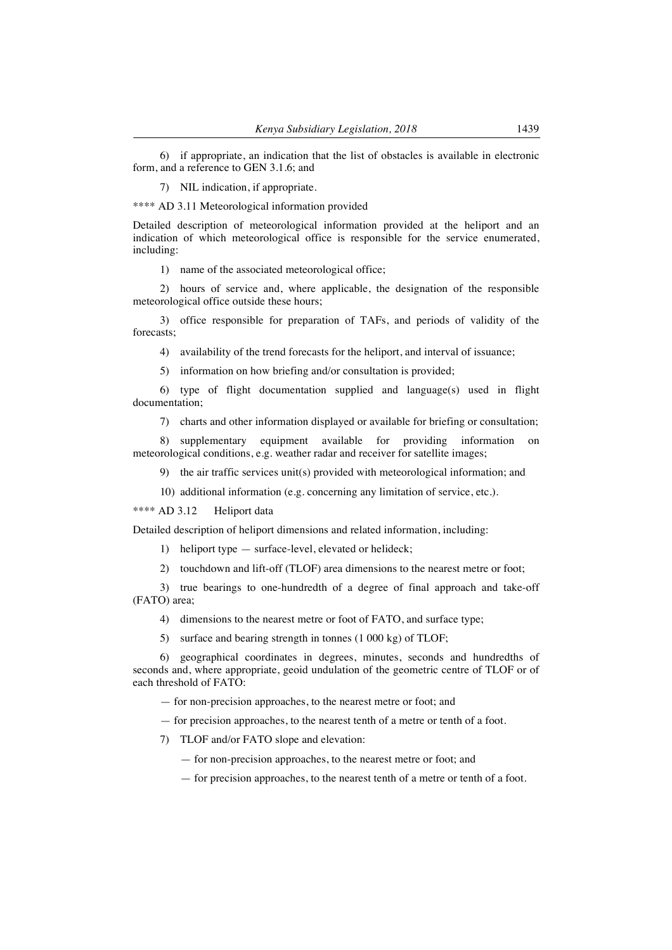6) if appropriate, an indication that the list of obstacles is available in electronic form, and a reference to GEN 3.1.6; and

7) NIL indication, if appropriate.

\*\*\*\* AD 3.11 Meteorological information provided

Detailed description of meteorological information provided at the heliport and an indication of which meteorological office is responsible for the service enumerated, including:

1) name of the associated meteorological office;

2) hours of service and, where applicable, the designation of the responsible meteorological office outside these hours;

3) office responsible for preparation of TAFs, and periods of validity of the forecasts;

4) availability of the trend forecasts for the heliport, and interval of issuance;

5) information on how briefing and/or consultation is provided;

6) type of flight documentation supplied and language(s) used in flight documentation;

7) charts and other information displayed or available for briefing or consultation;

8) supplementary equipment available for providing information on meteorological conditions, e.g. weather radar and receiver for satellite images;

9) the air traffic services unit(s) provided with meteorological information; and

10) additional information (e.g. concerning any limitation of service, etc.).

\*\*\*\* AD 3.12 Heliport data

Detailed description of heliport dimensions and related information, including:

1) heliport type — surface-level, elevated or helideck;

2) touchdown and lift-off (TLOF) area dimensions to the nearest metre or foot;

3) true bearings to one-hundredth of a degree of final approach and take-off (FATO) area;

4) dimensions to the nearest metre or foot of FATO, and surface type;

5) surface and bearing strength in tonnes (1 000 kg) of TLOF;

6) geographical coordinates in degrees, minutes, seconds and hundredths of seconds and, where appropriate, geoid undulation of the geometric centre of TLOF or of each threshold of FATO:

— for non-precision approaches, to the nearest metre or foot; and

— for precision approaches, to the nearest tenth of a metre or tenth of a foot.

7) TLOF and/or FATO slope and elevation:

— for non-precision approaches, to the nearest metre or foot; and

— for precision approaches, to the nearest tenth of a metre or tenth of a foot.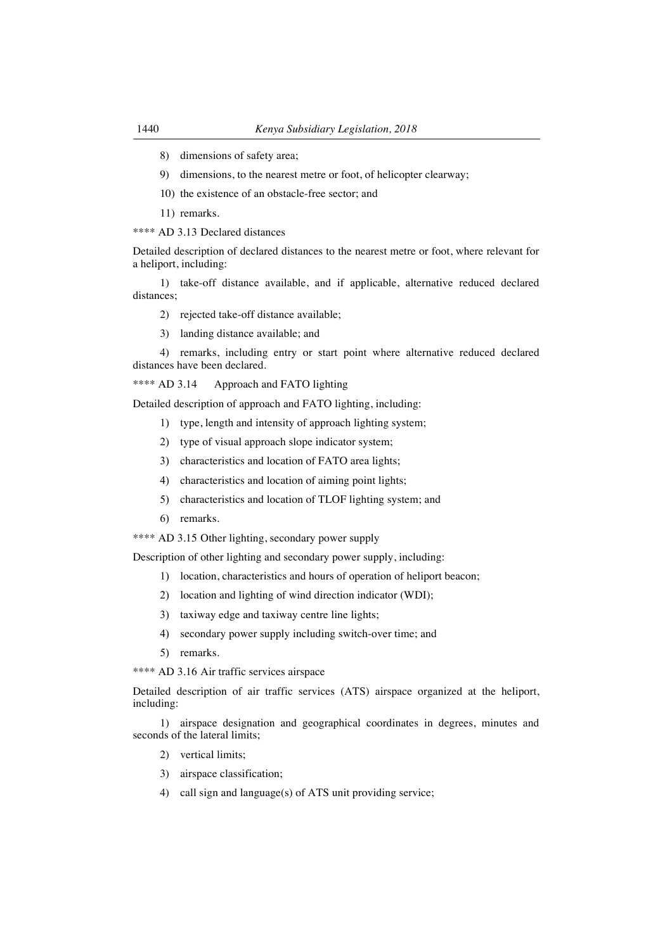- 8) dimensions of safety area;
- 9) dimensions, to the nearest metre or foot, of helicopter clearway;
- 10) the existence of an obstacle-free sector; and
- 11) remarks.

\*\*\*\* AD 3.13 Declared distances

Detailed description of declared distances to the nearest metre or foot, where relevant for a heliport, including:

1) take-off distance available, and if applicable, alternative reduced declared distances;

- 2) rejected take-off distance available;
- 3) landing distance available; and

4) remarks, including entry or start point where alternative reduced declared distances have been declared.

\*\*\*\* AD 3.14 Approach and FATO lighting

Detailed description of approach and FATO lighting, including:

- 1) type, length and intensity of approach lighting system;
- 2) type of visual approach slope indicator system;
- 3) characteristics and location of FATO area lights;
- 4) characteristics and location of aiming point lights;
- 5) characteristics and location of TLOF lighting system; and
- 6) remarks.
- \*\*\*\* AD 3.15 Other lighting, secondary power supply

Description of other lighting and secondary power supply, including:

- 1) location, characteristics and hours of operation of heliport beacon;
- 2) location and lighting of wind direction indicator (WDI);
- 3) taxiway edge and taxiway centre line lights;
- 4) secondary power supply including switch-over time; and
- 5) remarks.
- \*\*\*\* AD 3.16 Air traffic services airspace

Detailed description of air traffic services (ATS) airspace organized at the heliport, including:

1) airspace designation and geographical coordinates in degrees, minutes and seconds of the lateral limits;

- 2) vertical limits;
- 3) airspace classification;
- 4) call sign and language(s) of ATS unit providing service;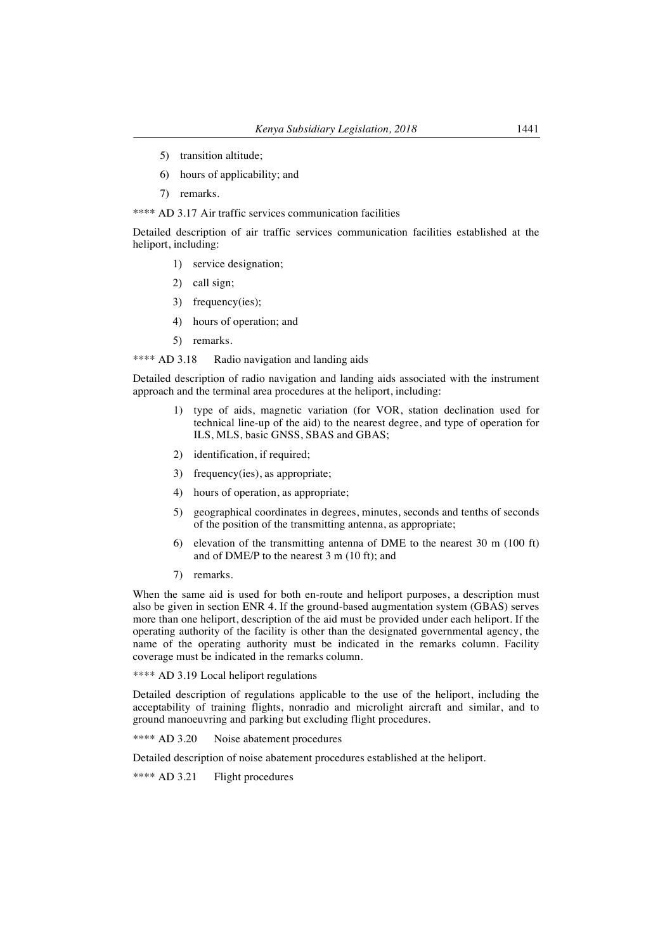- 5) transition altitude;
- 6) hours of applicability; and
- 7) remarks.

#### \*\*\*\* AD 3.17 Air traffic services communication facilities

Detailed description of air traffic services communication facilities established at the heliport, including:

- 1) service designation;
- 2) call sign;
- 3) frequency(ies);
- 4) hours of operation; and
- 5) remarks.

\*\*\*\* AD 3.18 Radio navigation and landing aids

Detailed description of radio navigation and landing aids associated with the instrument approach and the terminal area procedures at the heliport, including:

- 1) type of aids, magnetic variation (for VOR, station declination used for technical line-up of the aid) to the nearest degree, and type of operation for ILS, MLS, basic GNSS, SBAS and GBAS;
- 2) identification, if required;
- 3) frequency(ies), as appropriate;
- 4) hours of operation, as appropriate;
- 5) geographical coordinates in degrees, minutes, seconds and tenths of seconds of the position of the transmitting antenna, as appropriate;
- 6) elevation of the transmitting antenna of DME to the nearest 30 m (100 ft) and of DME/P to the nearest 3 m (10 ft); and
- 7) remarks.

When the same aid is used for both en-route and heliport purposes, a description must also be given in section ENR 4. If the ground-based augmentation system (GBAS) serves more than one heliport, description of the aid must be provided under each heliport. If the operating authority of the facility is other than the designated governmental agency, the name of the operating authority must be indicated in the remarks column. Facility coverage must be indicated in the remarks column.

\*\*\*\* AD 3.19 Local heliport regulations

Detailed description of regulations applicable to the use of the heliport, including the acceptability of training flights, nonradio and microlight aircraft and similar, and to ground manoeuvring and parking but excluding flight procedures.

\*\*\*\* AD 3.20 Noise abatement procedures

Detailed description of noise abatement procedures established at the heliport.

\*\*\*\* AD 3.21 Flight procedures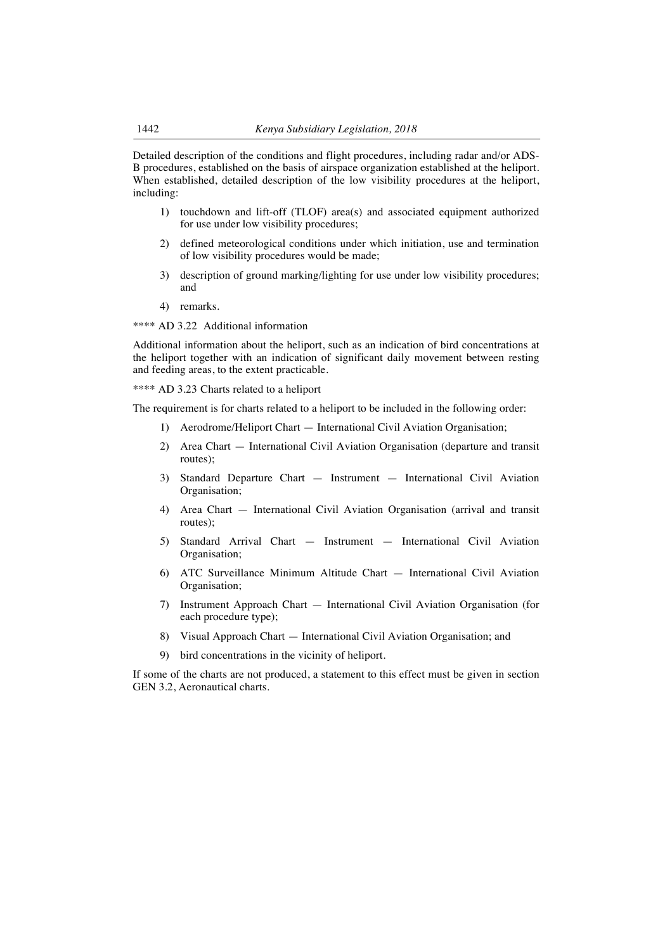Detailed description of the conditions and flight procedures, including radar and/or ADS-B procedures, established on the basis of airspace organization established at the heliport. When established, detailed description of the low visibility procedures at the heliport, including:

- 1) touchdown and lift-off (TLOF) area(s) and associated equipment authorized for use under low visibility procedures;
- 2) defined meteorological conditions under which initiation, use and termination of low visibility procedures would be made;
- 3) description of ground marking/lighting for use under low visibility procedures; and
- 4) remarks.

\*\*\*\* AD 3.22 Additional information

Additional information about the heliport, such as an indication of bird concentrations at the heliport together with an indication of significant daily movement between resting and feeding areas, to the extent practicable.

\*\*\*\* AD 3.23 Charts related to a heliport

The requirement is for charts related to a heliport to be included in the following order:

- 1) Aerodrome/Heliport Chart International Civil Aviation Organisation;
- 2) Area Chart International Civil Aviation Organisation (departure and transit routes);
- 3) Standard Departure Chart Instrument International Civil Aviation Organisation;
- 4) Area Chart International Civil Aviation Organisation (arrival and transit routes);
- 5) Standard Arrival Chart Instrument International Civil Aviation Organisation;
- 6) ATC Surveillance Minimum Altitude Chart International Civil Aviation Organisation;
- 7) Instrument Approach Chart International Civil Aviation Organisation (for each procedure type);
- 8) Visual Approach Chart International Civil Aviation Organisation; and
- 9) bird concentrations in the vicinity of heliport.

If some of the charts are not produced, a statement to this effect must be given in section GEN 3.2, Aeronautical charts.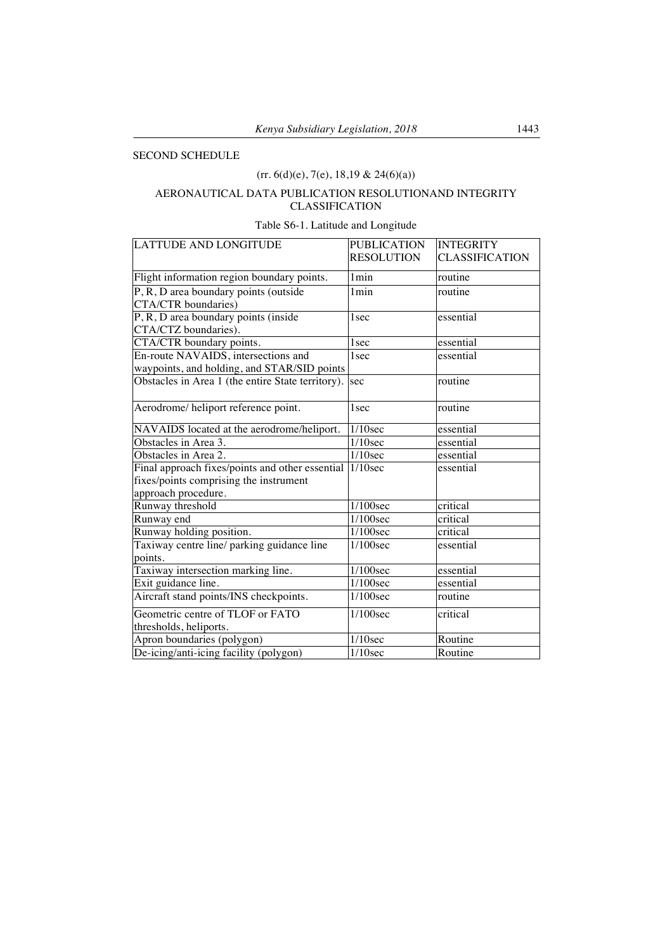## SECOND SCHEDULE

# $(rr. 6(d)(e), 7(e), 18, 19 & 24(6)(a))$

# AERONAUTICAL DATA PUBLICATION RESOLUTIONAND INTEGRITY CLASSIFICATION

# Table S6-1. Latitude and Longitude

| <b>LATTUDE AND LONGITUDE</b>                      | <b>PUBLICATION</b>    | <b>INTEGRITY</b>      |
|---------------------------------------------------|-----------------------|-----------------------|
|                                                   | <b>RESOLUTION</b>     | <b>CLASSIFICATION</b> |
| Flight information region boundary points.        | 1min                  | routine               |
| P, R, D area boundary points (outside             | 1 <sub>min</sub>      | routine               |
| CTA/CTR boundaries)                               |                       |                       |
| P, R, D area boundary points (inside              | 1 <sub>sec</sub>      | essential             |
| CTA/CTZ boundaries).                              |                       |                       |
| CTA/CTR boundary points.                          | 1 <sub>sec</sub>      | essential             |
| En-route NAVAIDS, intersections and               | 1 <sub>sec</sub>      | essential             |
| waypoints, and holding, and STAR/SID points       |                       |                       |
| Obstacles in Area 1 (the entire State territory). | sec                   | routine               |
| Aerodrome/ heliport reference point.              | 1 <sub>sec</sub>      | routine               |
| NAVAIDS located at the aerodrome/heliport.        | $1/10$ sec            | essential             |
| Obstacles in Area 3.                              | $\overline{1/10}$ sec | essential             |
| Obstacles in Area 2.                              | $1/10$ sec            | essential             |
| Final approach fixes/points and other essential   | $1/10$ sec            | essential             |
| fixes/points comprising the instrument            |                       |                       |
| approach procedure.                               |                       |                       |
| Runway threshold                                  | 1/100sec              | critical              |
| Runway end                                        | $1/100$ sec           | critical              |
| Runway holding position.                          | $1/100$ sec           | critical              |
| Taxiway centre line/ parking guidance line        | $1/100$ sec           | essential             |
| points.                                           |                       |                       |
| Taxiway intersection marking line.                | $1/100$ sec           | essential             |
| Exit guidance line.                               | 1/100sec              | essential             |
| Aircraft stand points/INS checkpoints.            | $1/100$ sec           | routine               |
| Geometric centre of TLOF or FATO                  | 1/100sec              | critical              |
| thresholds, heliports.                            |                       |                       |
| Apron boundaries (polygon)                        | $1/10$ sec            | Routine               |
| De-icing/anti-icing facility (polygon)            | $1/10$ sec            | Routine               |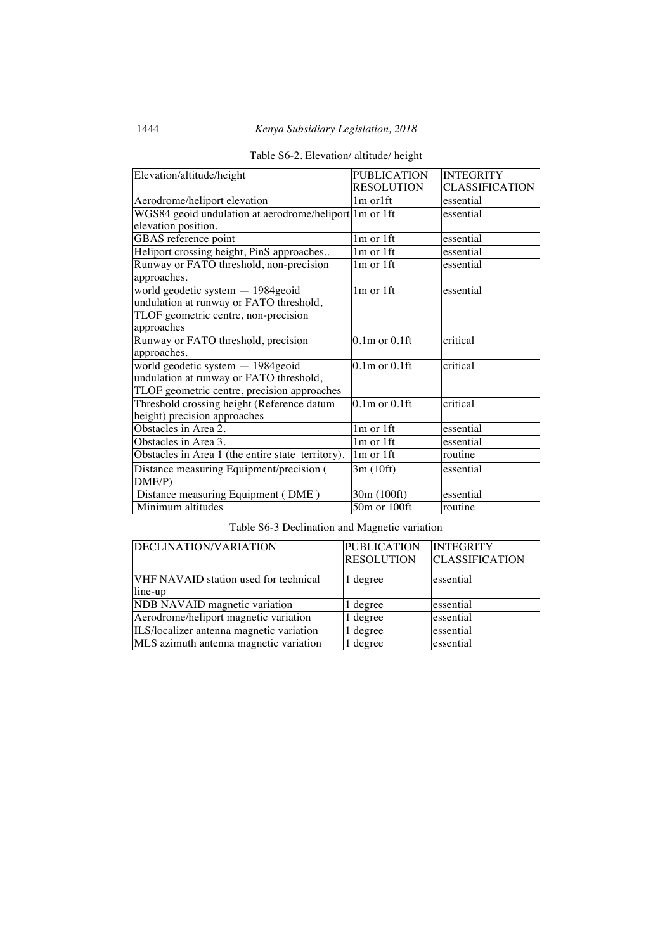| Elevation/altitude/height                              | <b>PUBLICATION</b>  | <b>INTEGRITY</b> |
|--------------------------------------------------------|---------------------|------------------|
|                                                        | <b>RESOLUTION</b>   | CLASSIFICATION   |
| Aerodrome/heliport elevation                           | $1m$ or $1ft$       | essential        |
| WGS84 geoid undulation at aerodrome/heliport 1m or 1ft |                     | essential        |
| elevation position.                                    |                     |                  |
| GBAS reference point                                   | 1m or 1ft           | essential        |
| Heliport crossing height, PinS approaches              | $1m$ or $1ft$       | essential        |
| Runway or FATO threshold, non-precision                | $1m$ or $1ft$       | essential        |
| approaches.                                            |                     |                  |
| world geodetic system - 1984 geoid                     | 1m or 1ft           | essential        |
| undulation at runway or FATO threshold,                |                     |                  |
| TLOF geometric centre, non-precision                   |                     |                  |
| approaches                                             |                     |                  |
| Runway or FATO threshold, precision                    | $0.1m$ or $0.1f$ ft | critical         |
| approaches.                                            |                     |                  |
| world geodetic system - 1984geoid                      | $0.1m$ or $0.1ft$   | critical         |
| undulation at runway or FATO threshold,                |                     |                  |
| TLOF geometric centre, precision approaches            |                     |                  |
| Threshold crossing height (Reference datum             | $0.1m$ or $0.1ft$   | critical         |
| height) precision approaches                           |                     |                  |
| Obstacles in Area 2.                                   | $1m$ or $1ft$       | essential        |
| Obstacles in Area 3.                                   | 1m or 1ft           | essential        |
| Obstacles in Area 1 (the entire state territory).      | $1m$ or $1ft$       | routine          |
| Distance measuring Equipment/precision (               | 3m (10ft)           | essential        |
| DME/P                                                  |                     |                  |
| Distance measuring Equipment (DME)                     | 30m (100ft)         | essential        |
| Minimum altitudes                                      | 50m or 100ft        | routine          |

# Table S6-2. Elevation/ altitude/ height

Table S6-3 Declination and Magnetic variation

| DECLINATION/VARIATION                            | <b>PUBLICATION</b><br><b>RESOLUTION</b> | <b>INTEGRITY</b><br><b>CLASSIFICATION</b> |
|--------------------------------------------------|-----------------------------------------|-------------------------------------------|
| VHF NAVAID station used for technical<br>line-up | 1 degree                                | essential                                 |
| NDB NAVAID magnetic variation                    | 1 degree                                | essential                                 |
| Aerodrome/heliport magnetic variation            | 1 degree                                | essential                                 |
| ILS/localizer antenna magnetic variation         | 1 degree                                | essential                                 |
| MLS azimuth antenna magnetic variation           | 1 degree                                | essential                                 |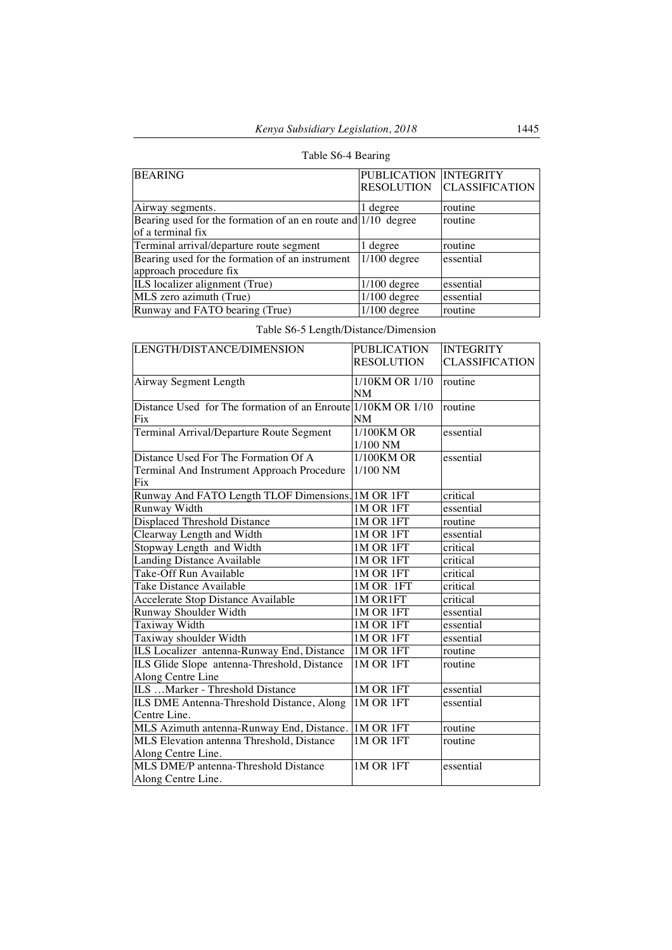# Table S6-4 Bearing

| <b>BEARING</b>                                                | PUBLICATION INTEGRITY |                       |
|---------------------------------------------------------------|-----------------------|-----------------------|
|                                                               | <b>RESOLUTION</b>     | <b>CLASSIFICATION</b> |
|                                                               |                       |                       |
| Airway segments.                                              | 1 degree              | routine               |
| Bearing used for the formation of an en route and 1/10 degree |                       | routine               |
| of a terminal fix                                             |                       |                       |
| Terminal arrival/departure route segment                      | 1 degree              | routine               |
| Bearing used for the formation of an instrument               | $1/100$ degree        | essential             |
| approach procedure fix                                        |                       |                       |
| ILS localizer alignment (True)                                | $1/100$ degree        | essential             |
| MLS zero azimuth (True)                                       | $1/100$ degree        | essential             |
| Runway and FATO bearing (True)                                | $1/100$ degree        | routine               |

|  | Table S6-5 Length/Distance/Dimension |  |  |
|--|--------------------------------------|--|--|
|  |                                      |  |  |

| LENGTH/DISTANCE/DIMENSION                                                                 | <b>PUBLICATION</b>          | <b>INTEGRITY</b>      |
|-------------------------------------------------------------------------------------------|-----------------------------|-----------------------|
|                                                                                           | <b>RESOLUTION</b>           | <b>CLASSIFICATION</b> |
| Airway Segment Length                                                                     | 1/10KM OR 1/10<br><b>NM</b> | routine               |
| Distance Used for The formation of an Enroute 1/10KM OR 1/10<br>Fix                       | NM                          | routine               |
| Terminal Arrival/Departure Route Segment                                                  | 1/100KM OR<br>1/100 NM      | essential             |
| Distance Used For The Formation Of A<br>Terminal And Instrument Approach Procedure<br>Fix | $1/100$ KM OR<br>$1/100$ NM | essential             |
| Runway And FATO Length TLOF Dimensions. IM OR 1FT                                         |                             | critical              |
| Runway Width                                                                              | 1M OR 1FT                   | essential             |
| Displaced Threshold Distance                                                              | 1M OR 1FT                   | routine               |
| Clearway Length and Width                                                                 | 1M OR 1FT                   | essential             |
| Stopway Length and Width                                                                  | 1M OR 1FT                   | critical              |
| <b>Landing Distance Available</b>                                                         | 1M OR 1FT                   | critical              |
| Take-Off Run Available                                                                    | 1M OR 1FT                   | critical              |
| Take Distance Available                                                                   | 1M OR 1FT                   | critical              |
| <b>Accelerate Stop Distance Available</b>                                                 | 1M OR1FT                    | critical              |
| Runway Shoulder Width                                                                     | 1M OR 1FT                   | essential             |
| Taxiway Width                                                                             | 1M OR 1FT                   | essential             |
| Taxiway shoulder Width                                                                    | 1M OR 1FT                   | essential             |
| ILS Localizer antenna-Runway End, Distance                                                | $1M$ OR $1FT$               | routine               |
| ILS Glide Slope antenna-Threshold, Distance<br>Along Centre Line                          | 1M OR 1FT                   | routine               |
| ILS  Marker - Threshold Distance                                                          | 1M OR 1FT                   | essential             |
| ILS DME Antenna-Threshold Distance, Along<br>Centre Line.                                 | 1M OR 1FT                   | essential             |
| MLS Azimuth antenna-Runway End, Distance.                                                 | 1M OR 1FT                   | routine               |
| MLS Elevation antenna Threshold, Distance<br>Along Centre Line.                           | 1M OR 1FT                   | routine               |
| MLS DME/P antenna-Threshold Distance<br>Along Centre Line.                                | <b>1M OR 1FT</b>            | essential             |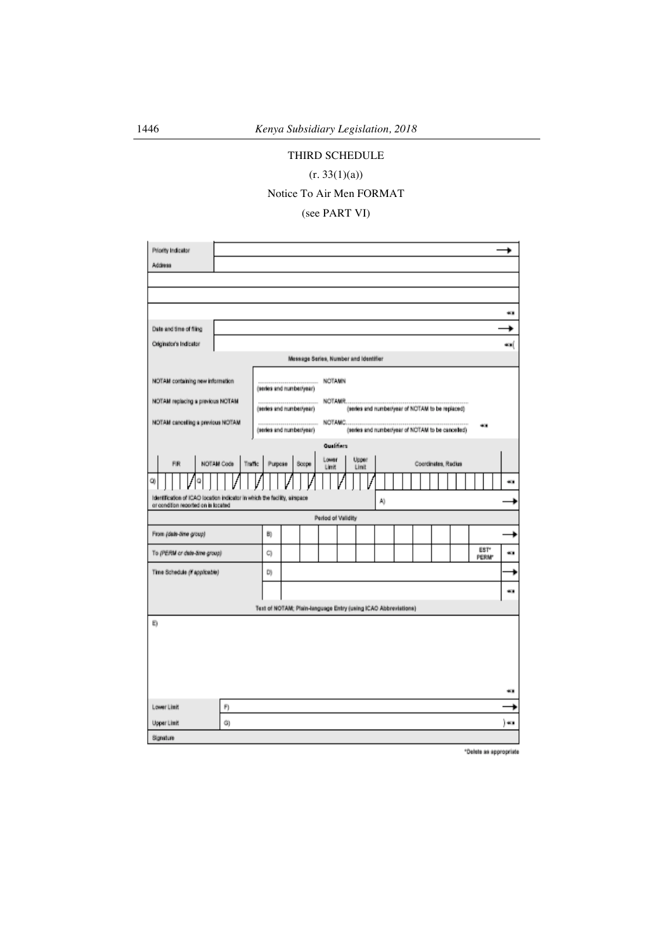# THIRD SCHEDULE

# $(r. 33(1)(a))$

# Notice To Air Men FORMAT

(see PART VI)

| Priority Indicator                                                                                               |                            |    |                                                                |                    |            |       |                                                   |  |                     |  |              |      |
|------------------------------------------------------------------------------------------------------------------|----------------------------|----|----------------------------------------------------------------|--------------------|------------|-------|---------------------------------------------------|--|---------------------|--|--------------|------|
| Address                                                                                                          |                            |    |                                                                |                    |            |       |                                                   |  |                     |  |              |      |
|                                                                                                                  |                            |    |                                                                |                    |            |       |                                                   |  |                     |  |              |      |
|                                                                                                                  |                            |    |                                                                |                    |            |       |                                                   |  |                     |  |              |      |
|                                                                                                                  |                            |    |                                                                |                    |            |       |                                                   |  |                     |  |              | 40   |
| Date and time of filing                                                                                          |                            |    |                                                                |                    |            |       |                                                   |  |                     |  |              |      |
| Originator's Indicator                                                                                           |                            |    |                                                                |                    |            |       |                                                   |  |                     |  |              | es ( |
|                                                                                                                  |                            |    | Message Series, Number and Identifier                          |                    |            |       |                                                   |  |                     |  |              |      |
|                                                                                                                  |                            |    |                                                                |                    |            |       |                                                   |  |                     |  |              |      |
| NOTAM containing new information                                                                                 |                            |    | ******************************<br>(series and number/year)     | <b>NOTAMN</b>      |            |       |                                                   |  |                     |  |              |      |
| NOTAM replacing a previous NOTAM                                                                                 |                            |    | ----------------------------                                   |                    | NOTAMR     |       |                                                   |  |                     |  |              |      |
|                                                                                                                  |                            |    | (series and number/year)                                       |                    |            |       | (series and number/year of NOTAM to be replaced)  |  |                     |  |              |      |
| NOTAM canceling a previous NOTAM                                                                                 |                            |    | ,,,,,,,,,,,,,,,,,,,,,,,,,,,,,,,<br>(series and number/year)    |                    |            |       | (series and number/year of NOTAM to be cancelled) |  |                     |  | 98           |      |
|                                                                                                                  |                            |    |                                                                |                    | Qualifiers |       |                                                   |  |                     |  |              |      |
| FR                                                                                                               | NOTAM Code Traffic Purpose |    | Scope                                                          | Lower              |            | Upper |                                                   |  | Coordinates, Radius |  |              |      |
|                                                                                                                  |                            |    |                                                                | Link               |            | Linit |                                                   |  |                     |  |              |      |
| O)                                                                                                               |                            |    |                                                                |                    |            |       |                                                   |  |                     |  |              | e.   |
| Identification of ICAO location indicator in which the facility, airspace<br>or condition reported on is located |                            |    |                                                                |                    |            |       | Aì                                                |  |                     |  |              |      |
|                                                                                                                  |                            |    |                                                                | Period of Validity |            |       |                                                   |  |                     |  |              |      |
| From (date-time group)                                                                                           |                            | B) |                                                                |                    |            |       |                                                   |  |                     |  |              |      |
| To (PERM or dele-lime group)                                                                                     |                            | C) |                                                                |                    |            |       |                                                   |  |                     |  | EST*         | 63   |
|                                                                                                                  |                            |    |                                                                |                    |            |       |                                                   |  |                     |  | <b>PERM*</b> |      |
| Time Schedule (X applicable)                                                                                     |                            | D) |                                                                |                    |            |       |                                                   |  |                     |  |              | ۰    |
|                                                                                                                  |                            |    |                                                                |                    |            |       |                                                   |  |                     |  |              | œ.   |
|                                                                                                                  |                            |    | Text of NOTAM: Plain-language Entry (using ICAO Abbreviations) |                    |            |       |                                                   |  |                     |  |              |      |
| E)                                                                                                               |                            |    |                                                                |                    |            |       |                                                   |  |                     |  |              |      |
|                                                                                                                  |                            |    |                                                                |                    |            |       |                                                   |  |                     |  |              |      |
|                                                                                                                  |                            |    |                                                                |                    |            |       |                                                   |  |                     |  |              |      |
|                                                                                                                  |                            |    |                                                                |                    |            |       |                                                   |  |                     |  |              |      |
|                                                                                                                  |                            |    |                                                                |                    |            |       |                                                   |  |                     |  |              |      |
|                                                                                                                  |                            |    |                                                                |                    |            |       |                                                   |  |                     |  |              | 40   |
| Lower Limit                                                                                                      | F)                         |    |                                                                |                    |            |       |                                                   |  |                     |  |              |      |
| Upper Limit                                                                                                      | G)                         |    |                                                                |                    |            |       |                                                   |  |                     |  |              | ∎» ( |
| Signature                                                                                                        |                            |    |                                                                |                    |            |       |                                                   |  |                     |  |              |      |

\*Delete as appropriate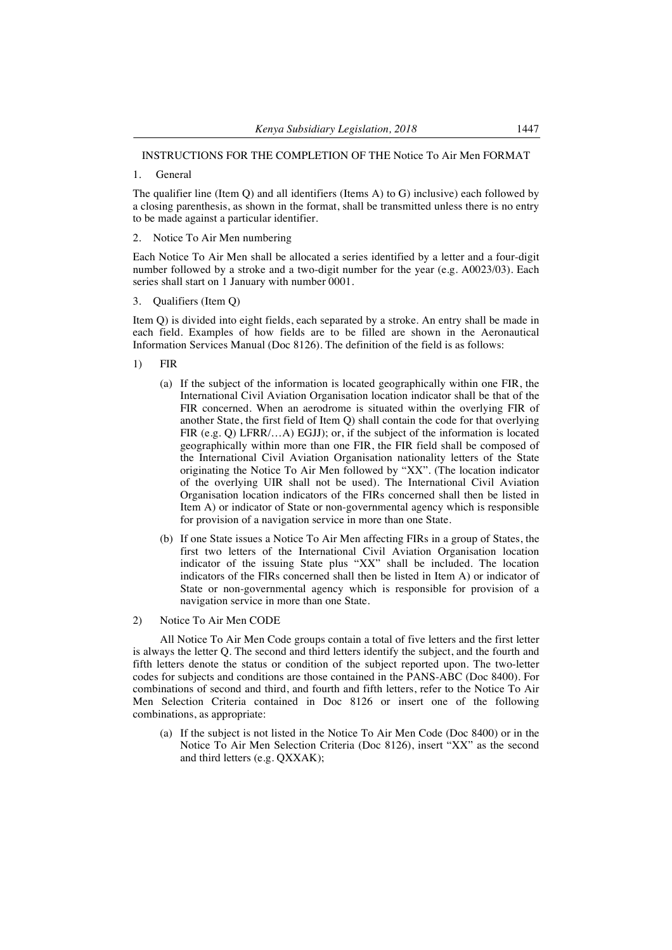# INSTRUCTIONS FOR THE COMPLETION OF THE Notice To Air Men FORMAT

1. General

The qualifier line (Item Q) and all identifiers (Items A) to G) inclusive) each followed by a closing parenthesis, as shown in the format, shall be transmitted unless there is no entry to be made against a particular identifier.

2. Notice To Air Men numbering

Each Notice To Air Men shall be allocated a series identified by a letter and a four-digit number followed by a stroke and a two-digit number for the year (e.g. A0023/03). Each series shall start on 1 January with number 0001.

3. Qualifiers (Item Q)

Item Q) is divided into eight fields, each separated by a stroke. An entry shall be made in each field. Examples of how fields are to be filled are shown in the Aeronautical Information Services Manual (Doc 8126). The definition of the field is as follows:

- 1) FIR
	- (a) If the subject of the information is located geographically within one FIR, the International Civil Aviation Organisation location indicator shall be that of the FIR concerned. When an aerodrome is situated within the overlying FIR of another State, the first field of Item Q) shall contain the code for that overlying FIR (e.g. Q) LFRR/...A) EGJJ); or, if the subject of the information is located geographically within more than one FIR, the FIR field shall be composed of the International Civil Aviation Organisation nationality letters of the State originating the Notice To Air Men followed by "XX". (The location indicator of the overlying UIR shall not be used). The International Civil Aviation Organisation location indicators of the FIRs concerned shall then be listed in Item A) or indicator of State or non-governmental agency which is responsible for provision of a navigation service in more than one State.
	- (b) If one State issues a Notice To Air Men affecting FIRs in a group of States, the first two letters of the International Civil Aviation Organisation location indicator of the issuing State plus "XX" shall be included. The location indicators of the FIRs concerned shall then be listed in Item A) or indicator of State or non-governmental agency which is responsible for provision of a navigation service in more than one State.
- 2) Notice To Air Men CODE

All Notice To Air Men Code groups contain a total of five letters and the first letter is always the letter Q. The second and third letters identify the subject, and the fourth and fifth letters denote the status or condition of the subject reported upon. The two-letter codes for subjects and conditions are those contained in the PANS-ABC (Doc 8400). For combinations of second and third, and fourth and fifth letters, refer to the Notice To Air Men Selection Criteria contained in Doc 8126 or insert one of the following combinations, as appropriate:

(a) If the subject is not listed in the Notice To Air Men Code (Doc 8400) or in the Notice To Air Men Selection Criteria (Doc 8126), insert "XX" as the second and third letters (e.g. QXXAK);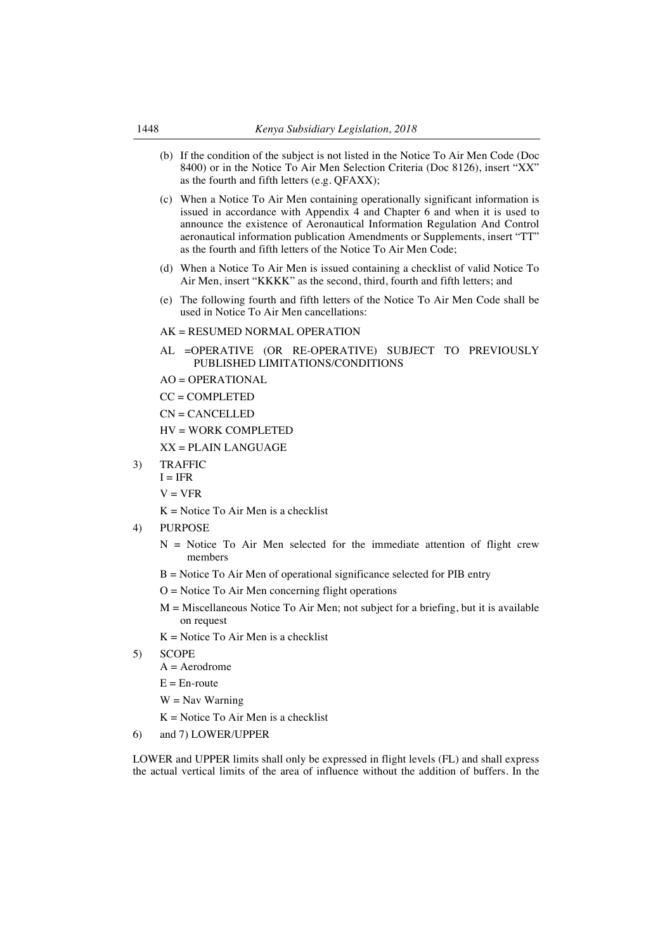- (b) If the condition of the subject is not listed in the Notice To Air Men Code (Doc 8400) or in the Notice To Air Men Selection Criteria (Doc 8126), insert "XX" as the fourth and fifth letters (e.g. QFAXX);
- (c) When a Notice To Air Men containing operationally significant information is issued in accordance with Appendix 4 and Chapter 6 and when it is used to announce the existence of Aeronautical Information Regulation And Control aeronautical information publication Amendments or Supplements, insert "TT" as the fourth and fifth letters of the Notice To Air Men Code;
- (d) When a Notice To Air Men is issued containing a checklist of valid Notice To Air Men, insert "KKKK" as the second, third, fourth and fifth letters; and
- (e) The following fourth and fifth letters of the Notice To Air Men Code shall be used in Notice To Air Men cancellations:

#### AK = RESUMED NORMAL OPERATION

- AL =OPERATIVE (OR RE-OPERATIVE) SUBJECT TO PREVIOUSLY PUBLISHED LIMITATIONS/CONDITIONS
- $AO = OPERATIONAL$
- CC = COMPLETED
- CN = CANCELLED
- HV = WORK COMPLETED
- $XX = PL$ AIN LANGUAGE
- 3) TRAFFIC
	- $I = IFR$
	- $V = VFR$
	- $K = Notice To Air Men is a checklist$
- 4) PURPOSE
	- $N =$  Notice To Air Men selected for the immediate attention of flight crew members
	- $B = Notice To Air Men of operational significance selected for PIB entry$
	- $O = Notice To Air Men concerning flight operations$
	- $M =$  Miscellaneous Notice To Air Men; not subject for a briefing, but it is available on request
	- $K = Notice To Air Men is a checklist$
- 5) SCOPE
	- $A =$  Aerodrome
	- $E = En$ -route
	- $W =$ Nav Warning
	- $K = Notice To Air Men is a checklist$
- 6) and 7) LOWER/UPPER

LOWER and UPPER limits shall only be expressed in flight levels (FL) and shall express the actual vertical limits of the area of influence without the addition of buffers. In the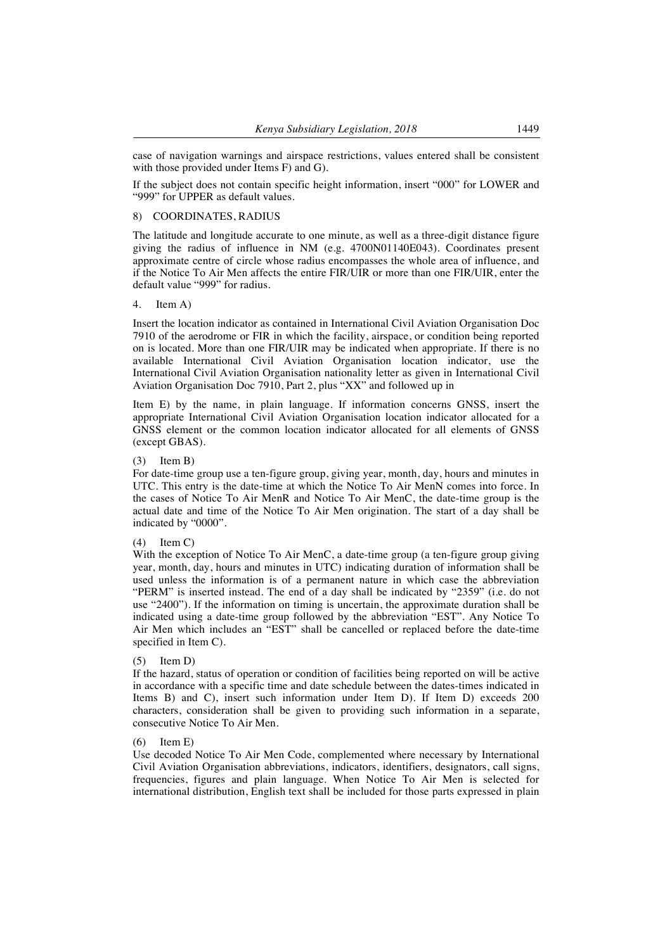case of navigation warnings and airspace restrictions, values entered shall be consistent with those provided under Items F) and G).

If the subject does not contain specific height information, insert "000" for LOWER and "999" for UPPER as default values.

## 8) COORDINATES, RADIUS

The latitude and longitude accurate to one minute, as well as a three-digit distance figure giving the radius of influence in NM (e.g. 4700N01140E043). Coordinates present approximate centre of circle whose radius encompasses the whole area of influence, and if the Notice To Air Men affects the entire FIR/UIR or more than one FIR/UIR, enter the default value "999" for radius.

#### 4. Item A)

Insert the location indicator as contained in International Civil Aviation Organisation Doc 7910 of the aerodrome or FIR in which the facility, airspace, or condition being reported on is located. More than one FIR/UIR may be indicated when appropriate. If there is no available International Civil Aviation Organisation location indicator, use the International Civil Aviation Organisation nationality letter as given in International Civil Aviation Organisation Doc 7910, Part 2, plus "XX" and followed up in

Item E) by the name, in plain language. If information concerns GNSS, insert the appropriate International Civil Aviation Organisation location indicator allocated for a GNSS element or the common location indicator allocated for all elements of GNSS (except GBAS).

#### $(3)$  Item B)

For date-time group use a ten-figure group, giving year, month, day, hours and minutes in UTC. This entry is the date-time at which the Notice To Air MenN comes into force. In the cases of Notice To Air MenR and Notice To Air MenC, the date-time group is the actual date and time of the Notice To Air Men origination. The start of a day shall be indicated by "0000".

#### $(4)$  Item C)

With the exception of Notice To Air MenC, a date-time group (a ten-figure group giving year, month, day, hours and minutes in UTC) indicating duration of information shall be used unless the information is of a permanent nature in which case the abbreviation "PERM" is inserted instead. The end of a day shall be indicated by "2359" (i.e. do not use "2400"). If the information on timing is uncertain, the approximate duration shall be indicated using a date-time group followed by the abbreviation "EST". Any Notice To Air Men which includes an "EST" shall be cancelled or replaced before the date-time specified in Item C).

#### (5) Item D)

If the hazard, status of operation or condition of facilities being reported on will be active in accordance with a specific time and date schedule between the dates-times indicated in Items B) and C), insert such information under Item D). If Item D) exceeds 200 characters, consideration shall be given to providing such information in a separate, consecutive Notice To Air Men.

#### $(6)$  Item E)

Use decoded Notice To Air Men Code, complemented where necessary by International Civil Aviation Organisation abbreviations, indicators, identifiers, designators, call signs, frequencies, figures and plain language. When Notice To Air Men is selected for international distribution, English text shall be included for those parts expressed in plain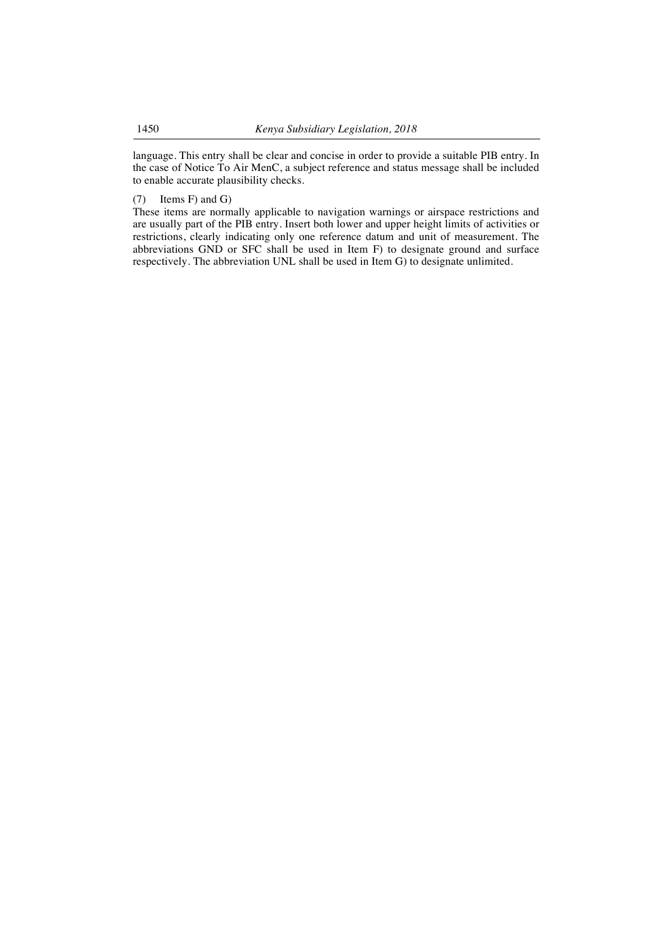language. This entry shall be clear and concise in order to provide a suitable PIB entry. In the case of Notice To Air MenC, a subject reference and status message shall be included to enable accurate plausibility checks.

#### (7) Items F) and G)

These items are normally applicable to navigation warnings or airspace restrictions and are usually part of the PIB entry. Insert both lower and upper height limits of activities or restrictions, clearly indicating only one reference datum and unit of measurement. The abbreviations GND or SFC shall be used in Item F) to designate ground and surface respectively. The abbreviation UNL shall be used in Item G) to designate unlimited.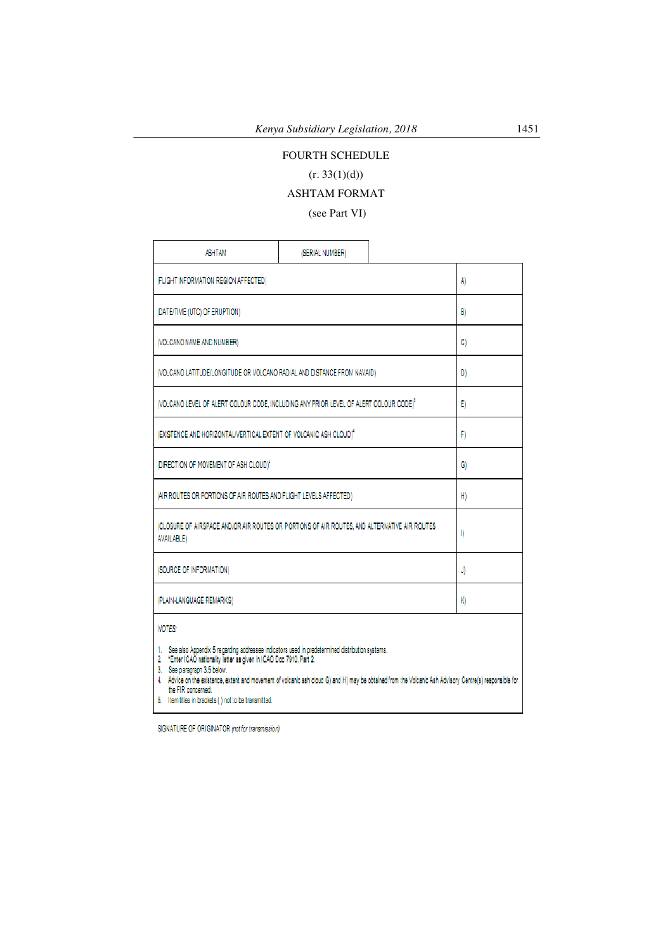# FOURTH SCHEDULE

# $(r. 33(1)(d))$

# ASHTAM FORMAT

(see Part VI)

| <b>ASHTAM</b>                                                                                                                                                                                                                                                                                                                                                                                                                                      |              |  |    |  |  |
|----------------------------------------------------------------------------------------------------------------------------------------------------------------------------------------------------------------------------------------------------------------------------------------------------------------------------------------------------------------------------------------------------------------------------------------------------|--------------|--|----|--|--|
| (FLIGHT INFORMATION REGION AFFECTED)                                                                                                                                                                                                                                                                                                                                                                                                               | A)           |  |    |  |  |
| (DATE/TIME (UTC) OF ERUPTION)                                                                                                                                                                                                                                                                                                                                                                                                                      | B)           |  |    |  |  |
| (VOLCANO NAME AND NUMBER)                                                                                                                                                                                                                                                                                                                                                                                                                          |              |  | C) |  |  |
| (VOLCANO LATITUDE/LONGITUDE OR VOLCANO RADIAL AND DISTANCE FROM NAVAID)                                                                                                                                                                                                                                                                                                                                                                            |              |  | D) |  |  |
| (VOLCANO LEVEL OF ALERT COLOUR CODE, INCLUDING ANY PRIOR LEVEL OF ALERT COLOUR CODE) <sup>3</sup>                                                                                                                                                                                                                                                                                                                                                  |              |  | E) |  |  |
| (EXISTENCE AND HORIZONTAL/VERTICAL EXTENT OF VOLCANIC ASH CLOUD) <sup>4</sup>                                                                                                                                                                                                                                                                                                                                                                      |              |  | F) |  |  |
| (DIRECTION OF MOVEMENT OF ASH CLOUD) <sup>4</sup>                                                                                                                                                                                                                                                                                                                                                                                                  | G)           |  |    |  |  |
| (AIR ROUTES OR PORTIONS OF AIR ROUTES AND FLIGHT LEVELS AFFECTED)                                                                                                                                                                                                                                                                                                                                                                                  | H)           |  |    |  |  |
| (CLOSURE OF AIRSPACE AND/OR AIR ROUTES OR PORTIONS OF AIR ROUTES, AND ALTERNATIVE AIR ROUTES<br><b>AVAILABLE)</b>                                                                                                                                                                                                                                                                                                                                  | $\mathbb{I}$ |  |    |  |  |
| (SOURCE OF INFORMATION)                                                                                                                                                                                                                                                                                                                                                                                                                            | J)           |  |    |  |  |
| (PLAIN-LANGUAGE REMARKS)                                                                                                                                                                                                                                                                                                                                                                                                                           | K)           |  |    |  |  |
| <b>NOTES:</b>                                                                                                                                                                                                                                                                                                                                                                                                                                      |              |  |    |  |  |
| 1. See also Appendix 5 regarding addressee indicators used in predetermined distribution systems.<br>2 *Enter ICAO nationality letter as given in ICAO Doc 7910, Part 2.<br>3. See paragraph 3.5 below.<br>4. Advice on the existence, extent and movement of volcanic ash cloud G) and H) may be obtained from the Volcanic Ash Advisory Centre(s) responsible for<br>the FIR concerned.<br>5. Item titles in brackets ( ) not to be transmitted. |              |  |    |  |  |

SIGNATURE OF ORIGINATOR (not for transmission)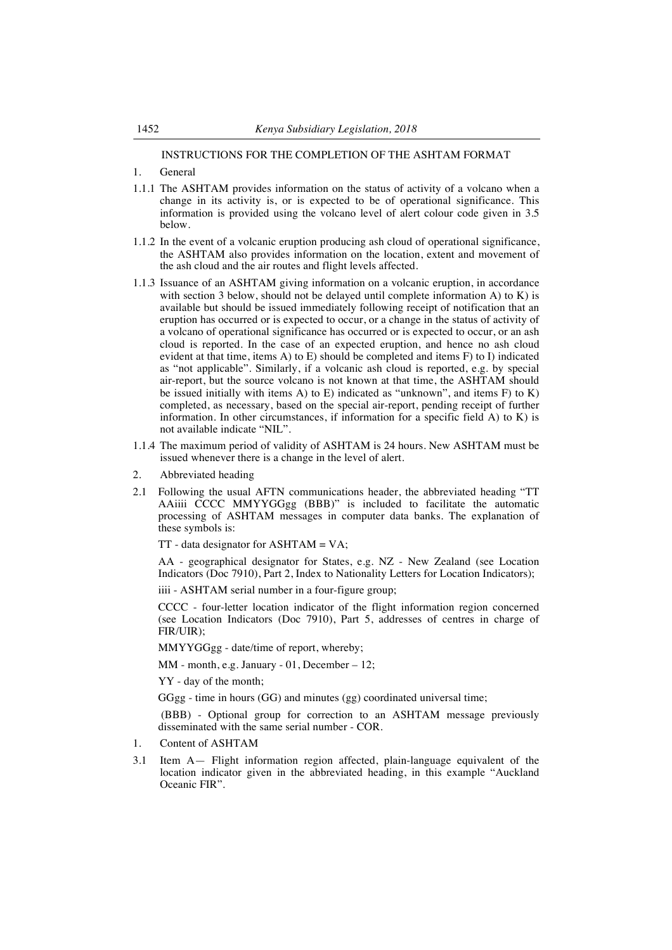## INSTRUCTIONS FOR THE COMPLETION OF THE ASHTAM FORMAT

- 1. General
- 1.1.1 The ASHTAM provides information on the status of activity of a volcano when a change in its activity is, or is expected to be of operational significance. This information is provided using the volcano level of alert colour code given in 3.5 below.
- 1.1.2 In the event of a volcanic eruption producing ash cloud of operational significance, the ASHTAM also provides information on the location, extent and movement of the ash cloud and the air routes and flight levels affected.
- 1.1.3 Issuance of an ASHTAM giving information on a volcanic eruption, in accordance with section 3 below, should not be delayed until complete information A) to K) is available but should be issued immediately following receipt of notification that an eruption has occurred or is expected to occur, or a change in the status of activity of a volcano of operational significance has occurred or is expected to occur, or an ash cloud is reported. In the case of an expected eruption, and hence no ash cloud evident at that time, items A) to E) should be completed and items F) to I) indicated as "not applicable". Similarly, if a volcanic ash cloud is reported, e.g. by special air-report, but the source volcano is not known at that time, the ASHTAM should be issued initially with items A) to E) indicated as "unknown", and items F) to K) completed, as necessary, based on the special air-report, pending receipt of further information. In other circumstances, if information for a specific field A) to K) is not available indicate "NIL".
- 1.1.4 The maximum period of validity of ASHTAM is 24 hours. New ASHTAM must be issued whenever there is a change in the level of alert.
- 2. Abbreviated heading
- 2.1 Following the usual AFTN communications header, the abbreviated heading "TT AAiiii CCCC MMYYGGgg (BBB)" is included to facilitate the automatic processing of ASHTAM messages in computer data banks. The explanation of these symbols is:

 $TT$  - data designator for ASHTAM = VA;

AA - geographical designator for States, e.g. NZ - New Zealand (see Location Indicators (Doc 7910), Part 2, Index to Nationality Letters for Location Indicators);

iiii - ASHTAM serial number in a four-figure group;

CCCC - four-letter location indicator of the flight information region concerned (see Location Indicators (Doc 7910), Part 5, addresses of centres in charge of FIR/UIR);

MMYYGGgg - date/time of report, whereby;

MM - month, e.g. January - 01, December – 12;

YY - day of the month;

GGgg - time in hours (GG) and minutes (gg) coordinated universal time;

(BBB) - Optional group for correction to an ASHTAM message previously disseminated with the same serial number - COR.

- 1. Content of ASHTAM
- 3.1 Item A— Flight information region affected, plain-language equivalent of the location indicator given in the abbreviated heading, in this example "Auckland Oceanic FIR".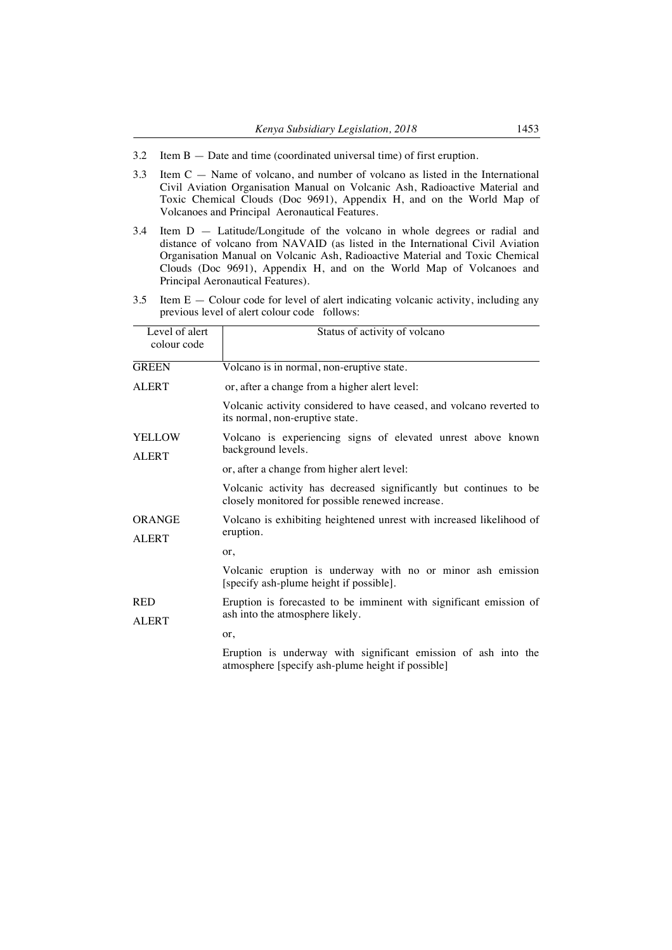- 3.2 Item B Date and time (coordinated universal time) of first eruption.
- 3.3 Item C Name of volcano, and number of volcano as listed in the International Civil Aviation Organisation Manual on Volcanic Ash, Radioactive Material and Toxic Chemical Clouds (Doc 9691), Appendix H, and on the World Map of Volcanoes and Principal Aeronautical Features.
- 3.4 Item D Latitude/Longitude of the volcano in whole degrees or radial and distance of volcano from NAVAID (as listed in the International Civil Aviation Organisation Manual on Volcanic Ash, Radioactive Material and Toxic Chemical Clouds (Doc 9691), Appendix H, and on the World Map of Volcanoes and Principal Aeronautical Features).
- 3.5 Item E Colour code for level of alert indicating volcanic activity, including any previous level of alert colour code follows:

| Level of alert<br>colour code | Status of activity of volcano                                                                                         |
|-------------------------------|-----------------------------------------------------------------------------------------------------------------------|
| <b>GREEN</b>                  | Volcano is in normal, non-eruptive state.                                                                             |
| <b>ALERT</b>                  | or, after a change from a higher alert level:                                                                         |
|                               | Volcanic activity considered to have ceased, and volcano reverted to<br>its normal, non-eruptive state.               |
| <b>YELLOW</b><br><b>ALERT</b> | Volcano is experiencing signs of elevated unrest above known<br>background levels.                                    |
|                               | or, after a change from higher alert level:                                                                           |
|                               | Volcanic activity has decreased significantly but continues to be<br>closely monitored for possible renewed increase. |
| ORANGE<br><b>ALERT</b>        | Volcano is exhibiting heightened unrest with increased likelihood of<br>eruption.                                     |
|                               | or.                                                                                                                   |
|                               | Volcanic eruption is underway with no or minor ash emission<br>[specify ash-plume height if possible].                |
| <b>RED</b><br><b>ALERT</b>    | Eruption is forecasted to be imminent with significant emission of<br>ash into the atmosphere likely.                 |
|                               | or,                                                                                                                   |
|                               | Eruption is underway with significant emission of ash into the<br>atmosphere [specify ash-plume height if possible]   |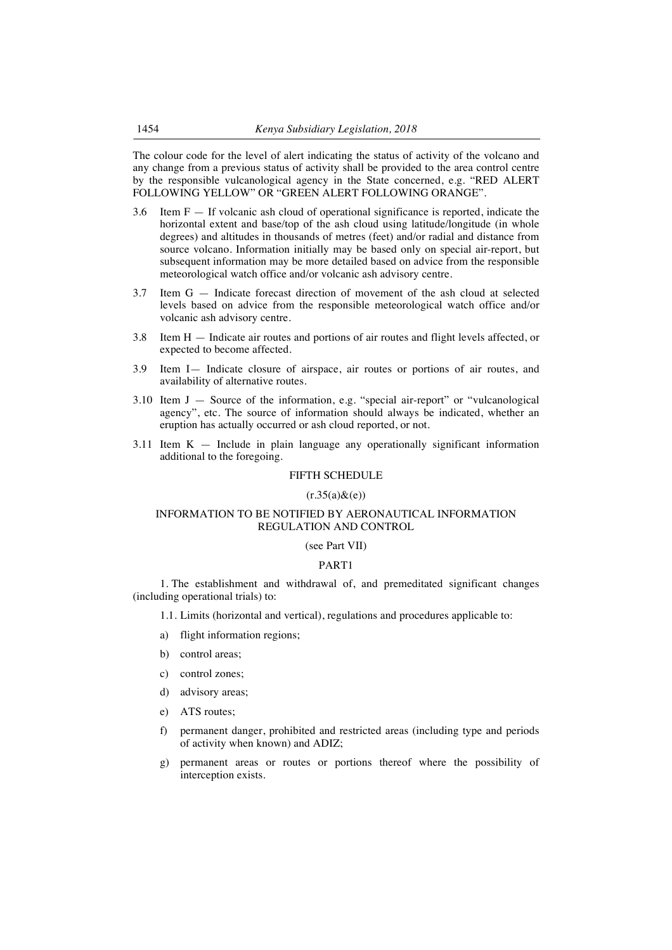The colour code for the level of alert indicating the status of activity of the volcano and any change from a previous status of activity shall be provided to the area control centre by the responsible vulcanological agency in the State concerned, e.g. "RED ALERT FOLLOWING YELLOW" OR "GREEN ALERT FOLLOWING ORANGE".

- 3.6 Item F If volcanic ash cloud of operational significance is reported, indicate the horizontal extent and base/top of the ash cloud using latitude/longitude (in whole degrees) and altitudes in thousands of metres (feet) and/or radial and distance from source volcano. Information initially may be based only on special air-report, but subsequent information may be more detailed based on advice from the responsible meteorological watch office and/or volcanic ash advisory centre.
- 3.7 Item G Indicate forecast direction of movement of the ash cloud at selected levels based on advice from the responsible meteorological watch office and/or volcanic ash advisory centre.
- 3.8 Item H Indicate air routes and portions of air routes and flight levels affected, or expected to become affected.
- 3.9 Item I— Indicate closure of airspace, air routes or portions of air routes, and availability of alternative routes.
- 3.10 Item J Source of the information, e.g. "special air-report" or "vulcanological agency", etc. The source of information should always be indicated, whether an eruption has actually occurred or ash cloud reported, or not.
- 3.11 Item K Include in plain language any operationally significant information additional to the foregoing.

## FIFTH SCHEDULE

#### $(r.35(a) & (e))$

## INFORMATION TO BE NOTIFIED BY AERONAUTICAL INFORMATION REGULATION AND CONTROL

#### (see Part VII)

### PART1

1. The establishment and withdrawal of, and premeditated significant changes (including operational trials) to:

1.1. Limits (horizontal and vertical), regulations and procedures applicable to:

- a) flight information regions;
- b) control areas;
- c) control zones;
- d) advisory areas;
- e) ATS routes;
- f) permanent danger, prohibited and restricted areas (including type and periods of activity when known) and ADIZ;
- g) permanent areas or routes or portions thereof where the possibility of interception exists.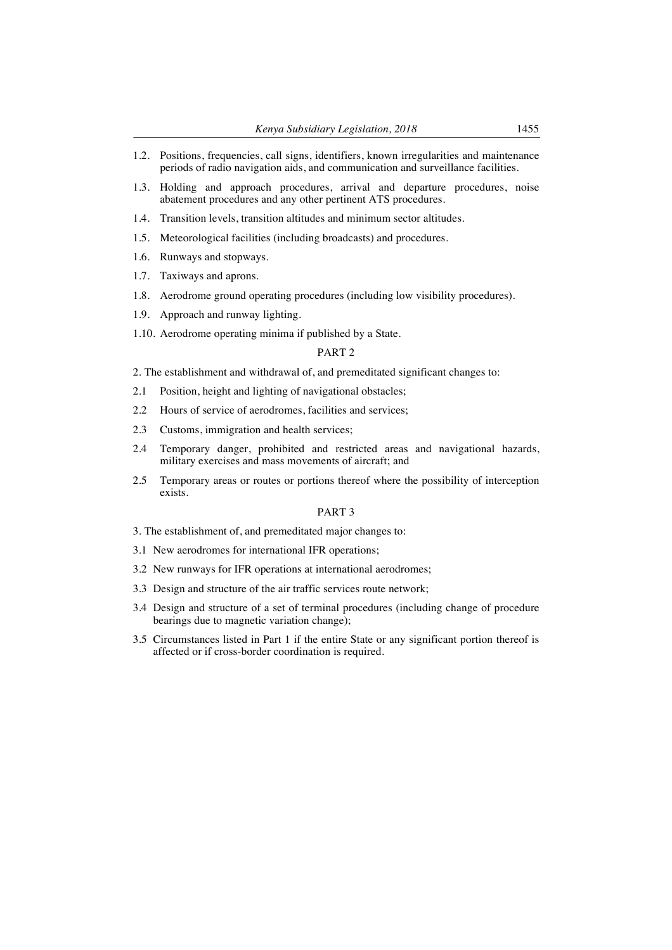- 1.2. Positions, frequencies, call signs, identifiers, known irregularities and maintenance periods of radio navigation aids, and communication and surveillance facilities.
- 1.3. Holding and approach procedures, arrival and departure procedures, noise abatement procedures and any other pertinent ATS procedures.
- 1.4. Transition levels, transition altitudes and minimum sector altitudes.
- 1.5. Meteorological facilities (including broadcasts) and procedures.
- 1.6. Runways and stopways.
- 1.7. Taxiways and aprons.
- 1.8. Aerodrome ground operating procedures (including low visibility procedures).
- 1.9. Approach and runway lighting.
- 1.10. Aerodrome operating minima if published by a State.

#### PART 2

2. The establishment and withdrawal of, and premeditated significant changes to:

- 2.1 Position, height and lighting of navigational obstacles;
- 2.2 Hours of service of aerodromes, facilities and services;
- 2.3 Customs, immigration and health services;
- 2.4 Temporary danger, prohibited and restricted areas and navigational hazards, military exercises and mass movements of aircraft; and
- 2.5 Temporary areas or routes or portions thereof where the possibility of interception exists.

#### PART 3

- 3. The establishment of, and premeditated major changes to:
- 3.1 New aerodromes for international IFR operations;
- 3.2 New runways for IFR operations at international aerodromes;
- 3.3 Design and structure of the air traffic services route network;
- 3.4 Design and structure of a set of terminal procedures (including change of procedure bearings due to magnetic variation change);
- 3.5 Circumstances listed in Part 1 if the entire State or any significant portion thereof is affected or if cross-border coordination is required.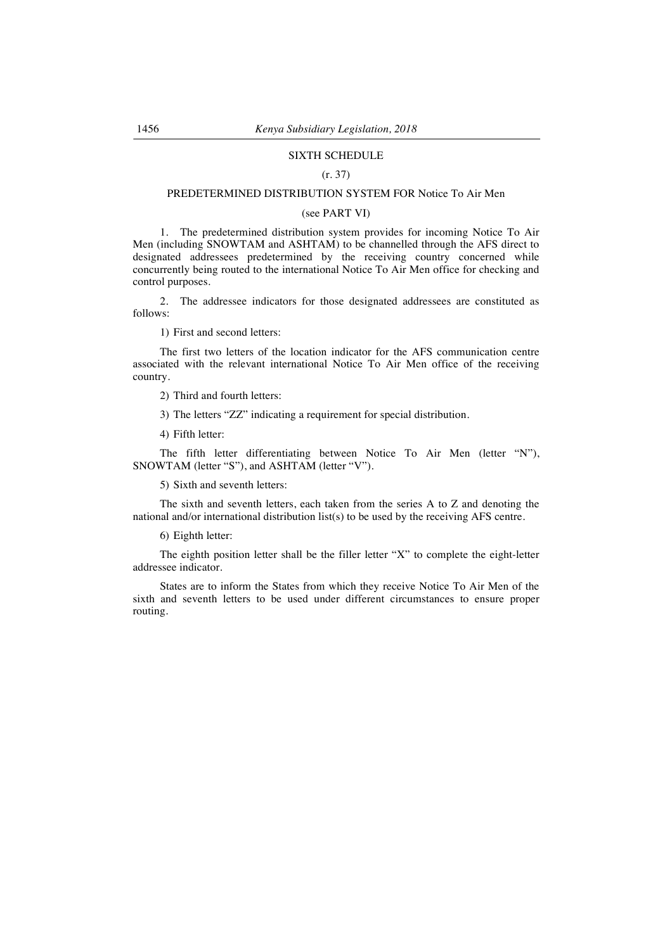# SIXTH SCHEDULE

#### (r. 37)

### PREDETERMINED DISTRIBUTION SYSTEM FOR Notice To Air Men

#### (see PART VI)

1. The predetermined distribution system provides for incoming Notice To Air Men (including SNOWTAM and ASHTAM) to be channelled through the AFS direct to designated addressees predetermined by the receiving country concerned while concurrently being routed to the international Notice To Air Men office for checking and control purposes.

2. The addressee indicators for those designated addressees are constituted as follows:

1) First and second letters:

The first two letters of the location indicator for the AFS communication centre associated with the relevant international Notice To Air Men office of the receiving country.

2) Third and fourth letters:

3) The letters "ZZ" indicating a requirement for special distribution.

4) Fifth letter:

The fifth letter differentiating between Notice To Air Men (letter "N"), SNOWTAM (letter "S"), and ASHTAM (letter "V").

5) Sixth and seventh letters:

The sixth and seventh letters, each taken from the series A to Z and denoting the national and/or international distribution list(s) to be used by the receiving AFS centre.

6) Eighth letter:

The eighth position letter shall be the filler letter "X" to complete the eight-letter addressee indicator.

States are to inform the States from which they receive Notice To Air Men of the sixth and seventh letters to be used under different circumstances to ensure proper routing.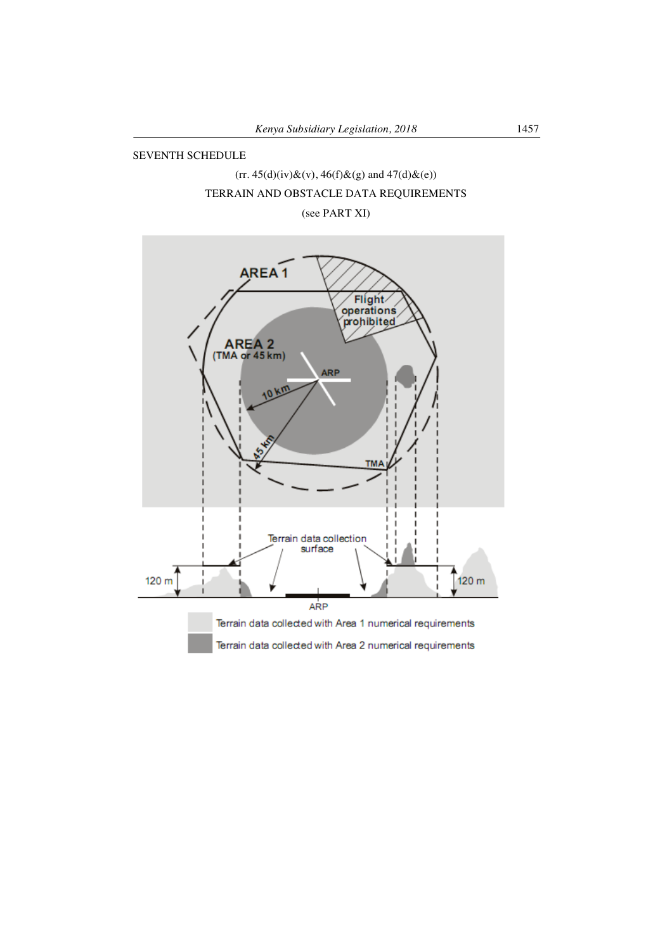## SEVENTH SCHEDULE

# $(rr. 45(d)(iv) \& (v), 46(f) \& (g) \text{ and } 47(d) \& (e))$ TERRAIN AND OBSTACLE DATA REQUIREMENTS

(see PART XI)

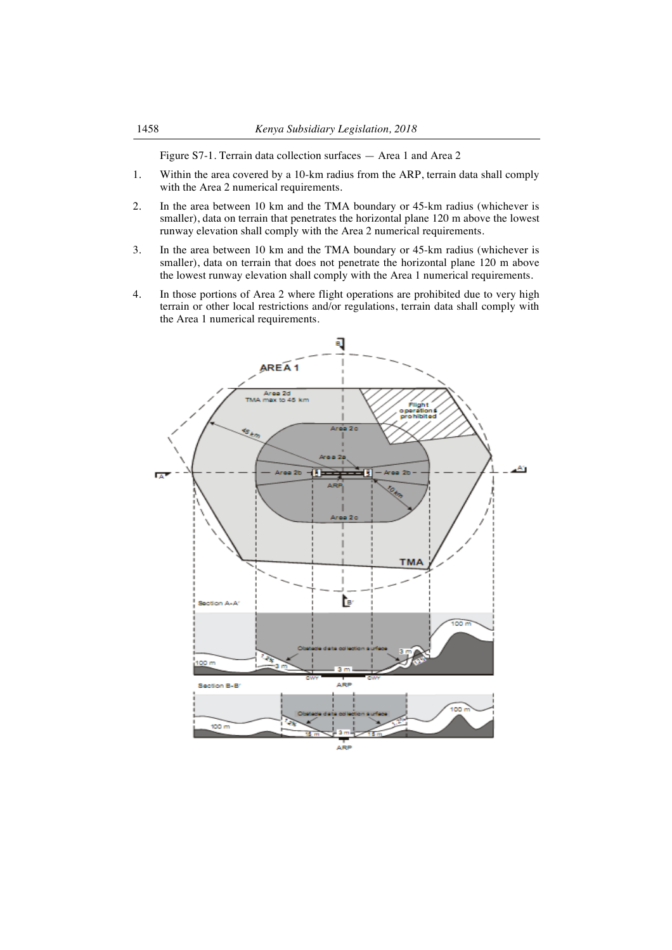Figure S7-1. Terrain data collection surfaces — Area 1 and Area 2

- 1. Within the area covered by a 10-km radius from the ARP, terrain data shall comply with the Area 2 numerical requirements.
- 2. In the area between 10 km and the TMA boundary or 45-km radius (whichever is smaller), data on terrain that penetrates the horizontal plane 120 m above the lowest runway elevation shall comply with the Area 2 numerical requirements.
- 3. In the area between 10 km and the TMA boundary or 45-km radius (whichever is smaller), data on terrain that does not penetrate the horizontal plane 120 m above the lowest runway elevation shall comply with the Area 1 numerical requirements.
- 4. In those portions of Area 2 where flight operations are prohibited due to very high terrain or other local restrictions and/or regulations, terrain data shall comply with the Area 1 numerical requirements.

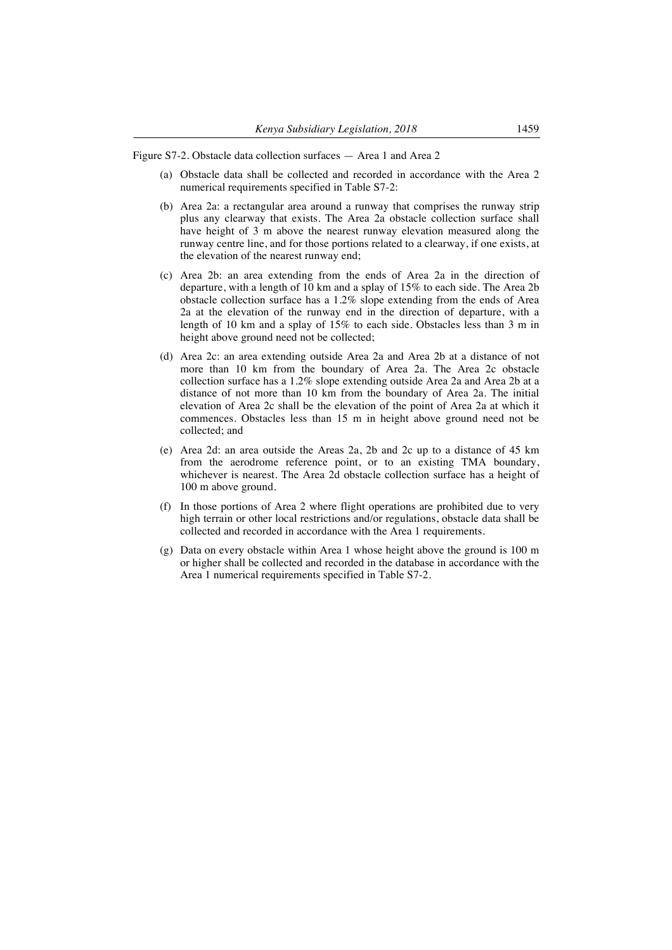Figure S7-2. Obstacle data collection surfaces — Area 1 and Area 2

- (a) Obstacle data shall be collected and recorded in accordance with the Area 2 numerical requirements specified in Table S7-2:
- (b) Area 2a: a rectangular area around a runway that comprises the runway strip plus any clearway that exists. The Area 2a obstacle collection surface shall have height of 3 m above the nearest runway elevation measured along the runway centre line, and for those portions related to a clearway, if one exists, at the elevation of the nearest runway end;
- (c) Area 2b: an area extending from the ends of Area 2a in the direction of departure, with a length of 10 km and a splay of 15% to each side. The Area 2b obstacle collection surface has a 1.2% slope extending from the ends of Area 2a at the elevation of the runway end in the direction of departure, with a length of 10 km and a splay of 15% to each side. Obstacles less than 3 m in height above ground need not be collected;
- (d) Area 2c: an area extending outside Area 2a and Area 2b at a distance of not more than 10 km from the boundary of Area 2a. The Area 2c obstacle collection surface has a 1.2% slope extending outside Area 2a and Area 2b at a distance of not more than 10 km from the boundary of Area 2a. The initial elevation of Area 2c shall be the elevation of the point of Area 2a at which it commences. Obstacles less than 15 m in height above ground need not be collected; and
- (e) Area 2d: an area outside the Areas 2a, 2b and 2c up to a distance of 45 km from the aerodrome reference point, or to an existing TMA boundary, whichever is nearest. The Area 2d obstacle collection surface has a height of 100 m above ground.
- (f) In those portions of Area 2 where flight operations are prohibited due to very high terrain or other local restrictions and/or regulations, obstacle data shall be collected and recorded in accordance with the Area 1 requirements.
- (g) Data on every obstacle within Area 1 whose height above the ground is 100 m or higher shall be collected and recorded in the database in accordance with the Area 1 numerical requirements specified in Table S7-2.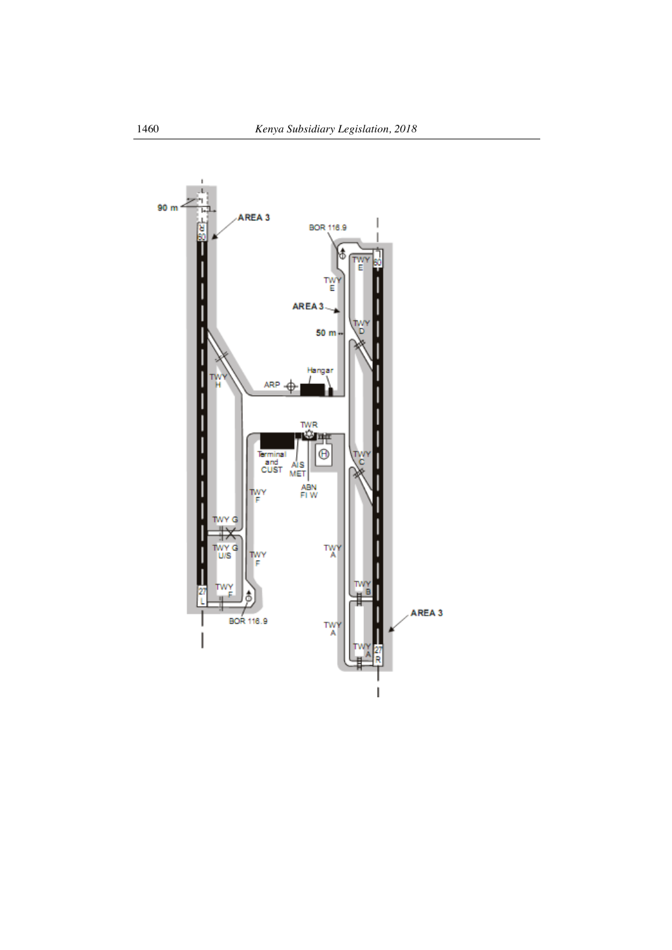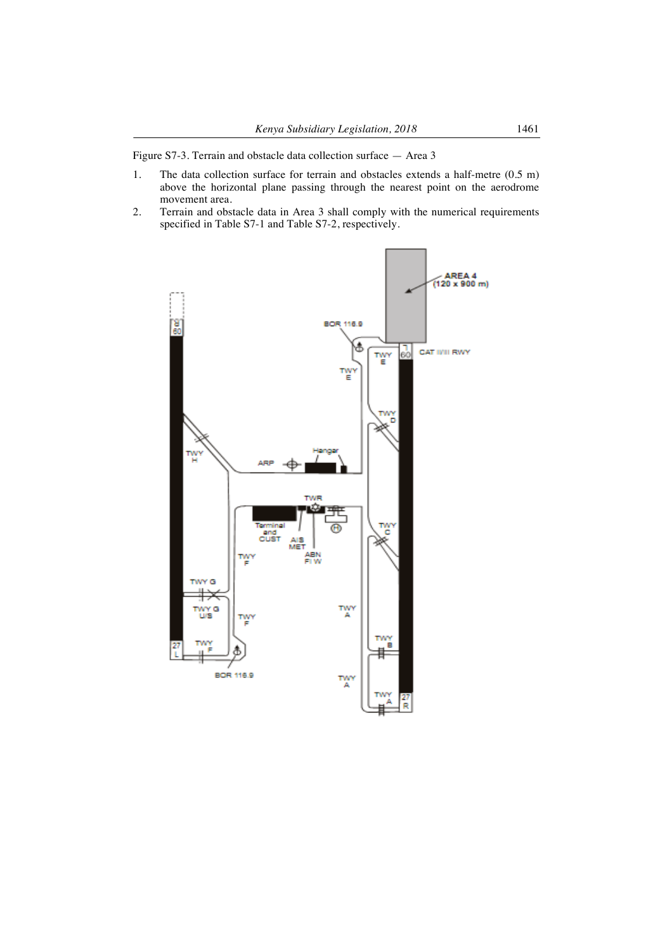Figure S7-3. Terrain and obstacle data collection surface — Area 3

- 1. The data collection surface for terrain and obstacles extends a half-metre (0.5 m) above the horizontal plane passing through the nearest point on the aerodrome movement area.
- 2. Terrain and obstacle data in Area 3 shall comply with the numerical requirements specified in Table S7-1 and Table S7-2, respectively.

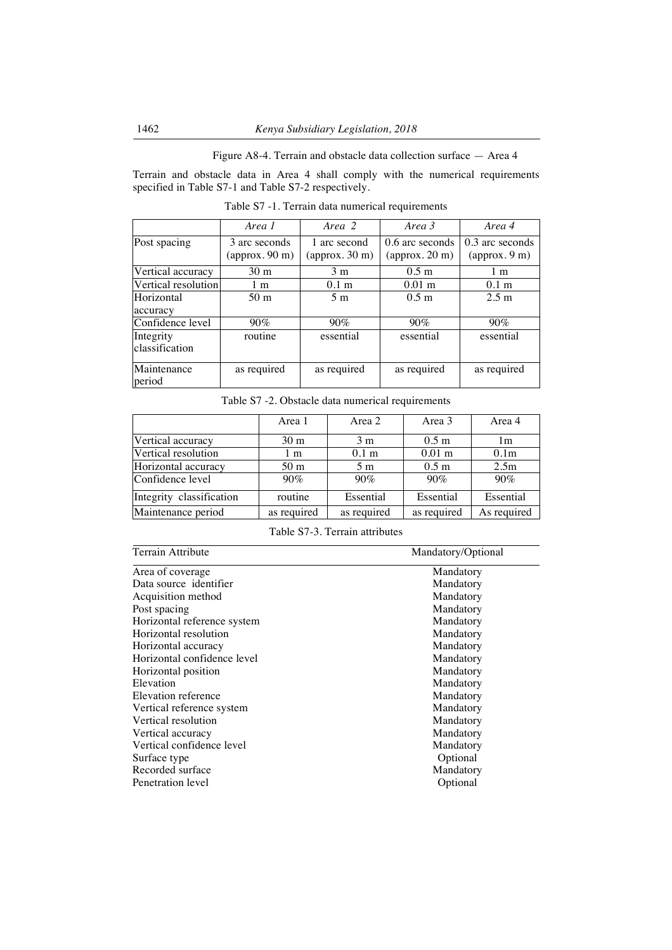Figure A8-4. Terrain and obstacle data collection surface — Area 4

Terrain and obstacle data in Area 4 shall comply with the numerical requirements specified in Table S7-1 and Table S7-2 respectively.

|                             | Area 1                                           | Area 2                                       | Area 3                                             | Area 4                           |
|-----------------------------|--------------------------------------------------|----------------------------------------------|----------------------------------------------------|----------------------------------|
| Post spacing                | 3 arc seconds<br>$\left($ approx. 90 m $\right)$ | 1 arc second<br>$\frac{1}{2}$ (approx. 30 m) | 0.6 arc seconds<br>$\left($ approx. 20 m $\right)$ | 0.3 arc seconds<br>(approx. 9 m) |
| Vertical accuracy           | 30 <sub>m</sub>                                  | 3 <sub>m</sub>                               | $0.5 \text{ m}$                                    | 1 m                              |
| Vertical resolution         | 1 m                                              | 0.1 <sub>m</sub>                             | $0.01$ m                                           | 0.1 <sub>m</sub>                 |
| Horizontal<br>accuracy      | 50 <sub>m</sub>                                  | 5 <sub>m</sub>                               | 0.5 <sub>m</sub>                                   | $2.5 \text{ m}$                  |
| Confidence level            | $90\%$                                           | $90\%$                                       | $90\%$                                             | $90\%$                           |
| Integrity<br>classification | routine                                          | essential                                    | essential                                          | essential                        |
| Maintenance<br>period       | as required                                      | as required                                  | as required                                        | as required                      |

Table S7 -1. Terrain data numerical requirements

Table S7 -2. Obstacle data numerical requirements

|                          | Area 1          | Area 2           | Area 3           | Area 4           |
|--------------------------|-----------------|------------------|------------------|------------------|
| Vertical accuracy        | 30 <sub>m</sub> | 3 <sub>m</sub>   | 0.5 <sub>m</sub> | 1 <sub>m</sub>   |
| Vertical resolution      | 1 <sub>m</sub>  | 0.1 <sub>m</sub> | $0.01$ m         | 0.1 <sub>m</sub> |
| Horizontal accuracy      | 50 <sub>m</sub> | 5 <sub>m</sub>   | 0.5 <sub>m</sub> | 2.5m             |
| Confidence level         | 90%             | $90\%$           | $90\%$           | 90%              |
| Integrity classification | routine         | Essential        | Essential        | Essential        |
| Maintenance period       | as required     | as required      | as required      | As required      |

Table S7-3. Terrain attributes

| Terrain Attribute           | Mandatory/Optional |  |  |
|-----------------------------|--------------------|--|--|
| Area of coverage            | Mandatory          |  |  |
| Data source identifier      | Mandatory          |  |  |
| Acquisition method          | Mandatory          |  |  |
| Post spacing                | Mandatory          |  |  |
| Horizontal reference system | Mandatory          |  |  |
| Horizontal resolution       | Mandatory          |  |  |
| Horizontal accuracy         | Mandatory          |  |  |
| Horizontal confidence level | Mandatory          |  |  |
| Horizontal position         | Mandatory          |  |  |
| Elevation                   | Mandatory          |  |  |
| Elevation reference         | Mandatory          |  |  |
| Vertical reference system   | Mandatory          |  |  |
| Vertical resolution         | Mandatory          |  |  |
| Vertical accuracy           | Mandatory          |  |  |
| Vertical confidence level   | Mandatory          |  |  |
| Surface type                | Optional           |  |  |
| Recorded surface            | Mandatory          |  |  |
| Penetration level           | Optional           |  |  |